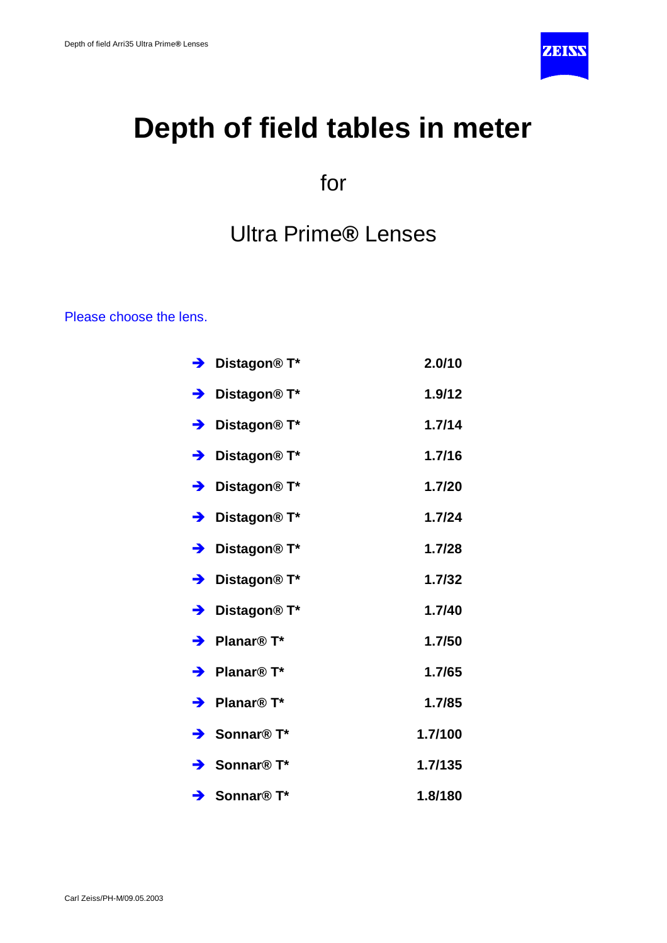

# **Depth of field tables in meter**

for

Ultra Prime**®** Lenses

Please choose the lens.

| → Distagon® T*                       | 2.0/10  |
|--------------------------------------|---------|
| $\rightarrow$ Distagon® T*           | 1.9/12  |
| → Distagon® T*                       | 1.7/14  |
| → Distagon® T*                       | 1.7/16  |
| $\rightarrow$ Distagon® T*           | 1.7/20  |
| → Distagon® T*                       | 1.7/24  |
| → Distagon® T*                       | 1.7/28  |
| → Distagon® T*                       | 1.7/32  |
| → Distagon® T*                       | 1.7/40  |
| $\rightarrow$ Planar® T*             | 1.7/50  |
| $\rightarrow$ Planar <sup>®</sup> T* | 1.7/65  |
| $\rightarrow$ Planar <sup>®</sup> T* | 1.7/85  |
| Sonnar <sup>®</sup> T*               | 1.7/100 |
| $\rightarrow$ Sonnar <sup>®</sup> T* | 1.7/135 |
| $\rightarrow$ Sonnar <sup>®</sup> T* | 1.8/180 |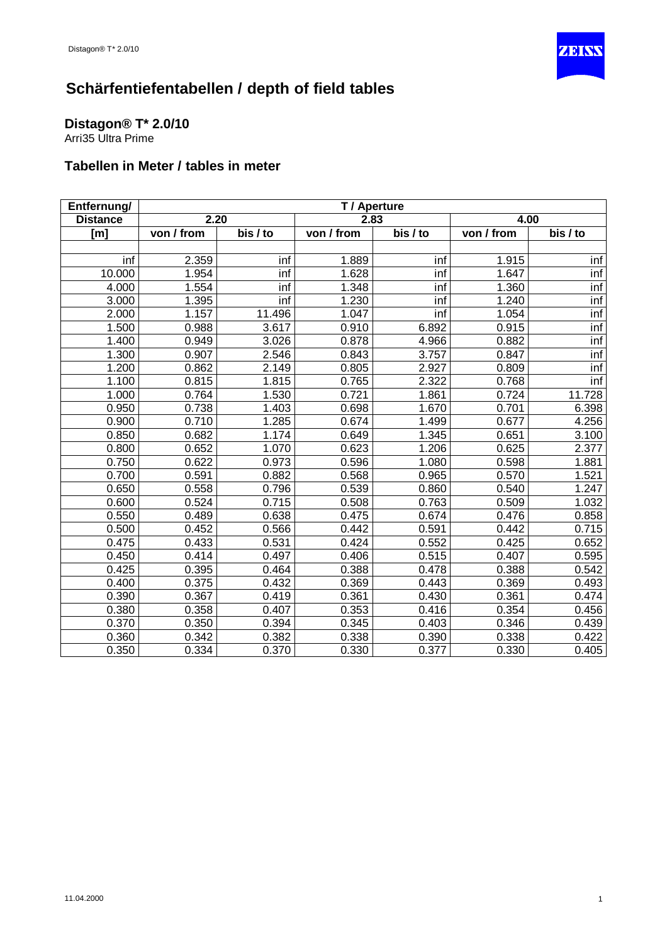

#### <span id="page-1-0"></span>**Distagon® T\* 2.0/10**

Arri35 Ultra Prime

| Entfernung/     | T / Aperture |          |            |                       |            |                       |
|-----------------|--------------|----------|------------|-----------------------|------------|-----------------------|
| <b>Distance</b> | 2.20         |          | 2.83       |                       | 4.00       |                       |
| [m]             | von / from   | bis / to | von / from | $\overline{bis}$ / to | von / from | $\overline{bis}$ / to |
|                 |              |          |            |                       |            |                       |
| inf             | 2.359        | inf      | 1.889      | inf                   | 1.915      | inf                   |
| 10.000          | 1.954        | inf      | 1.628      | inf                   | 1.647      | inf                   |
| 4.000           | 1.554        | inf      | 1.348      | inf                   | 1.360      | inf                   |
| 3.000           | 1.395        | inf      | 1.230      | inf                   | 1.240      | inf                   |
| 2.000           | 1.157        | 11.496   | 1.047      | inf                   | 1.054      | inf                   |
| 1.500           | 0.988        | 3.617    | 0.910      | 6.892                 | 0.915      | inf                   |
| 1.400           | 0.949        | 3.026    | 0.878      | 4.966                 | 0.882      | inf                   |
| 1.300           | 0.907        | 2.546    | 0.843      | 3.757                 | 0.847      | inf                   |
| 1.200           | 0.862        | 2.149    | 0.805      | 2.927                 | 0.809      | inf                   |
| 1.100           | 0.815        | 1.815    | 0.765      | 2.322                 | 0.768      | inf                   |
| 1.000           | 0.764        | 1.530    | 0.721      | 1.861                 | 0.724      | 11.728                |
| 0.950           | 0.738        | 1.403    | 0.698      | 1.670                 | 0.701      | 6.398                 |
| 0.900           | 0.710        | 1.285    | 0.674      | 1.499                 | 0.677      | 4.256                 |
| 0.850           | 0.682        | 1.174    | 0.649      | 1.345                 | 0.651      | 3.100                 |
| 0.800           | 0.652        | 1.070    | 0.623      | 1.206                 | 0.625      | 2.377                 |
| 0.750           | 0.622        | 0.973    | 0.596      | 1.080                 | 0.598      | 1.881                 |
| 0.700           | 0.591        | 0.882    | 0.568      | 0.965                 | 0.570      | 1.521                 |
| 0.650           | 0.558        | 0.796    | 0.539      | 0.860                 | 0.540      | 1.247                 |
| 0.600           | 0.524        | 0.715    | 0.508      | 0.763                 | 0.509      | 1.032                 |
| 0.550           | 0.489        | 0.638    | 0.475      | 0.674                 | 0.476      | 0.858                 |
| 0.500           | 0.452        | 0.566    | 0.442      | 0.591                 | 0.442      | 0.715                 |
| 0.475           | 0.433        | 0.531    | 0.424      | 0.552                 | 0.425      | 0.652                 |
| 0.450           | 0.414        | 0.497    | 0.406      | 0.515                 | 0.407      | 0.595                 |
| 0.425           | 0.395        | 0.464    | 0.388      | 0.478                 | 0.388      | 0.542                 |
| 0.400           | 0.375        | 0.432    | 0.369      | 0.443                 | 0.369      | 0.493                 |
| 0.390           | 0.367        | 0.419    | 0.361      | 0.430                 | 0.361      | 0.474                 |
| 0.380           | 0.358        | 0.407    | 0.353      | 0.416                 | 0.354      | 0.456                 |
| 0.370           | 0.350        | 0.394    | 0.345      | 0.403                 | 0.346      | 0.439                 |
| 0.360           | 0.342        | 0.382    | 0.338      | 0.390                 | 0.338      | 0.422                 |
| 0.350           | 0.334        | 0.370    | 0.330      | 0.377                 | 0.330      | 0.405                 |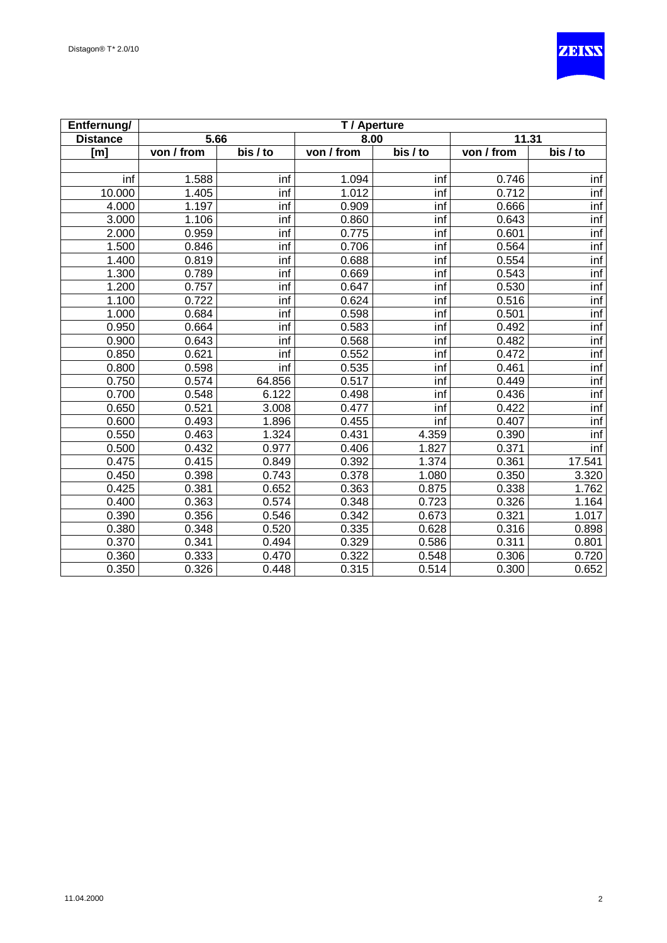

| Entfernung/      | T / Aperture |          |            |                                   |            |          |
|------------------|--------------|----------|------------|-----------------------------------|------------|----------|
| <b>Distance</b>  | 5.66         |          | 8.00       |                                   | 11.31      |          |
| [ <sub>m</sub> ] | von / from   | bis / to | von / from | $\overline{\text{bis}/\text{to}}$ | von / from | bis / to |
|                  |              |          |            |                                   |            |          |
| inf              | 1.588        | inf      | 1.094      | inf                               | 0.746      | inf      |
| 10.000           | 1.405        | inf      | 1.012      | inf                               | 0.712      | inf      |
| 4.000            | 1.197        | inf      | 0.909      | inf                               | 0.666      | inf      |
| 3.000            | 1.106        | inf      | 0.860      | inf                               | 0.643      | inf      |
| 2.000            | 0.959        | inf      | 0.775      | inf                               | 0.601      | inf      |
| 1.500            | 0.846        | inf      | 0.706      | inf                               | 0.564      | inf      |
| 1.400            | 0.819        | inf      | 0.688      | inf                               | 0.554      | inf      |
| 1.300            | 0.789        | inf      | 0.669      | inf                               | 0.543      | inf      |
| 1.200            | 0.757        | inf      | 0.647      | inf                               | 0.530      | inf      |
| 1.100            | 0.722        | inf      | 0.624      | inf                               | 0.516      | inf      |
| 1.000            | 0.684        | inf      | 0.598      | inf                               | 0.501      | inf      |
| 0.950            | 0.664        | inf      | 0.583      | inf                               | 0.492      | inf      |
| 0.900            | 0.643        | inf      | 0.568      | inf                               | 0.482      | inf      |
| 0.850            | 0.621        | inf      | 0.552      | inf                               | 0.472      | inf      |
| 0.800            | 0.598        | inf      | 0.535      | inf                               | 0.461      | inf      |
| 0.750            | 0.574        | 64.856   | 0.517      | inf                               | 0.449      | inf      |
| 0.700            | 0.548        | 6.122    | 0.498      | $\overline{\mathsf{inf}}$         | 0.436      | inf      |
| 0.650            | 0.521        | 3.008    | 0.477      | inf                               | 0.422      | inf      |
| 0.600            | 0.493        | 1.896    | 0.455      | inf                               | 0.407      | inf      |
| 0.550            | 0.463        | 1.324    | 0.431      | 4.359                             | 0.390      | inf      |
| 0.500            | 0.432        | 0.977    | 0.406      | 1.827                             | 0.371      | inf      |
| 0.475            | 0.415        | 0.849    | 0.392      | 1.374                             | 0.361      | 17.541   |
| 0.450            | 0.398        | 0.743    | 0.378      | 1.080                             | 0.350      | 3.320    |
| 0.425            | 0.381        | 0.652    | 0.363      | 0.875                             | 0.338      | 1.762    |
| 0.400            | 0.363        | 0.574    | 0.348      | 0.723                             | 0.326      | 1.164    |
| 0.390            | 0.356        | 0.546    | 0.342      | 0.673                             | 0.321      | 1.017    |
| 0.380            | 0.348        | 0.520    | 0.335      | 0.628                             | 0.316      | 0.898    |
| 0.370            | 0.341        | 0.494    | 0.329      | 0.586                             | 0.311      | 0.801    |
| 0.360            | 0.333        | 0.470    | 0.322      | 0.548                             | 0.306      | 0.720    |
| 0.350            | 0.326        | 0.448    | 0.315      | 0.514                             | 0.300      | 0.652    |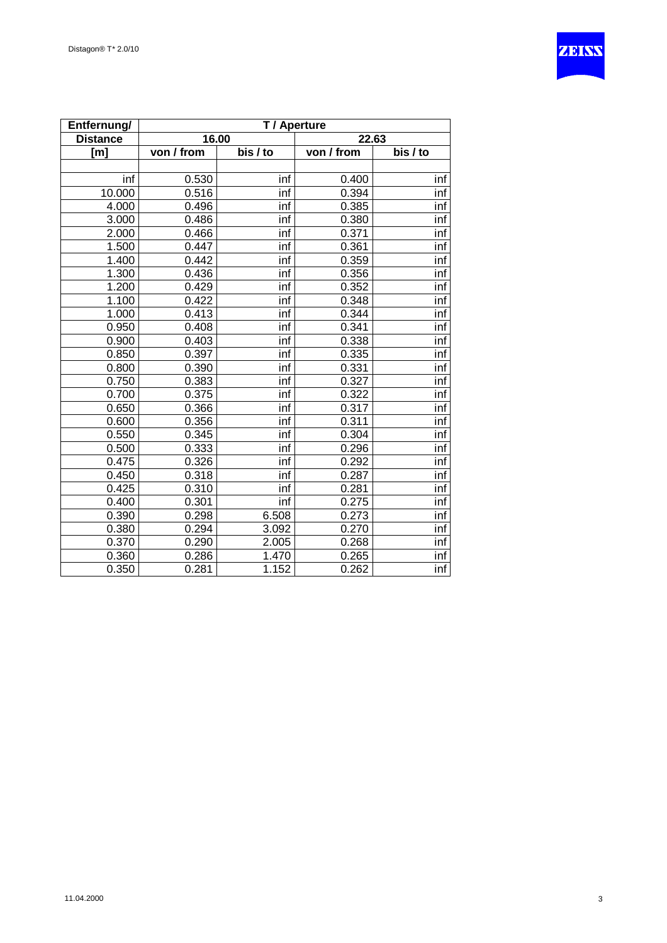

| Entfernung/      | T / Aperture |          |            |                              |  |  |
|------------------|--------------|----------|------------|------------------------------|--|--|
| <b>Distance</b>  | 16.00        |          | 22.63      |                              |  |  |
| [ <sub>m</sub> ] | von / from   | bis / to | von / from | $\overline{\text{bis}}$ / to |  |  |
|                  |              |          |            |                              |  |  |
| inf              | 0.530        | inf      | 0.400      | inf                          |  |  |
| 10.000           | 0.516        | inf      | 0.394      | inf                          |  |  |
| 4.000            | 0.496        | inf      | 0.385      | inf                          |  |  |
| 3.000            | 0.486        | inf      | 0.380      | inf                          |  |  |
| 2.000            | 0.466        | inf      | 0.371      | inf                          |  |  |
| 1.500            | 0.447        | inf      | 0.361      | inf                          |  |  |
| 1.400            | 0.442        | inf      | 0.359      | inf                          |  |  |
| 1.300            | 0.436        | inf      | 0.356      | inf                          |  |  |
| 1.200            | 0.429        | inf      | 0.352      | inf                          |  |  |
| 1.100            | 0.422        | inf      | 0.348      | inf                          |  |  |
| 1.000            | 0.413        | inf      | 0.344      | inf                          |  |  |
| 0.950            | 0.408        | inf      | 0.341      | inf                          |  |  |
| 0.900            | 0.403        | inf      | 0.338      | inf                          |  |  |
| 0.850            | 0.397        | inf      | 0.335      | inf                          |  |  |
| 0.800            | 0.390        | inf      | 0.331      | inf                          |  |  |
| 0.750            | 0.383        | inf      | 0.327      | inf                          |  |  |
| 0.700            | 0.375        | inf      | 0.322      | inf                          |  |  |
| 0.650            | 0.366        | inf      | 0.317      | inf                          |  |  |
| 0.600            | 0.356        | inf      | 0.311      | inf                          |  |  |
| 0.550            | 0.345        | inf      | 0.304      | inf                          |  |  |
| 0.500            | 0.333        | inf      | 0.296      | inf                          |  |  |
| 0.475            | 0.326        | inf      | 0.292      | inf                          |  |  |
| 0.450            | 0.318        | inf      | 0.287      | inf                          |  |  |
| 0.425            | 0.310        | inf      | 0.281      | inf                          |  |  |
| 0.400            | 0.301        | inf      | 0.275      | inf                          |  |  |
| 0.390            | 0.298        | 6.508    | 0.273      | inf                          |  |  |
| 0.380            | 0.294        | 3.092    | 0.270      | inf                          |  |  |
| 0.370            | 0.290        | 2.005    | 0.268      | inf                          |  |  |
| 0.360            | 0.286        | 1.470    | 0.265      | inf                          |  |  |
| 0.350            | 0.281        | 1.152    | 0.262      | inf                          |  |  |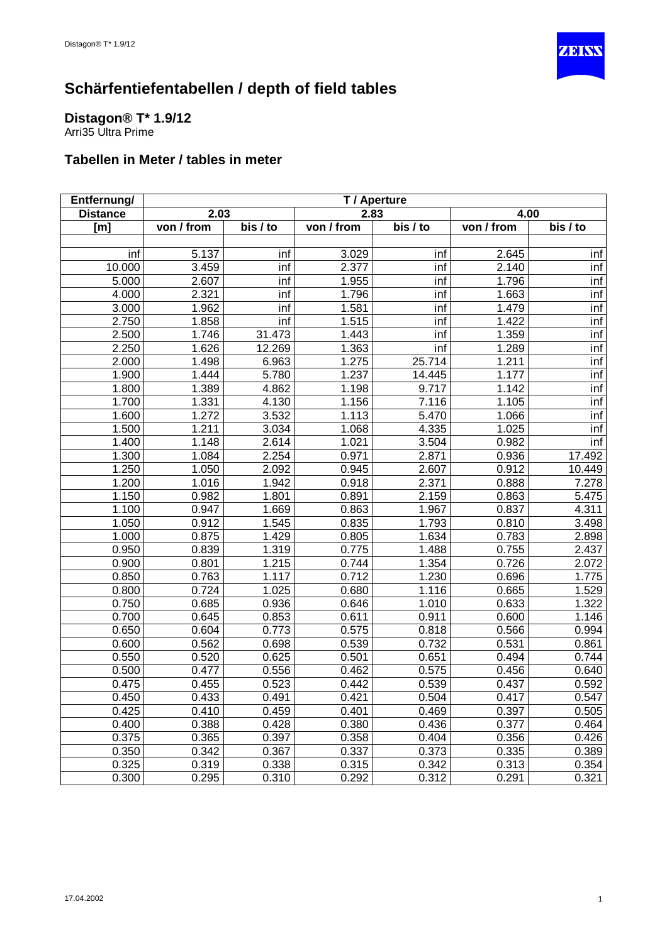

### <span id="page-4-0"></span>**Distagon® T\* 1.9/12**

Arri35 Ultra Prime

| Entfernung/     | T / Aperture |          |            |                       |            |          |
|-----------------|--------------|----------|------------|-----------------------|------------|----------|
| <b>Distance</b> | 2.03         |          | 2.83       |                       | 4.00       |          |
| [m]             | von / from   | bis / to | von / from | $\overline{bis}$ / to | von / from | bis / to |
|                 |              |          |            |                       |            |          |
| inf             | 5.137        | inf      | 3.029      | inf                   | 2.645      | inf      |
| 10.000          | 3.459        | inf      | 2.377      | inf                   | 2.140      | inf      |
| 5.000           | 2.607        | inf      | 1.955      | inf                   | 1.796      | inf      |
| 4.000           | 2.321        | inf      | 1.796      | inf                   | 1.663      | inf      |
| 3.000           | 1.962        | inf      | 1.581      | inf                   | 1.479      | inf      |
| 2.750           | 1.858        | inf      | 1.515      | inf                   | 1.422      | inf      |
| 2.500           | 1.746        | 31.473   | 1.443      | inf                   | 1.359      | inf      |
| 2.250           | 1.626        | 12.269   | 1.363      | inf                   | 1.289      | inf      |
| 2.000           | 1.498        | 6.963    | 1.275      | 25.714                | 1.211      | inf      |
| 1.900           | 1.444        | 5.780    | 1.237      | 14.445                | 1.177      | inf      |
| 1.800           | 1.389        | 4.862    | 1.198      | 9.717                 | 1.142      | inf      |
| 1.700           | 1.331        | 4.130    | 1.156      | 7.116                 | 1.105      | inf      |
| 1.600           | 1.272        | 3.532    | 1.113      | 5.470                 | 1.066      | inf      |
| 1.500           | 1.211        | 3.034    | 1.068      | 4.335                 | 1.025      | inf      |
| 1.400           | 1.148        | 2.614    | 1.021      | 3.504                 | 0.982      | inf      |
| 1.300           | 1.084        | 2.254    | 0.971      | 2.871                 | 0.936      | 17.492   |
| 1.250           | 1.050        | 2.092    | 0.945      | 2.607                 | 0.912      | 10.449   |
| 1.200           | 1.016        | 1.942    | 0.918      | 2.371                 | 0.888      | 7.278    |
| 1.150           | 0.982        | 1.801    | 0.891      | 2.159                 | 0.863      | 5.475    |
| 1.100           | 0.947        | 1.669    | 0.863      | 1.967                 | 0.837      | 4.311    |
| 1.050           | 0.912        | 1.545    | 0.835      | 1.793                 | 0.810      | 3.498    |
| 1.000           | 0.875        | 1.429    | 0.805      | 1.634                 | 0.783      | 2.898    |
| 0.950           | 0.839        | 1.319    | 0.775      | 1.488                 | 0.755      | 2.437    |
| 0.900           | 0.801        | 1.215    | 0.744      | 1.354                 | 0.726      | 2.072    |
| 0.850           | 0.763        | 1.117    | 0.712      | 1.230                 | 0.696      | 1.775    |
| 0.800           | 0.724        | 1.025    | 0.680      | 1.116                 | 0.665      | 1.529    |
| 0.750           | 0.685        | 0.936    | 0.646      | 1.010                 | 0.633      | 1.322    |
| 0.700           | 0.645        | 0.853    | 0.611      | 0.911                 | 0.600      | 1.146    |
| 0.650           | 0.604        | 0.773    | 0.575      | 0.818                 | 0.566      | 0.994    |
| 0.600           | 0.562        | 0.698    | 0.539      | 0.732                 | 0.531      | 0.861    |
| 0.550           | 0.520        | 0.625    | 0.501      | 0.651                 | 0.494      | 0.744    |
| 0.500           | 0.477        | 0.556    | 0.462      | 0.575                 | 0.456      | 0.640    |
| 0.475           | 0.455        | 0.523    | 0.442      | 0.539                 | 0.437      | 0.592    |
| 0.450           | 0.433        | 0.491    | 0.421      | 0.504                 | 0.417      | 0.547    |
| 0.425           | 0.410        | 0.459    | 0.401      | 0.469                 | 0.397      | 0.505    |
| 0.400           | 0.388        | 0.428    | 0.380      | 0.436                 | 0.377      | 0.464    |
| 0.375           | 0.365        | 0.397    | 0.358      | 0.404                 | 0.356      | 0.426    |
| 0.350           | 0.342        | 0.367    | 0.337      | 0.373                 | 0.335      | 0.389    |
| 0.325           | 0.319        | 0.338    | 0.315      | 0.342                 | 0.313      | 0.354    |
| 0.300           | 0.295        | 0.310    | 0.292      | 0.312                 | 0.291      | 0.321    |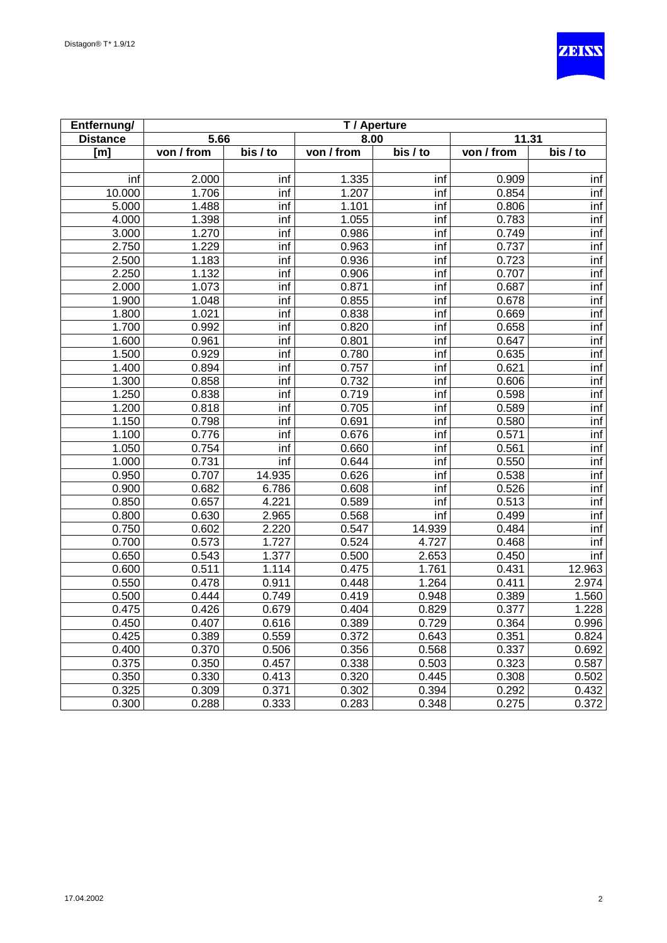

| Entfernung/     | T / Aperture |          |            |                       |            |                       |
|-----------------|--------------|----------|------------|-----------------------|------------|-----------------------|
| <b>Distance</b> | 5.66         |          | 8.00       |                       | 11.31      |                       |
| [m]             | von / from   | bis / to | von / from | $\overline{bis}$ / to | von / from | $\overline{bis}$ / to |
|                 |              |          |            |                       |            |                       |
| inf             | 2.000        | inf      | 1.335      | inf                   | 0.909      | inf                   |
| 10.000          | 1.706        | inf      | 1.207      | inf                   | 0.854      | inf                   |
| 5.000           | 1.488        | inf      | 1.101      | inf                   | 0.806      | inf                   |
| 4.000           | 1.398        | inf      | 1.055      | inf                   | 0.783      | inf                   |
| 3.000           | 1.270        | inf      | 0.986      | inf                   | 0.749      | inf                   |
| 2.750           | 1.229        | inf      | 0.963      | inf                   | 0.737      | inf                   |
| 2.500           | 1.183        | inf      | 0.936      | inf                   | 0.723      | inf                   |
| 2.250           | 1.132        | inf      | 0.906      | inf                   | 0.707      | inf                   |
| 2.000           | 1.073        | inf      | 0.871      | inf                   | 0.687      | inf                   |
| 1.900           | 1.048        | inf      | 0.855      | inf                   | 0.678      | inf                   |
| 1.800           | 1.021        | inf      | 0.838      | inf                   | 0.669      | inf                   |
| 1.700           | 0.992        | inf      | 0.820      | inf                   | 0.658      | inf                   |
| 1.600           | 0.961        | inf      | 0.801      | inf                   | 0.647      | inf                   |
| 1.500           | 0.929        | inf      | 0.780      | inf                   | 0.635      | inf                   |
| 1.400           | 0.894        | inf      | 0.757      | inf                   | 0.621      | inf                   |
| 1.300           | 0.858        | inf      | 0.732      | inf                   | 0.606      | inf                   |
| 1.250           | 0.838        | inf      | 0.719      | inf                   | 0.598      | inf                   |
| 1.200           | 0.818        | inf      | 0.705      | inf                   | 0.589      | inf                   |
| 1.150           | 0.798        | inf      | 0.691      | inf                   | 0.580      | inf                   |
| 1.100           | 0.776        | inf      | 0.676      | inf                   | 0.571      | inf                   |
| 1.050           | 0.754        | inf      | 0.660      | inf                   | 0.561      | inf                   |
| 1.000           | 0.731        | inf      | 0.644      | inf                   | 0.550      | inf                   |
| 0.950           | 0.707        | 14.935   | 0.626      | inf                   | 0.538      | inf                   |
| 0.900           | 0.682        | 6.786    | 0.608      | inf                   | 0.526      | inf                   |
| 0.850           | 0.657        | 4.221    | 0.589      | inf                   | 0.513      | inf                   |
| 0.800           | 0.630        | 2.965    | 0.568      | inf                   | 0.499      | inf                   |
| 0.750           | 0.602        | 2.220    | 0.547      | 14.939                | 0.484      | inf                   |
| 0.700           | 0.573        | 1.727    | 0.524      | 4.727                 | 0.468      | inf                   |
| 0.650           | 0.543        | 1.377    | 0.500      | 2.653                 | 0.450      | inf                   |
| 0.600           | 0.511        | 1.114    | 0.475      | 1.761                 | 0.431      | 12.963                |
| 0.550           | 0.478        | 0.911    | 0.448      | 1.264                 | 0.411      | 2.974                 |
| 0.500           | 0.444        | 0.749    | 0.419      | 0.948                 | 0.389      | 1.560                 |
| 0.475           | 0.426        | 0.679    | 0.404      | 0.829                 | 0.377      | 1.228                 |
| 0.450           | 0.407        | 0.616    | 0.389      | 0.729                 | 0.364      | 0.996                 |
| 0.425           | 0.389        | 0.559    | 0.372      | 0.643                 | 0.351      | 0.824                 |
| 0.400           | 0.370        | 0.506    | 0.356      | 0.568                 | 0.337      | 0.692                 |
| 0.375           | 0.350        | 0.457    | 0.338      | 0.503                 | 0.323      | 0.587                 |
| 0.350           | 0.330        | 0.413    | 0.320      | 0.445                 | 0.308      | 0.502                 |
| 0.325           | 0.309        | 0.371    | 0.302      | 0.394                 | 0.292      | 0.432                 |
| 0.300           | 0.288        | 0.333    | 0.283      | 0.348                 | 0.275      | 0.372                 |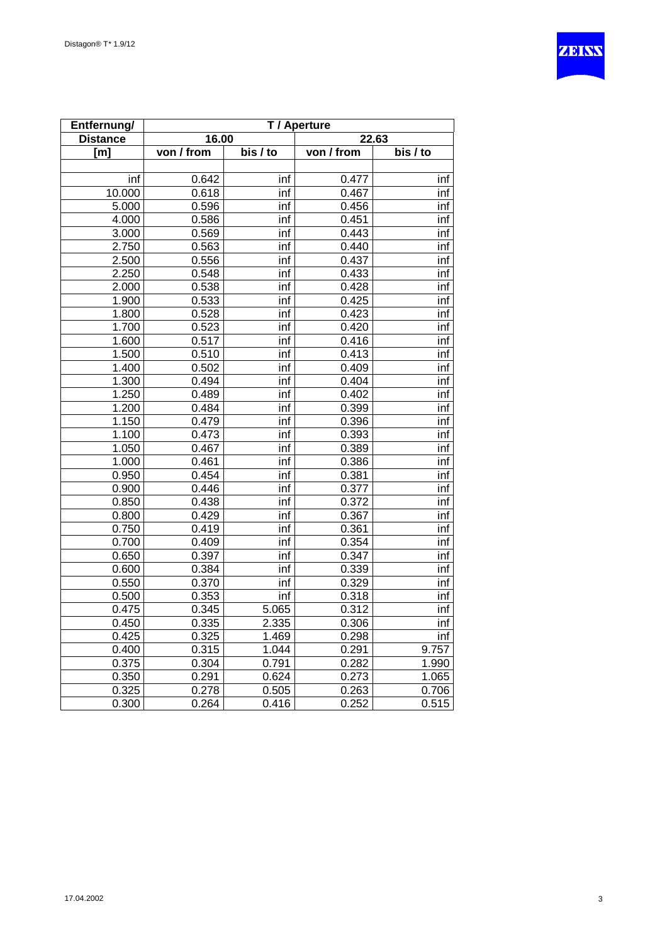

| Entfernung/     | T / Aperture |                       |            |          |  |  |
|-----------------|--------------|-----------------------|------------|----------|--|--|
| <b>Distance</b> | 16.00        |                       |            | 22.63    |  |  |
| [m]             | von / from   | $\overline{bis}$ / to | von / from | bis / to |  |  |
|                 |              |                       |            |          |  |  |
| inf             | 0.642        | inf                   | 0.477      | inf      |  |  |
| 10.000          | 0.618        | inf                   | 0.467      | inf      |  |  |
| 5.000           | 0.596        | inf                   | 0.456      | inf      |  |  |
| 4.000           | 0.586        | inf                   | 0.451      | inf      |  |  |
| 3.000           | 0.569        | inf                   | 0.443      | inf      |  |  |
| 2.750           | 0.563        | inf                   | 0.440      | inf      |  |  |
| 2.500           | 0.556        | inf                   | 0.437      | inf      |  |  |
| 2.250           | 0.548        | inf                   | 0.433      | inf      |  |  |
| 2.000           | 0.538        | inf                   | 0.428      | inf      |  |  |
| 1.900           | 0.533        | inf                   | 0.425      | inf      |  |  |
| 1.800           | 0.528        | inf                   | 0.423      | inf      |  |  |
| 1.700           | 0.523        | inf                   | 0.420      | inf      |  |  |
| 1.600           | 0.517        | inf                   | 0.416      | inf      |  |  |
| 1.500           | 0.510        | inf                   | 0.413      | inf      |  |  |
| 1.400           | 0.502        | inf                   | 0.409      | inf      |  |  |
| 1.300           | 0.494        | inf                   | 0.404      | inf      |  |  |
| 1.250           | 0.489        | inf                   | 0.402      | inf      |  |  |
| 1.200           | 0.484        | inf                   | 0.399      | inf      |  |  |
| 1.150           | 0.479        | inf                   | 0.396      | inf      |  |  |
| 1.100           | 0.473        | inf                   | 0.393      | inf      |  |  |
| 1.050           | 0.467        | inf                   | 0.389      | inf      |  |  |
| 1.000           | 0.461        | inf                   | 0.386      | inf      |  |  |
| 0.950           | 0.454        | inf                   | 0.381      | inf      |  |  |
| 0.900           | 0.446        | inf                   | 0.377      | inf      |  |  |
| 0.850           | 0.438        | inf                   | 0.372      | inf      |  |  |
| 0.800           | 0.429        | inf                   | 0.367      | inf      |  |  |
| 0.750           | 0.419        | inf                   | 0.361      | inf      |  |  |
| 0.700           | 0.409        | inf                   | 0.354      | inf      |  |  |
| 0.650           | 0.397        | inf                   | 0.347      | inf      |  |  |
| 0.600           | 0.384        | inf                   | 0.339      | inf      |  |  |
| 0.550           | 0.370        | inf                   | 0.329      | inf      |  |  |
| 0.500           | 0.353        | inf                   | 0.318      | inf      |  |  |
| 0.475           | 0.345        | 5.065                 | 0.312      | inf      |  |  |
| 0.450           | 0.335        | 2.335                 | 0.306      | inf      |  |  |
| 0.425           | 0.325        | 1.469                 | 0.298      | inf      |  |  |
| 0.400           | 0.315        | 1.044                 | 0.291      | 9.757    |  |  |
| 0.375           | 0.304        | 0.791                 | 0.282      | 1.990    |  |  |
| 0.350           | 0.291        | 0.624                 | 0.273      | 1.065    |  |  |
| 0.325           | 0.278        | 0.505                 | 0.263      | 0.706    |  |  |
| 0.300           | 0.264        | 0.416                 | 0.252      | 0.515    |  |  |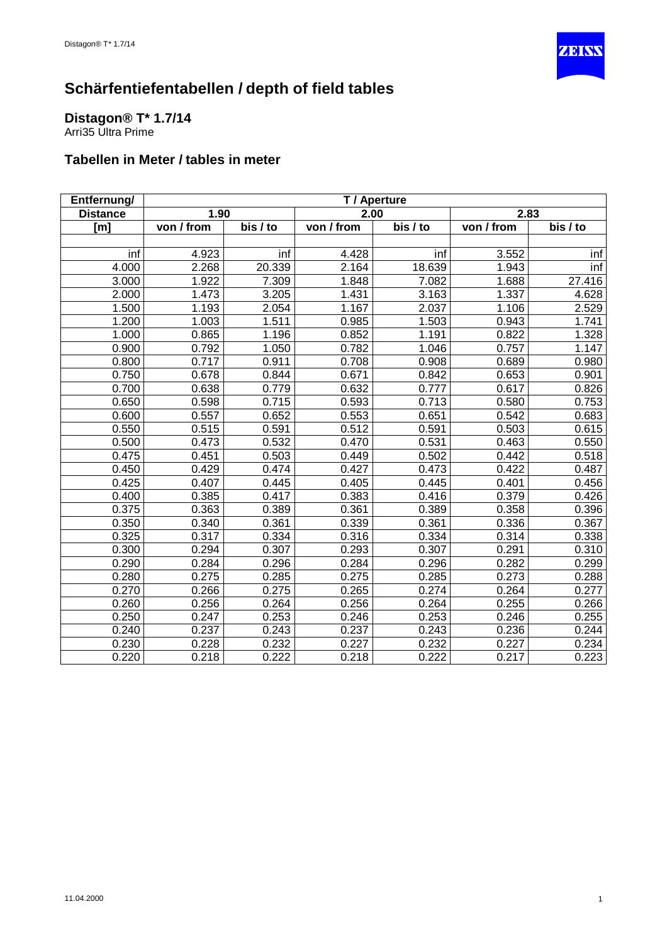

# <span id="page-7-0"></span>**Distagon® T\* 1.7/14**

Arri35 Ultra Prime

| Entfernung/     | T / Aperture |          |            |          |            |          |
|-----------------|--------------|----------|------------|----------|------------|----------|
| <b>Distance</b> | 1.90         |          | 2.00       |          | 2.83       |          |
| [m]             | von / from   | bis / to | von / from | bis / to | von / from | bis / to |
|                 |              |          |            |          |            |          |
| inf             | 4.923        | inf      | 4.428      | inf      | 3.552      | inf      |
| 4.000           | 2.268        | 20.339   | 2.164      | 18.639   | 1.943      | inf      |
| 3.000           | 1.922        | 7.309    | 1.848      | 7.082    | 1.688      | 27.416   |
| 2.000           | 1.473        | 3.205    | 1.431      | 3.163    | 1.337      | 4.628    |
| 1.500           | 1.193        | 2.054    | 1.167      | 2.037    | 1.106      | 2.529    |
| 1.200           | 1.003        | 1.511    | 0.985      | 1.503    | 0.943      | 1.741    |
| 1.000           | 0.865        | 1.196    | 0.852      | 1.191    | 0.822      | 1.328    |
| 0.900           | 0.792        | 1.050    | 0.782      | 1.046    | 0.757      | 1.147    |
| 0.800           | 0.717        | 0.911    | 0.708      | 0.908    | 0.689      | 0.980    |
| 0.750           | 0.678        | 0.844    | 0.671      | 0.842    | 0.653      | 0.901    |
| 0.700           | 0.638        | 0.779    | 0.632      | 0.777    | 0.617      | 0.826    |
| 0.650           | 0.598        | 0.715    | 0.593      | 0.713    | 0.580      | 0.753    |
| 0.600           | 0.557        | 0.652    | 0.553      | 0.651    | 0.542      | 0.683    |
| 0.550           | 0.515        | 0.591    | 0.512      | 0.591    | 0.503      | 0.615    |
| 0.500           | 0.473        | 0.532    | 0.470      | 0.531    | 0.463      | 0.550    |
| 0.475           | 0.451        | 0.503    | 0.449      | 0.502    | 0.442      | 0.518    |
| 0.450           | 0.429        | 0.474    | 0.427      | 0.473    | 0.422      | 0.487    |
| 0.425           | 0.407        | 0.445    | 0.405      | 0.445    | 0.401      | 0.456    |
| 0.400           | 0.385        | 0.417    | 0.383      | 0.416    | 0.379      | 0.426    |
| 0.375           | 0.363        | 0.389    | 0.361      | 0.389    | 0.358      | 0.396    |
| 0.350           | 0.340        | 0.361    | 0.339      | 0.361    | 0.336      | 0.367    |
| 0.325           | 0.317        | 0.334    | 0.316      | 0.334    | 0.314      | 0.338    |
| 0.300           | 0.294        | 0.307    | 0.293      | 0.307    | 0.291      | 0.310    |
| 0.290           | 0.284        | 0.296    | 0.284      | 0.296    | 0.282      | 0.299    |
| 0.280           | 0.275        | 0.285    | 0.275      | 0.285    | 0.273      | 0.288    |
| 0.270           | 0.266        | 0.275    | 0.265      | 0.274    | 0.264      | 0.277    |
| 0.260           | 0.256        | 0.264    | 0.256      | 0.264    | 0.255      | 0.266    |
| 0.250           | 0.247        | 0.253    | 0.246      | 0.253    | 0.246      | 0.255    |
| 0.240           | 0.237        | 0.243    | 0.237      | 0.243    | 0.236      | 0.244    |
| 0.230           | 0.228        | 0.232    | 0.227      | 0.232    | 0.227      | 0.234    |
| 0.220           | 0.218        | 0.222    | 0.218      | 0.222    | 0.217      | 0.223    |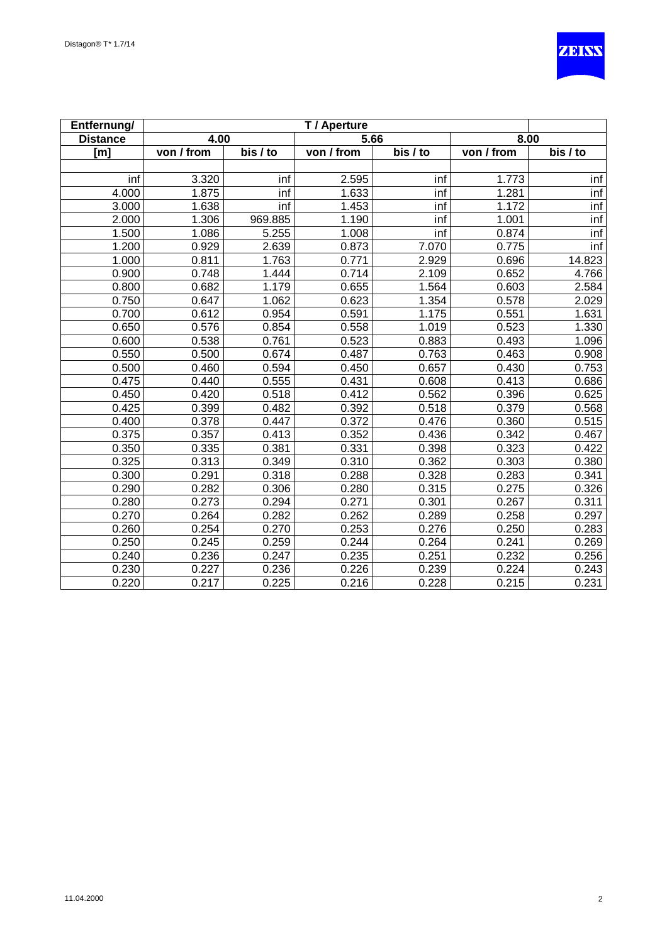

| Entfernung/        |            |          | T / Aperture |          |            |          |
|--------------------|------------|----------|--------------|----------|------------|----------|
| <b>Distance</b>    | 4.00       |          | 5.66         |          | 8.00       |          |
| [m]                | von / from | bis / to | von / from   | bis / to | von / from | bis / to |
|                    |            |          |              |          |            |          |
| inf                | 3.320      | inf      | 2.595        | inf      | 1.773      | inf      |
| $\overline{4.000}$ | 1.875      | inf      | 1.633        | inf      | 1.281      | inf      |
| 3.000              | 1.638      | inf      | 1.453        | inf      | 1.172      | inf      |
| 2.000              | 1.306      | 969.885  | 1.190        | inf      | 1.001      | inf      |
| 1.500              | 1.086      | 5.255    | 1.008        | inf      | 0.874      | inf      |
| 1.200              | 0.929      | 2.639    | 0.873        | 7.070    | 0.775      | inf      |
| 1.000              | 0.811      | 1.763    | 0.771        | 2.929    | 0.696      | 14.823   |
| 0.900              | 0.748      | 1.444    | 0.714        | 2.109    | 0.652      | 4.766    |
| 0.800              | 0.682      | 1.179    | 0.655        | 1.564    | 0.603      | 2.584    |
| 0.750              | 0.647      | 1.062    | 0.623        | 1.354    | 0.578      | 2.029    |
| 0.700              | 0.612      | 0.954    | 0.591        | 1.175    | 0.551      | 1.631    |
| 0.650              | 0.576      | 0.854    | 0.558        | 1.019    | 0.523      | 1.330    |
| 0.600              | 0.538      | 0.761    | 0.523        | 0.883    | 0.493      | 1.096    |
| 0.550              | 0.500      | 0.674    | 0.487        | 0.763    | 0.463      | 0.908    |
| 0.500              | 0.460      | 0.594    | 0.450        | 0.657    | 0.430      | 0.753    |
| 0.475              | 0.440      | 0.555    | 0.431        | 0.608    | 0.413      | 0.686    |
| 0.450              | 0.420      | 0.518    | 0.412        | 0.562    | 0.396      | 0.625    |
| 0.425              | 0.399      | 0.482    | 0.392        | 0.518    | 0.379      | 0.568    |
| 0.400              | 0.378      | 0.447    | 0.372        | 0.476    | 0.360      | 0.515    |
| 0.375              | 0.357      | 0.413    | 0.352        | 0.436    | 0.342      | 0.467    |
| 0.350              | 0.335      | 0.381    | 0.331        | 0.398    | 0.323      | 0.422    |
| 0.325              | 0.313      | 0.349    | 0.310        | 0.362    | 0.303      | 0.380    |
| 0.300              | 0.291      | 0.318    | 0.288        | 0.328    | 0.283      | 0.341    |
| 0.290              | 0.282      | 0.306    | 0.280        | 0.315    | 0.275      | 0.326    |
| 0.280              | 0.273      | 0.294    | 0.271        | 0.301    | 0.267      | 0.311    |
| 0.270              | 0.264      | 0.282    | 0.262        | 0.289    | 0.258      | 0.297    |
| 0.260              | 0.254      | 0.270    | 0.253        | 0.276    | 0.250      | 0.283    |
| 0.250              | 0.245      | 0.259    | 0.244        | 0.264    | 0.241      | 0.269    |
| 0.240              | 0.236      | 0.247    | 0.235        | 0.251    | 0.232      | 0.256    |
| 0.230              | 0.227      | 0.236    | 0.226        | 0.239    | 0.224      | 0.243    |
| 0.220              | 0.217      | 0.225    | 0.216        | 0.228    | 0.215      | 0.231    |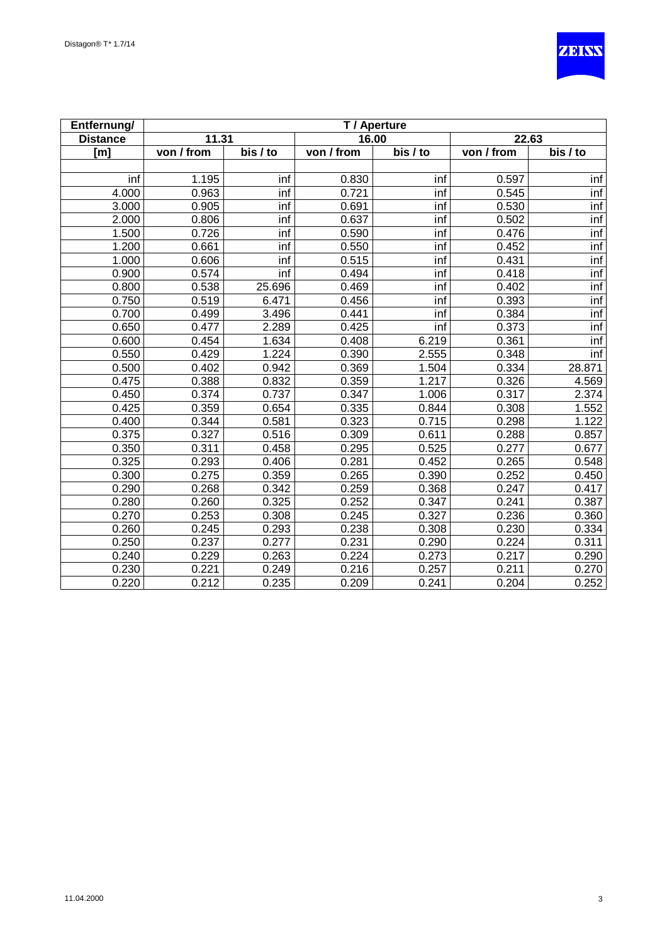

| Entfernung/     | T / Aperture |                           |            |                       |            |          |  |
|-----------------|--------------|---------------------------|------------|-----------------------|------------|----------|--|
| <b>Distance</b> | 11.31        |                           | 16.00      |                       | 22.63      |          |  |
| [m]             | von / from   | bis / to                  | von / from | $\overline{bis}$ / to | von / from | bis / to |  |
|                 |              |                           |            |                       |            |          |  |
| inf             | 1.195        | inf                       | 0.830      | inf                   | 0.597      | inf      |  |
| 4.000           | 0.963        | inf                       | 0.721      | inf                   | 0.545      | inf      |  |
| 3.000           | 0.905        | inf                       | 0.691      | inf                   | 0.530      | inf      |  |
| 2.000           | 0.806        | inf                       | 0.637      | inf                   | 0.502      | inf      |  |
| 1.500           | 0.726        | inf                       | 0.590      | inf                   | 0.476      | inf      |  |
| 1.200           | 0.661        | inf                       | 0.550      | inf                   | 0.452      | inf      |  |
| 1.000           | 0.606        | inf                       | 0.515      | inf                   | 0.431      | inf      |  |
| 0.900           | 0.574        | $\overline{\mathsf{inf}}$ | 0.494      | inf                   | 0.418      | inf      |  |
| 0.800           | 0.538        | 25.696                    | 0.469      | inf                   | 0.402      | inf      |  |
| 0.750           | 0.519        | 6.471                     | 0.456      | inf                   | 0.393      | inf      |  |
| 0.700           | 0.499        | 3.496                     | 0.441      | inf                   | 0.384      | inf      |  |
| 0.650           | 0.477        | 2.289                     | 0.425      | inf                   | 0.373      | inf      |  |
| 0.600           | 0.454        | 1.634                     | 0.408      | 6.219                 | 0.361      | inf      |  |
| 0.550           | 0.429        | 1.224                     | 0.390      | 2.555                 | 0.348      | inf      |  |
| 0.500           | 0.402        | 0.942                     | 0.369      | 1.504                 | 0.334      | 28.871   |  |
| 0.475           | 0.388        | 0.832                     | 0.359      | 1.217                 | 0.326      | 4.569    |  |
| 0.450           | 0.374        | 0.737                     | 0.347      | 1.006                 | 0.317      | 2.374    |  |
| 0.425           | 0.359        | 0.654                     | 0.335      | 0.844                 | 0.308      | 1.552    |  |
| 0.400           | 0.344        | 0.581                     | 0.323      | 0.715                 | 0.298      | 1.122    |  |
| 0.375           | 0.327        | 0.516                     | 0.309      | 0.611                 | 0.288      | 0.857    |  |
| 0.350           | 0.311        | 0.458                     | 0.295      | 0.525                 | 0.277      | 0.677    |  |
| 0.325           | 0.293        | 0.406                     | 0.281      | 0.452                 | 0.265      | 0.548    |  |
| 0.300           | 0.275        | 0.359                     | 0.265      | 0.390                 | 0.252      | 0.450    |  |
| 0.290           | 0.268        | 0.342                     | 0.259      | 0.368                 | 0.247      | 0.417    |  |
| 0.280           | 0.260        | 0.325                     | 0.252      | 0.347                 | 0.241      | 0.387    |  |
| 0.270           | 0.253        | 0.308                     | 0.245      | 0.327                 | 0.236      | 0.360    |  |
| 0.260           | 0.245        | 0.293                     | 0.238      | 0.308                 | 0.230      | 0.334    |  |
| 0.250           | 0.237        | 0.277                     | 0.231      | 0.290                 | 0.224      | 0.311    |  |
| 0.240           | 0.229        | 0.263                     | 0.224      | 0.273                 | 0.217      | 0.290    |  |
| 0.230           | 0.221        | 0.249                     | 0.216      | 0.257                 | 0.211      | 0.270    |  |
| 0.220           | 0.212        | 0.235                     | 0.209      | 0.241                 | 0.204      | 0.252    |  |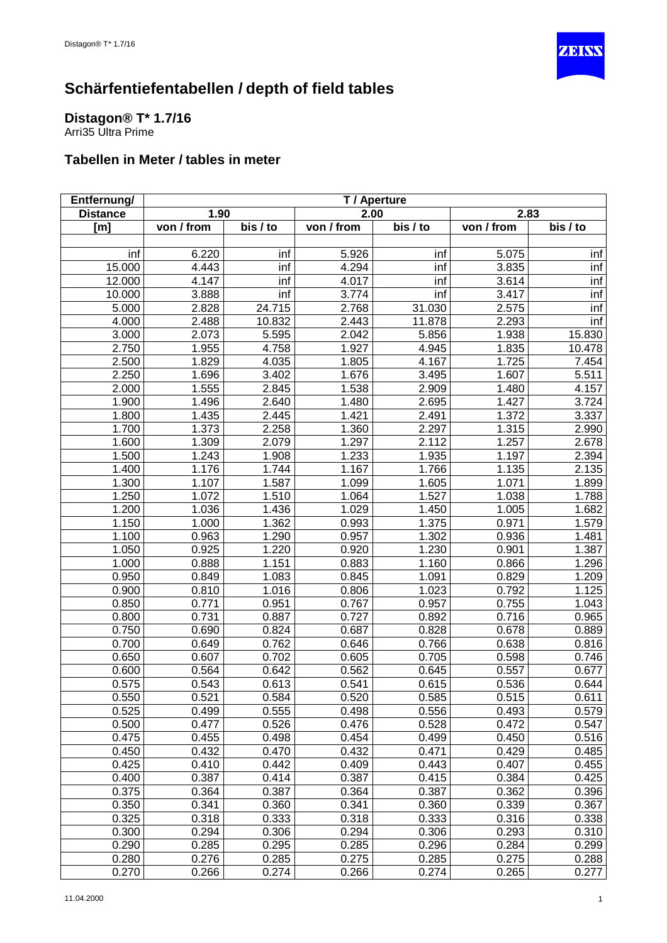

# <span id="page-10-0"></span>**Distagon® T\* 1.7/16**

Arri35 Ultra Prime

| Entfernung/     | T / Aperture |          |            |          |            |          |
|-----------------|--------------|----------|------------|----------|------------|----------|
| <b>Distance</b> | 1.90         |          | 2.00       |          | 2.83       |          |
| [m]             | von / from   | bis / to | von / from | bis / to | von / from | bis / to |
|                 |              |          |            |          |            |          |
| inf             | 6.220        | inf      | 5.926      | inf      | 5.075      | inf      |
| 15.000          | 4.443        | inf      | 4.294      | inf      | 3.835      | inf      |
| 12.000          | 4.147        | inf      | 4.017      | inf      | 3.614      | inf      |
| 10.000          | 3.888        | inf      | 3.774      | inf      | 3.417      | inf      |
| 5.000           | 2.828        | 24.715   | 2.768      | 31.030   | 2.575      | inf      |
| 4.000           | 2.488        | 10.832   | 2.443      | 11.878   | 2.293      | inf      |
| 3.000           | 2.073        | 5.595    | 2.042      | 5.856    | 1.938      | 15.830   |
| 2.750           | 1.955        | 4.758    | 1.927      | 4.945    | 1.835      | 10.478   |
| 2.500           | 1.829        | 4.035    | 1.805      | 4.167    | 1.725      | 7.454    |
| 2.250           | 1.696        | 3.402    | 1.676      | 3.495    | 1.607      | 5.511    |
| 2.000           | 1.555        | 2.845    | 1.538      | 2.909    | 1.480      | 4.157    |
| 1.900           | 1.496        | 2.640    | 1.480      | 2.695    | 1.427      | 3.724    |
| 1.800           | 1.435        | 2.445    | 1.421      | 2.491    | 1.372      | 3.337    |
| 1.700           | 1.373        | 2.258    | 1.360      | 2.297    | 1.315      | 2.990    |
| 1.600           | 1.309        | 2.079    | 1.297      | 2.112    | 1.257      | 2.678    |
| 1.500           | 1.243        | 1.908    | 1.233      | 1.935    | 1.197      | 2.394    |
| 1.400           | 1.176        | 1.744    | 1.167      | 1.766    | 1.135      | 2.135    |
| 1.300           | 1.107        | 1.587    | 1.099      | 1.605    | 1.071      | 1.899    |
| 1.250           | 1.072        | 1.510    | 1.064      | 1.527    | 1.038      | 1.788    |
| 1.200           | 1.036        | 1.436    | 1.029      | 1.450    | 1.005      | 1.682    |
| 1.150           | 1.000        | 1.362    | 0.993      | 1.375    | 0.971      | 1.579    |
| 1.100           | 0.963        | 1.290    | 0.957      | 1.302    | 0.936      | 1.481    |
| 1.050           | 0.925        | 1.220    | 0.920      | 1.230    | 0.901      | 1.387    |
| 1.000           | 0.888        | 1.151    | 0.883      | 1.160    | 0.866      | 1.296    |
| 0.950           | 0.849        | 1.083    | 0.845      | 1.091    | 0.829      | 1.209    |
| 0.900           | 0.810        | 1.016    | 0.806      | 1.023    | 0.792      | 1.125    |
| 0.850           | 0.771        | 0.951    | 0.767      | 0.957    | 0.755      | 1.043    |
| 0.800           | 0.731        | 0.887    | 0.727      | 0.892    | 0.716      | 0.965    |
| 0.750           | 0.690        | 0.824    | 0.687      | 0.828    | 0.678      | 0.889    |
| 0.700           | 0.649        | 0.762    | 0.646      | 0.766    | 0.638      | 0.816    |
| 0.650           | 0.607        | 0.702    | 0.605      | 0.705    | 0.598      | 0.746    |
| 0.600           | 0.564        | 0.642    | 0.562      | 0.645    | 0.557      | 0.677    |
| 0.575           | 0.543        | 0.613    | 0.541      | 0.615    | 0.536      | 0.644    |
| 0.550           | 0.521        | 0.584    | 0.520      | 0.585    | 0.515      | 0.611    |
| 0.525           | 0.499        | 0.555    | 0.498      | 0.556    | 0.493      | 0.579    |
| 0.500           | 0.477        | 0.526    | 0.476      | 0.528    | 0.472      | 0.547    |
| 0.475           | 0.455        | 0.498    | 0.454      | 0.499    | 0.450      | 0.516    |
| 0.450           | 0.432        | 0.470    | 0.432      | 0.471    | 0.429      | 0.485    |
| 0.425           | 0.410        | 0.442    | 0.409      | 0.443    | 0.407      | 0.455    |
| 0.400           | 0.387        | 0.414    | 0.387      | 0.415    | 0.384      | 0.425    |
| 0.375           | 0.364        | 0.387    | 0.364      | 0.387    | 0.362      | 0.396    |
| 0.350           | 0.341        | 0.360    | 0.341      | 0.360    | 0.339      | 0.367    |
| 0.325           | 0.318        | 0.333    | 0.318      | 0.333    | 0.316      | 0.338    |
| 0.300           | 0.294        | 0.306    | 0.294      | 0.306    | 0.293      | 0.310    |
| 0.290           | 0.285        | 0.295    | 0.285      | 0.296    | 0.284      | 0.299    |
| 0.280           | 0.276        | 0.285    | 0.275      | 0.285    | 0.275      | 0.288    |
| 0.270           | 0.266        | 0.274    | 0.266      | 0.274    | 0.265      | 0.277    |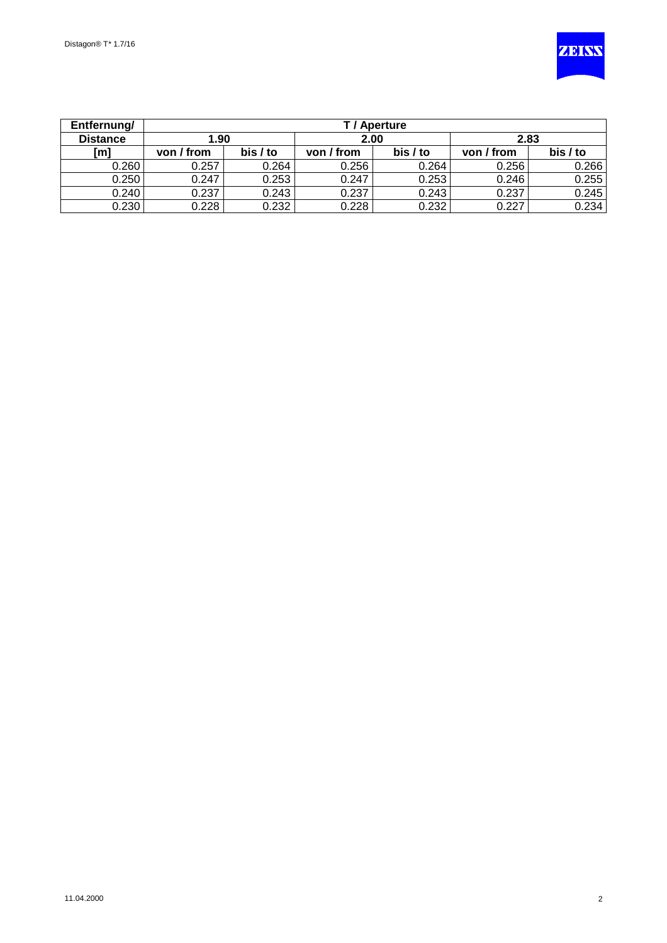

| Entfernung/     |            | T / Aperture         |            |          |            |          |  |  |  |
|-----------------|------------|----------------------|------------|----------|------------|----------|--|--|--|
| <b>Distance</b> |            | 1.90<br>2.83<br>2.00 |            |          |            |          |  |  |  |
| [m]             | von / from | bis / to             | von / from | bis / to | von / from | bis / to |  |  |  |
| 0.260           | 0.257      | 0.264                | 0.256      | 0.264    | 0.256      | 0.266    |  |  |  |
| 0.250           | 0.247      | 0.253                | 0.247      | 0.253    | 0.246      | 0.255    |  |  |  |
| 0.240           | 0.237      | 0.243                | 0.237      | 0.243    | 0.237      | 0.245    |  |  |  |
| 0.230           | 0.228      | 0.232                | 0.228      | 0.232    | 0.227      | 0.234    |  |  |  |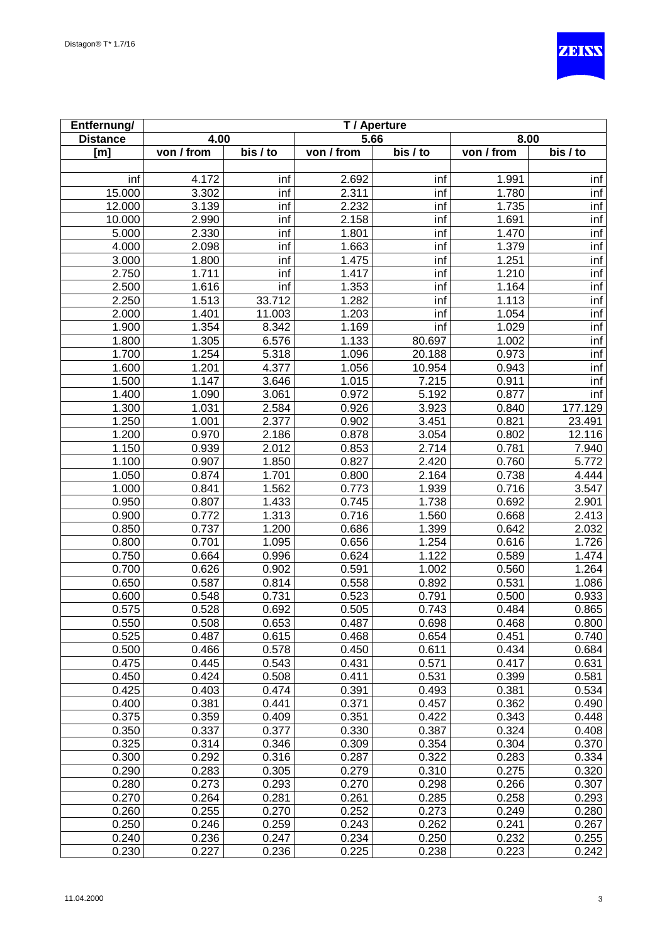

| Entfernung/     | T / Aperture |                       |            |          |                    |                        |
|-----------------|--------------|-----------------------|------------|----------|--------------------|------------------------|
| <b>Distance</b> | 4.00         |                       | 5.66       |          | 8.00               |                        |
| [m]             | von / from   | $\overline{bis}$ / to | von / from | bis / to | von / from         | $\overline{b}$ is / to |
|                 |              |                       |            |          |                    |                        |
| inf             | 4.172        | inf                   | 2.692      | inf      | 1.991              | inf                    |
| 15.000          | 3.302        | inf                   | 2.311      | inf      | 1.780              | inf                    |
| 12.000          | 3.139        | inf                   | 2.232      | inf      | 1.735              | inf                    |
| 10.000          | 2.990        | inf                   | 2.158      | inf      | 1.691              | inf                    |
| 5.000           | 2.330        | inf                   | 1.801      | inf      | 1.470              | inf                    |
| 4.000           | 2.098        | inf                   | 1.663      | inf      | 1.379              | inf                    |
| 3.000           | 1.800        | inf                   | 1.475      | inf      | 1.251              | inf                    |
| 2.750           | 1.711        | inf                   | 1.417      | inf      | 1.210              | inf                    |
| 2.500           | 1.616        | inf                   | 1.353      | inf      | 1.164              | inf                    |
| 2.250           | 1.513        | 33.712                | 1.282      | inf      | $\overline{1.113}$ | inf                    |
| 2.000           | 1.401        | 11.003                | 1.203      | inf      | 1.054              | inf                    |
| 1.900           | 1.354        | 8.342                 | 1.169      | inf      | 1.029              | inf                    |
| 1.800           | 1.305        | 6.576                 | 1.133      | 80.697   | 1.002              | inf                    |
| 1.700           | 1.254        | 5.318                 | 1.096      | 20.188   | 0.973              | inf                    |
| 1.600           | 1.201        | 4.377                 | 1.056      | 10.954   | 0.943              | inf                    |
| 1.500           | 1.147        | 3.646                 | 1.015      | 7.215    | 0.911              | inf                    |
| 1.400           | 1.090        | 3.061                 | 0.972      | 5.192    | 0.877              | inf                    |
| 1.300           | 1.031        | 2.584                 | 0.926      | 3.923    | 0.840              | 177.129                |
| 1.250           | 1.001        | 2.377                 | 0.902      | 3.451    | 0.821              | 23.491                 |
| 1.200           | 0.970        | 2.186                 | 0.878      | 3.054    | 0.802              | 12.116                 |
| 1.150           | 0.939        | 2.012                 | 0.853      | 2.714    | 0.781              | 7.940                  |
| 1.100           | 0.907        | 1.850                 | 0.827      | 2.420    | 0.760              | 5.772                  |
| 1.050           | 0.874        | 1.701                 | 0.800      | 2.164    | 0.738              | 4.444                  |
| 1.000           | 0.841        | 1.562                 | 0.773      | 1.939    | 0.716              | 3.547                  |
| 0.950           | 0.807        | 1.433                 | 0.745      | 1.738    | 0.692              | 2.901                  |
| 0.900           | 0.772        | 1.313                 | 0.716      | 1.560    | 0.668              | 2.413                  |
| 0.850           | 0.737        | 1.200                 | 0.686      | 1.399    | 0.642              | 2.032                  |
| 0.800           | 0.701        | 1.095                 | 0.656      | 1.254    | 0.616              | 1.726                  |
| 0.750           | 0.664        | 0.996                 | 0.624      | 1.122    | 0.589              | 1.474                  |
| 0.700           | 0.626        | 0.902                 | 0.591      | 1.002    | 0.560              | 1.264                  |
| 0.650           | 0.587        | 0.814                 | 0.558      | 0.892    | 0.531              | 1.086                  |
| 0.600           | 0.548        | 0.731                 | 0.523      | 0.791    | 0.500              | 0.933                  |
| 0.575           | 0.528        | 0.692                 | 0.505      | 0.743    | 0.484              | 0.865                  |
| 0.550           | 0.508        | 0.653                 | 0.487      | 0.698    | 0.468              | 0.800                  |
| 0.525           | 0.487        | 0.615                 | 0.468      | 0.654    | 0.451              | 0.740                  |
| 0.500           | 0.466        | 0.578                 | 0.450      | 0.611    | 0.434              | 0.684                  |
| 0.475           | 0.445        | 0.543                 | 0.431      | 0.571    | 0.417              | 0.631                  |
| 0.450           | 0.424        | 0.508                 | 0.411      | 0.531    | 0.399              | 0.581                  |
| 0.425           | 0.403        | 0.474                 | 0.391      | 0.493    | 0.381              | 0.534                  |
| 0.400           | 0.381        | 0.441                 | 0.371      | 0.457    | 0.362              | 0.490                  |
| 0.375           | 0.359        | 0.409                 | 0.351      | 0.422    | 0.343              | 0.448                  |
| 0.350           | 0.337        | 0.377                 | 0.330      | 0.387    | 0.324              | 0.408                  |
| 0.325           | 0.314        | 0.346                 | 0.309      | 0.354    | 0.304              | 0.370                  |
| 0.300           | 0.292        | 0.316                 | 0.287      | 0.322    | 0.283              | 0.334                  |
| 0.290           | 0.283        | 0.305                 | 0.279      | 0.310    | 0.275              | 0.320                  |
| 0.280           | 0.273        | 0.293                 | 0.270      | 0.298    | 0.266              | 0.307                  |
| 0.270           | 0.264        | 0.281                 | 0.261      | 0.285    | 0.258              | 0.293                  |
| 0.260           | 0.255        | 0.270                 | 0.252      | 0.273    | 0.249              | 0.280                  |
| 0.250           | 0.246        | 0.259                 | 0.243      | 0.262    | 0.241              | 0.267                  |
| 0.240           | 0.236        | 0.247                 | 0.234      | 0.250    | 0.232              | 0.255                  |
| 0.230           | 0.227        | 0.236                 | 0.225      | 0.238    | 0.223              | 0.242                  |
|                 |              |                       |            |          |                    |                        |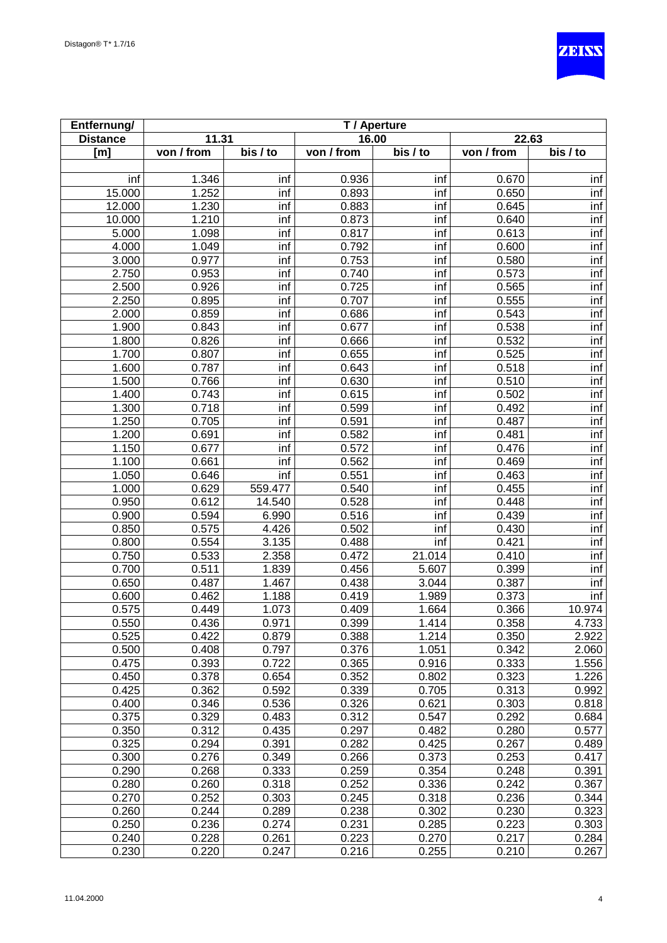

| Entfernung/     | T / Aperture |          |            |          |            |          |
|-----------------|--------------|----------|------------|----------|------------|----------|
| <b>Distance</b> | 11.31        |          | 16.00      |          | 22.63      |          |
| [m]             | von / from   | bis / to | von / from | bis / to | von / from | bis / to |
|                 |              |          |            |          |            |          |
| inf             | 1.346        | inf      | 0.936      | inf      | 0.670      | inf      |
| 15.000          | 1.252        | inf      | 0.893      | inf      | 0.650      | inf      |
| 12.000          | 1.230        | inf      | 0.883      | inf      | 0.645      | inf      |
| 10.000          | 1.210        | inf      | 0.873      | inf      | 0.640      | inf      |
| 5.000           | 1.098        | inf      | 0.817      | inf      | 0.613      | inf      |
| 4.000           | 1.049        | inf      | 0.792      | inf      | 0.600      | inf      |
| 3.000           | 0.977        | inf      | 0.753      | inf      | 0.580      | inf      |
| 2.750           | 0.953        | inf      | 0.740      | inf      | 0.573      | inf      |
| 2.500           | 0.926        | inf      | 0.725      | inf      | 0.565      | inf      |
| 2.250           | 0.895        | inf      | 0.707      | inf      | 0.555      | inf      |
| 2.000           | 0.859        | inf      | 0.686      | inf      | 0.543      | inf      |
| 1.900           | 0.843        | inf      | 0.677      | inf      | 0.538      | inf      |
| 1.800           | 0.826        | inf      | 0.666      | inf      | 0.532      | inf      |
| 1.700           | 0.807        | inf      | 0.655      | inf      | 0.525      | inf      |
| 1.600           | 0.787        | inf      | 0.643      | inf      | 0.518      | inf      |
| 1.500           | 0.766        | inf      | 0.630      | inf      | 0.510      | inf      |
| 1.400           | 0.743        | inf      | 0.615      | inf      | 0.502      | inf      |
| 1.300           | 0.718        | inf      | 0.599      | inf      | 0.492      | inf      |
| 1.250           | 0.705        | inf      | 0.591      | inf      | 0.487      | inf      |
| 1.200           | 0.691        | inf      | 0.582      | inf      | 0.481      | inf      |
| 1.150           | 0.677        | inf      | 0.572      | inf      | 0.476      | inf      |
| 1.100           | 0.661        | inf      | 0.562      | inf      | 0.469      | inf      |
| 1.050           | 0.646        | inf      | 0.551      | inf      | 0.463      | inf      |
| 1.000           | 0.629        | 559.477  | 0.540      | inf      | 0.455      | inf      |
| 0.950           | 0.612        | 14.540   | 0.528      | inf      | 0.448      | inf      |
| 0.900           | 0.594        | 6.990    | 0.516      | inf      | 0.439      | inf      |
| 0.850           | 0.575        | 4.426    | 0.502      | inf      | 0.430      | inf      |
| 0.800           | 0.554        | 3.135    | 0.488      | inf      | 0.421      | inf      |
| 0.750           | 0.533        | 2.358    | 0.472      | 21.014   | 0.410      | inf      |
| 0.700           | 0.511        | 1.839    | 0.456      | 5.607    | 0.399      | inf      |
| 0.650           | 0.487        | 1.467    | 0.438      | 3.044    | 0.387      | inf      |
| 0.600           | 0.462        | 1.188    | 0.419      | 1.989    | 0.373      | inf      |
| 0.575           | 0.449        | 1.073    | 0.409      | 1.664    | 0.366      | 10.974   |
| 0.550           | 0.436        | 0.971    | 0.399      | 1.414    | 0.358      | 4.733    |
| 0.525           | 0.422        | 0.879    | 0.388      | 1.214    | 0.350      | 2.922    |
| 0.500           | 0.408        | 0.797    | 0.376      | 1.051    | 0.342      | 2.060    |
| 0.475           | 0.393        | 0.722    | 0.365      | 0.916    | 0.333      | 1.556    |
| 0.450           | 0.378        | 0.654    | 0.352      | 0.802    | 0.323      | 1.226    |
| 0.425           | 0.362        | 0.592    | 0.339      | 0.705    | 0.313      | 0.992    |
| 0.400           | 0.346        | 0.536    | 0.326      | 0.621    | 0.303      | 0.818    |
| 0.375           | 0.329        | 0.483    | 0.312      | 0.547    | 0.292      | 0.684    |
| 0.350           | 0.312        | 0.435    | 0.297      | 0.482    | 0.280      | 0.577    |
| 0.325           | 0.294        | 0.391    | 0.282      | 0.425    | 0.267      | 0.489    |
| 0.300           | 0.276        | 0.349    | 0.266      | 0.373    | 0.253      | 0.417    |
| 0.290           | 0.268        | 0.333    | 0.259      | 0.354    | 0.248      | 0.391    |
| 0.280           | 0.260        | 0.318    | 0.252      | 0.336    | 0.242      | 0.367    |
| 0.270           | 0.252        | 0.303    | 0.245      | 0.318    | 0.236      | 0.344    |
| 0.260           | 0.244        | 0.289    | 0.238      | 0.302    | 0.230      | 0.323    |
| 0.250           | 0.236        | 0.274    | 0.231      | 0.285    | 0.223      | 0.303    |
| 0.240           | 0.228        | 0.261    | 0.223      | 0.270    | 0.217      | 0.284    |
| 0.230           | 0.220        | 0.247    | 0.216      | 0.255    | 0.210      | 0.267    |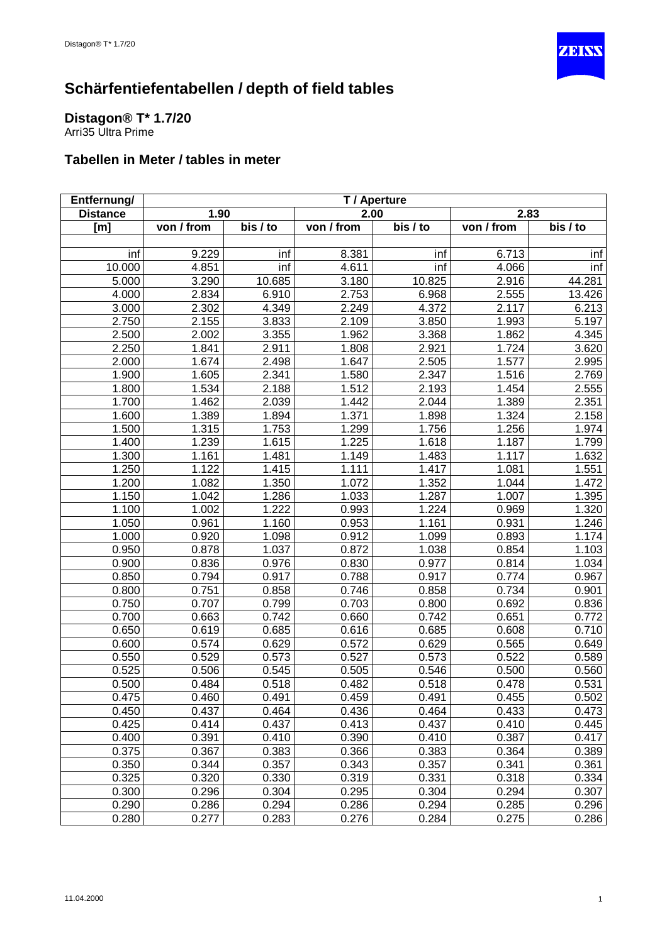

#### <span id="page-14-0"></span>**Distagon® T\* 1.7/20** Arri35 Ultra Prime

| Entfernung/     | T / Aperture |          |            |          |            |          |
|-----------------|--------------|----------|------------|----------|------------|----------|
| <b>Distance</b> | 1.90         |          | 2.00       |          | 2.83       |          |
| [m]             | von / from   | bis / to | von / from | bis / to | von / from | bis / to |
|                 |              |          |            |          |            |          |
| inf             | 9.229        | inf      | 8.381      | inf      | 6.713      | inf      |
| 10.000          | 4.851        | inf      | 4.611      | inf      | 4.066      | inf      |
| 5.000           | 3.290        | 10.685   | 3.180      | 10.825   | 2.916      | 44.281   |
| 4.000           | 2.834        | 6.910    | 2.753      | 6.968    | 2.555      | 13.426   |
| 3.000           | 2.302        | 4.349    | 2.249      | 4.372    | 2.117      | 6.213    |
| 2.750           | 2.155        | 3.833    | 2.109      | 3.850    | 1.993      | 5.197    |
| 2.500           | 2.002        | 3.355    | 1.962      | 3.368    | 1.862      | 4.345    |
| 2.250           | 1.841        | 2.911    | 1.808      | 2.921    | 1.724      | 3.620    |
| 2.000           | 1.674        | 2.498    | 1.647      | 2.505    | 1.577      | 2.995    |
| 1.900           | 1.605        | 2.341    | 1.580      | 2.347    | 1.516      | 2.769    |
| 1.800           | 1.534        | 2.188    | 1.512      | 2.193    | 1.454      | 2.555    |
| 1.700           | 1.462        | 2.039    | 1.442      | 2.044    | 1.389      | 2.351    |
| 1.600           | 1.389        | 1.894    | 1.371      | 1.898    | 1.324      | 2.158    |
| 1.500           | 1.315        | 1.753    | 1.299      | 1.756    | 1.256      | 1.974    |
| 1.400           | 1.239        | 1.615    | 1.225      | 1.618    | 1.187      | 1.799    |
| 1.300           | 1.161        | 1.481    | 1.149      | 1.483    | 1.117      | 1.632    |
| 1.250           | 1.122        | 1.415    | 1.111      | 1.417    | 1.081      | 1.551    |
| 1.200           | 1.082        | 1.350    | 1.072      | 1.352    | 1.044      | 1.472    |
| 1.150           | 1.042        | 1.286    | 1.033      | 1.287    | 1.007      | 1.395    |
| 1.100           | 1.002        | 1.222    | 0.993      | 1.224    | 0.969      | 1.320    |
| 1.050           | 0.961        | 1.160    | 0.953      | 1.161    | 0.931      | 1.246    |
| 1.000           | 0.920        | 1.098    | 0.912      | 1.099    | 0.893      | 1.174    |
| 0.950           | 0.878        | 1.037    | 0.872      | 1.038    | 0.854      | 1.103    |
| 0.900           | 0.836        | 0.976    | 0.830      | 0.977    | 0.814      | 1.034    |
| 0.850           | 0.794        | 0.917    | 0.788      | 0.917    | 0.774      | 0.967    |
| 0.800           | 0.751        | 0.858    | 0.746      | 0.858    | 0.734      | 0.901    |
| 0.750           | 0.707        | 0.799    | 0.703      | 0.800    | 0.692      | 0.836    |
| 0.700           | 0.663        | 0.742    | 0.660      | 0.742    | 0.651      | 0.772    |
| 0.650           | 0.619        | 0.685    | 0.616      | 0.685    | 0.608      | 0.710    |
| 0.600           | 0.574        | 0.629    | 0.572      | 0.629    | 0.565      | 0.649    |
| 0.550           | 0.529        | 0.573    | 0.527      | 0.573    | 0.522      | 0.589    |
| 0.525           | 0.506        | 0.545    | 0.505      | 0.546    | 0.500      | 0.560    |
| 0.500           | 0.484        | 0.518    | 0.482      | 0.518    | 0.478      | 0.531    |
| 0.475           | 0.460        | 0.491    | 0.459      | 0.491    | 0.455      | 0.502    |
| 0.450           | 0.437        | 0.464    | 0.436      | 0.464    | 0.433      | 0.473    |
| 0.425           | 0.414        | 0.437    | 0.413      | 0.437    | 0.410      | 0.445    |
| 0.400           | 0.391        | 0.410    | 0.390      | 0.410    | 0.387      | 0.417    |
| 0.375           | 0.367        | 0.383    | 0.366      | 0.383    | 0.364      | 0.389    |
| 0.350           | 0.344        | 0.357    | 0.343      | 0.357    | 0.341      | 0.361    |
| 0.325           | 0.320        | 0.330    | 0.319      | 0.331    | 0.318      | 0.334    |
| 0.300           | 0.296        | 0.304    | 0.295      | 0.304    | 0.294      | 0.307    |
| 0.290           | 0.286        | 0.294    | 0.286      | 0.294    | 0.285      | 0.296    |
| 0.280           | 0.277        | 0.283    | 0.276      | 0.284    | 0.275      | 0.286    |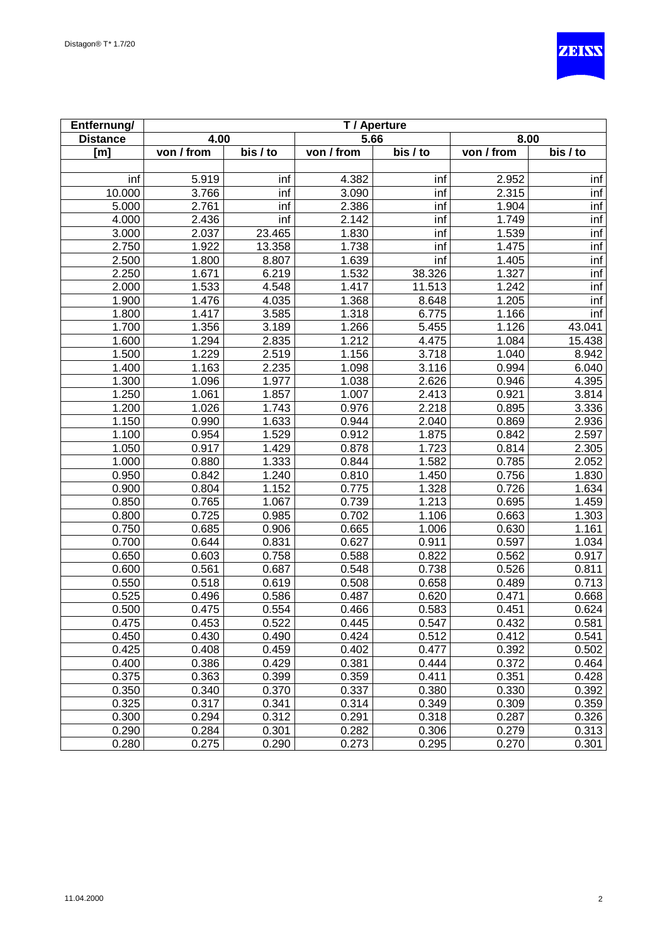

| Entfernung/     | T / Aperture |                    |                    |                       |            |          |
|-----------------|--------------|--------------------|--------------------|-----------------------|------------|----------|
| <b>Distance</b> | 4.00         |                    | 5.66               |                       | 8.00       |          |
| [m]             | von / from   | bis / to           | von / from         | $\overline{bis}$ / to | von / from | bis / to |
|                 |              |                    |                    |                       |            |          |
| inf             | 5.919        | inf                | 4.382              | inf                   | 2.952      | inf      |
| 10.000          | 3.766        | inf                | 3.090              | inf                   | 2.315      | inf      |
| 5.000           | 2.761        | inf                | 2.386              | inf                   | 1.904      | inf      |
| 4.000           | 2.436        | inf                | 2.142              | inf                   | 1.749      | inf      |
| 3.000           | 2.037        | 23.465             | 1.830              | inf                   | 1.539      | inf      |
| 2.750           | 1.922        | 13.358             | 1.738              | inf                   | 1.475      | inf      |
| 2.500           | 1.800        | 8.807              | 1.639              | inf                   | 1.405      | inf      |
| 2.250           | 1.671        | 6.219              | 1.532              | 38.326                | 1.327      | inf      |
| 2.000           | 1.533        | 4.548              | 1.417              | 11.513                | 1.242      | inf      |
| 1.900           | 1.476        | 4.035              | 1.368              | 8.648                 | 1.205      | inf      |
| 1.800           | 1.417        | 3.585              | 1.318              | 6.775                 | 1.166      | inf      |
| 1.700           | 1.356        | 3.189              | 1.266              | 5.455                 | 1.126      | 43.041   |
| 1.600           | 1.294        | 2.835              | 1.212              | 4.475                 | 1.084      | 15.438   |
| 1.500           | 1.229        | 2.519              | 1.156              | 3.718                 | 1.040      | 8.942    |
| 1.400           | 1.163        | 2.235              | 1.098              | 3.116                 | 0.994      | 6.040    |
| 1.300           | 1.096        | 1.977              | 1.038              | 2.626                 | 0.946      | 4.395    |
| 1.250           | 1.061        | 1.857              | 1.007              | 2.413                 | 0.921      | 3.814    |
| 1.200           | 1.026        | 1.743              | 0.976              | 2.218                 | 0.895      | 3.336    |
| 1.150           | 0.990        | 1.633              | 0.944              | 2.040                 | 0.869      | 2.936    |
| 1.100           | 0.954        | 1.529              | 0.912              | 1.875                 | 0.842      | 2.597    |
| 1.050           | 0.917        | 1.429              | 0.878              | 1.723                 | 0.814      | 2.305    |
| 1.000           | 0.880        | 1.333              | 0.844              | 1.582                 | 0.785      | 2.052    |
| 0.950           | 0.842        | 1.240              | 0.810              | 1.450                 | 0.756      | 1.830    |
| 0.900           | 0.804        | 1.152              | 0.775              | 1.328                 | 0.726      | 1.634    |
| 0.850           | 0.765        | 1.067              | 0.739              | 1.213                 | 0.695      | 1.459    |
| 0.800           | 0.725        | 0.985              | 0.702              | 1.106                 | 0.663      | 1.303    |
| 0.750           | 0.685        | 0.906              | 0.665              | 1.006                 | 0.630      | 1.161    |
| 0.700           | 0.644        | 0.831              | 0.627              | 0.911                 | 0.597      | 1.034    |
| 0.650           | 0.603        | 0.758              | 0.588              | 0.822                 | 0.562      | 0.917    |
| 0.600           | 0.561        | 0.687              | 0.548              | 0.738                 | 0.526      | 0.811    |
| 0.550           | 0.518        | 0.619              | 0.508              | 0.658                 | 0.489      | 0.713    |
| 0.525           | 0.496        | 0.586              | 0.487              | 0.620                 | 0.471      | 0.668    |
| 0.500           | 0.475        | 0.554              | 0.466              | 0.583                 | 0.451      | 0.624    |
| 0.475           | 0.453        | 0.522              | 0.445              | 0.547                 | 0.432      | 0.581    |
| 0.450           | 0.430        | 0.490              | 0.424              | 0.512                 | 0.412      | 0.541    |
| 0.425           | 0.408        | $\overline{0.459}$ | $\overline{0.402}$ | 0.477                 | 0.392      | 0.502    |
| 0.400           | 0.386        | 0.429              | 0.381              | 0.444                 | 0.372      | 0.464    |
| 0.375           | 0.363        | 0.399              | 0.359              | 0.411                 | 0.351      | 0.428    |
| 0.350           | 0.340        | 0.370              | 0.337              | 0.380                 | 0.330      | 0.392    |
| 0.325           | 0.317        | 0.341              | 0.314              | 0.349                 | 0.309      | 0.359    |
| 0.300           | 0.294        | 0.312              | 0.291              | 0.318                 | 0.287      | 0.326    |
| 0.290           | 0.284        | 0.301              | 0.282              | 0.306                 | 0.279      | 0.313    |
| 0.280           | 0.275        | 0.290              | 0.273              | 0.295                 | 0.270      | 0.301    |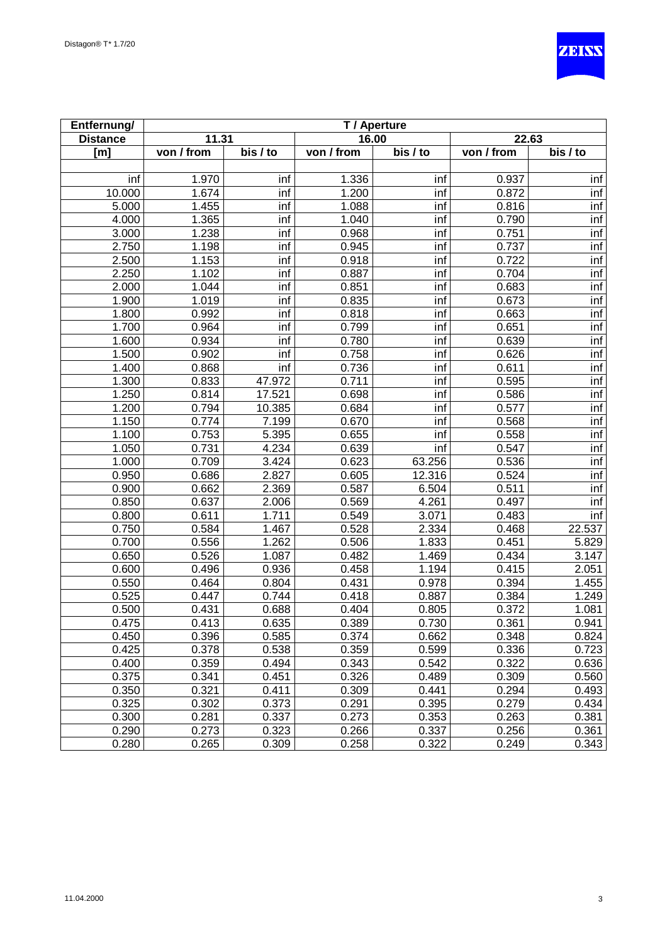

| Entfernung/     | T / Aperture |          |            |          |            |                       |
|-----------------|--------------|----------|------------|----------|------------|-----------------------|
| <b>Distance</b> | 11.31        |          | 16.00      |          | 22.63      |                       |
| [m]             | von / from   | bis / to | von / from | bis / to | von / from | $\overline{bis}$ / to |
|                 |              |          |            |          |            |                       |
| inf             | 1.970        | inf      | 1.336      | inf      | 0.937      | inf                   |
| 10.000          | 1.674        | inf      | 1.200      | inf      | 0.872      | inf                   |
| 5.000           | 1.455        | inf      | 1.088      | inf      | 0.816      | inf                   |
| 4.000           | 1.365        | inf      | 1.040      | inf      | 0.790      | inf                   |
| 3.000           | 1.238        | inf      | 0.968      | inf      | 0.751      | inf                   |
| 2.750           | 1.198        | inf      | 0.945      | inf      | 0.737      | inf                   |
| 2.500           | 1.153        | inf      | 0.918      | inf      | 0.722      | inf                   |
| 2.250           | 1.102        | inf      | 0.887      | inf      | 0.704      | inf                   |
| 2.000           | 1.044        | inf      | 0.851      | inf      | 0.683      | inf                   |
| 1.900           | 1.019        | inf      | 0.835      | inf      | 0.673      | inf                   |
| 1.800           | 0.992        | inf      | 0.818      | inf      | 0.663      | inf                   |
| 1.700           | 0.964        | inf      | 0.799      | inf      | 0.651      | inf                   |
| 1.600           | 0.934        | inf      | 0.780      | inf      | 0.639      | inf                   |
| 1.500           | 0.902        | inf      | 0.758      | inf      | 0.626      | inf                   |
| 1.400           | 0.868        | inf      | 0.736      | inf      | 0.611      | inf                   |
| 1.300           | 0.833        | 47.972   | 0.711      | inf      | 0.595      | inf                   |
| 1.250           | 0.814        | 17.521   | 0.698      | inf      | 0.586      | inf                   |
| 1.200           | 0.794        | 10.385   | 0.684      | inf      | 0.577      | inf                   |
| 1.150           | 0.774        | 7.199    | 0.670      | inf      | 0.568      | inf                   |
| 1.100           | 0.753        | 5.395    | 0.655      | inf      | 0.558      | inf                   |
| 1.050           | 0.731        | 4.234    | 0.639      | inf      | 0.547      | inf                   |
| 1.000           | 0.709        | 3.424    | 0.623      | 63.256   | 0.536      | inf                   |
| 0.950           | 0.686        | 2.827    | 0.605      | 12.316   | 0.524      | inf                   |
| 0.900           | 0.662        | 2.369    | 0.587      | 6.504    | 0.511      | inf                   |
| 0.850           | 0.637        | 2.006    | 0.569      | 4.261    | 0.497      | inf                   |
| 0.800           | 0.611        | 1.711    | 0.549      | 3.071    | 0.483      | inf                   |
| 0.750           | 0.584        | 1.467    | 0.528      | 2.334    | 0.468      | 22.537                |
| 0.700           | 0.556        | 1.262    | 0.506      | 1.833    | 0.451      | 5.829                 |
| 0.650           | 0.526        | 1.087    | 0.482      | 1.469    | 0.434      | 3.147                 |
| 0.600           | 0.496        | 0.936    | 0.458      | 1.194    | 0.415      | 2.051                 |
| 0.550           | 0.464        | 0.804    | 0.431      | 0.978    | 0.394      | 1.455                 |
| 0.525           | 0.447        | 0.744    | 0.418      | 0.887    | 0.384      | 1.249                 |
| 0.500           | 0.431        | 0.688    | 0.404      | 0.805    | 0.372      | 1.081                 |
| 0.475           | 0.413        | 0.635    | 0.389      | 0.730    | 0.361      | 0.941                 |
| 0.450           | 0.396        | 0.585    | 0.374      | 0.662    | 0.348      | 0.824                 |
| 0.425           | 0.378        | 0.538    | 0.359      | 0.599    | 0.336      | 0.723                 |
| 0.400           | 0.359        | 0.494    | 0.343      | 0.542    | 0.322      | 0.636                 |
| 0.375           | 0.341        | 0.451    | 0.326      | 0.489    | 0.309      | 0.560                 |
| 0.350           | 0.321        | 0.411    | 0.309      | 0.441    | 0.294      | 0.493                 |
| 0.325           | 0.302        | 0.373    | 0.291      | 0.395    | 0.279      | 0.434                 |
| 0.300           | 0.281        | 0.337    | 0.273      | 0.353    | 0.263      | 0.381                 |
| 0.290           | 0.273        | 0.323    | 0.266      | 0.337    | 0.256      | 0.361                 |
| 0.280           | 0.265        | 0.309    | 0.258      | 0.322    | 0.249      | 0.343                 |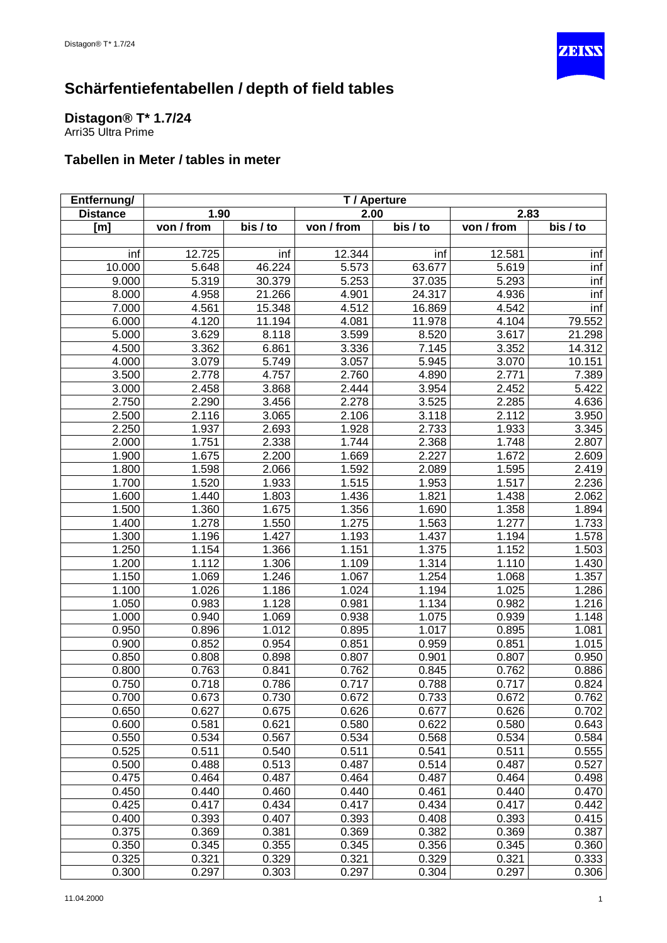

### <span id="page-17-0"></span>**Distagon® T\* 1.7/24**

Arri35 Ultra Prime

| Entfernung/     | T / Aperture |          |            |                       |            |          |
|-----------------|--------------|----------|------------|-----------------------|------------|----------|
| <b>Distance</b> | 1.90         |          | 2.00       |                       | 2.83       |          |
| [m]             | von / from   | bis / to | von / from | $\overline{bis}$ / to | von / from | bis / to |
|                 |              |          |            |                       |            |          |
| inf             | 12.725       | inf      | 12.344     | inf                   | 12.581     | inf      |
| 10.000          | 5.648        | 46.224   | 5.573      | 63.677                | 5.619      | inf      |
| 9.000           | 5.319        | 30.379   | 5.253      | 37.035                | 5.293      | inf      |
| 8.000           | 4.958        | 21.266   | 4.901      | 24.317                | 4.936      | inf      |
| 7.000           | 4.561        | 15.348   | 4.512      | 16.869                | 4.542      | inf      |
| 6.000           | 4.120        | 11.194   | 4.081      | 11.978                | 4.104      | 79.552   |
| 5.000           | 3.629        | 8.118    | 3.599      | 8.520                 | 3.617      | 21.298   |
| 4.500           | 3.362        | 6.861    | 3.336      | 7.145                 | 3.352      | 14.312   |
| 4.000           | 3.079        | 5.749    | 3.057      | 5.945                 | 3.070      | 10.151   |
| 3.500           | 2.778        | 4.757    | 2.760      | 4.890                 | 2.771      | 7.389    |
| 3.000           | 2.458        | 3.868    | 2.444      | 3.954                 | 2.452      | 5.422    |
| 2.750           | 2.290        | 3.456    | 2.278      | 3.525                 | 2.285      | 4.636    |
| 2.500           | 2.116        | 3.065    | 2.106      | 3.118                 | 2.112      | 3.950    |
| 2.250           | 1.937        | 2.693    | 1.928      | 2.733                 | 1.933      | 3.345    |
| 2.000           | 1.751        | 2.338    | 1.744      | 2.368                 | 1.748      | 2.807    |
| 1.900           | 1.675        | 2.200    | 1.669      | 2.227                 | 1.672      | 2.609    |
| 1.800           | 1.598        | 2.066    | 1.592      | 2.089                 | 1.595      | 2.419    |
| 1.700           | 1.520        | 1.933    | 1.515      | 1.953                 | 1.517      | 2.236    |
| 1.600           | 1.440        | 1.803    | 1.436      | 1.821                 | 1.438      | 2.062    |
| 1.500           | 1.360        | 1.675    | 1.356      | 1.690                 | 1.358      | 1.894    |
| 1.400           | 1.278        | 1.550    | 1.275      | 1.563                 | 1.277      | 1.733    |
| 1.300           | 1.196        | 1.427    | 1.193      | 1.437                 | 1.194      | 1.578    |
| 1.250           | 1.154        | 1.366    | 1.151      | 1.375                 | 1.152      | 1.503    |
| 1.200           | 1.112        | 1.306    | 1.109      | 1.314                 | 1.110      | 1.430    |
| 1.150           | 1.069        | 1.246    | 1.067      | 1.254                 | 1.068      | 1.357    |
| 1.100           | 1.026        | 1.186    | 1.024      | 1.194                 | 1.025      | 1.286    |
| 1.050           | 0.983        | 1.128    | 0.981      | 1.134                 | 0.982      | 1.216    |
| 1.000           | 0.940        | 1.069    | 0.938      | 1.075                 | 0.939      | 1.148    |
| 0.950           | 0.896        | 1.012    | 0.895      | 1.017                 | 0.895      | 1.081    |
| 0.900           | 0.852        | 0.954    | 0.851      | 0.959                 | 0.851      | 1.015    |
| 0.850           | 0.808        | 0.898    | 0.807      | 0.901                 | 0.807      | 0.950    |
| 0.800           | 0.763        | 0.841    | 0.762      | 0.845                 | 0.762      | 0.886    |
| 0.750           | 0.718        | 0.786    | 0.717      | 0.788                 | 0.717      | 0.824    |
| 0.700           | 0.673        | 0.730    | 0.672      | 0.733                 | 0.672      | 0.762    |
| 0.650           | 0.627        | 0.675    | 0.626      | 0.677                 | 0.626      | 0.702    |
| 0.600           | 0.581        | 0.621    | 0.580      | 0.622                 | 0.580      | 0.643    |
| 0.550           | 0.534        | 0.567    | 0.534      | 0.568                 | 0.534      | 0.584    |
| 0.525           | 0.511        | 0.540    | 0.511      | 0.541                 | 0.511      | 0.555    |
| 0.500           | 0.488        | 0.513    | 0.487      | 0.514                 | 0.487      | 0.527    |
| 0.475           | 0.464        | 0.487    | 0.464      | 0.487                 | 0.464      | 0.498    |
| 0.450           | 0.440        | 0.460    | 0.440      | 0.461                 | 0.440      | 0.470    |
| 0.425           | 0.417        | 0.434    | 0.417      | 0.434                 | 0.417      | 0.442    |
| 0.400           | 0.393        | 0.407    | 0.393      | 0.408                 | 0.393      | 0.415    |
| 0.375           | 0.369        | 0.381    | 0.369      | 0.382                 | 0.369      | 0.387    |
| 0.350           | 0.345        | 0.355    | 0.345      | 0.356                 | 0.345      | 0.360    |
| 0.325           | 0.321        | 0.329    | 0.321      | 0.329                 | 0.321      | 0.333    |
| 0.300           | 0.297        | 0.303    | 0.297      | 0.304                 | 0.297      | 0.306    |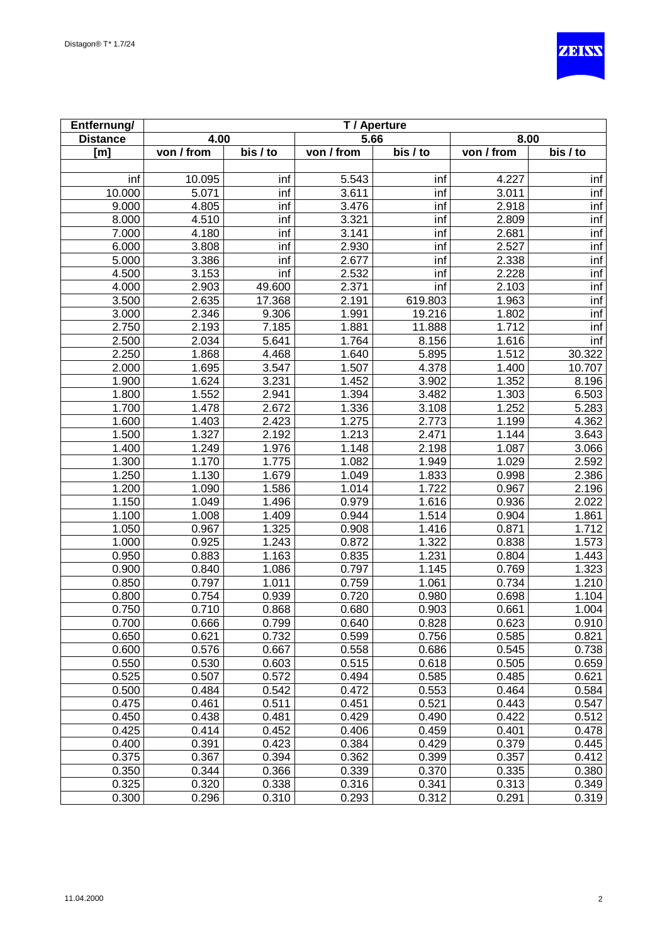

| Entfernung/     | T / Aperture |          |            |                       |                    |          |  |
|-----------------|--------------|----------|------------|-----------------------|--------------------|----------|--|
| <b>Distance</b> | 4.00         |          | 5.66       |                       | 8.00               |          |  |
| [m]             | von / from   | bis / to | von / from | $\overline{bis}$ / to | von / from         | bis / to |  |
|                 |              |          |            |                       |                    |          |  |
| inf             | 10.095       | inf      | 5.543      | inf                   | 4.227              | inf      |  |
| 10.000          | 5.071        | inf      | 3.611      | inf                   | 3.011              | inf      |  |
| 9.000           | 4.805        | inf      | 3.476      | inf                   | 2.918              | inf      |  |
| 8.000           | 4.510        | inf      | 3.321      | inf                   | 2.809              | inf      |  |
| 7.000           | 4.180        | inf      | 3.141      | inf                   | 2.681              | inf      |  |
| 6.000           | 3.808        | inf      | 2.930      | inf                   | 2.527              | inf      |  |
| 5.000           | 3.386        | inf      | 2.677      | inf                   | 2.338              | inf      |  |
| 4.500           | 3.153        | inf      | 2.532      | inf                   | 2.228              | inf      |  |
| 4.000           | 2.903        | 49.600   | 2.371      | inf                   | 2.103              | inf      |  |
| 3.500           | 2.635        | 17.368   | 2.191      | 619.803               | 1.963              | inf      |  |
| 3.000           | 2.346        | 9.306    | 1.991      | 19.216                | 1.802              | inf      |  |
| 2.750           | 2.193        | 7.185    | 1.881      | 11.888                | $\overline{1.712}$ | inf      |  |
| 2.500           | 2.034        | 5.641    | 1.764      | 8.156                 | 1.616              | inf      |  |
| 2.250           | 1.868        | 4.468    | 1.640      | 5.895                 | 1.512              | 30.322   |  |
| 2.000           | 1.695        | 3.547    | 1.507      | 4.378                 | 1.400              | 10.707   |  |
| 1.900           | 1.624        | 3.231    | 1.452      | 3.902                 | 1.352              | 8.196    |  |
| 1.800           | 1.552        | 2.941    | 1.394      | 3.482                 | $\overline{1.303}$ | 6.503    |  |
| 1.700           | 1.478        | 2.672    | 1.336      | 3.108                 | 1.252              | 5.283    |  |
| 1.600           | 1.403        | 2.423    | 1.275      | 2.773                 | $\overline{1.199}$ | 4.362    |  |
| 1.500           | 1.327        | 2.192    | 1.213      | 2.471                 | 1.144              | 3.643    |  |
| 1.400           | 1.249        | 1.976    | 1.148      | 2.198                 | 1.087              | 3.066    |  |
| 1.300           | 1.170        | 1.775    | 1.082      | 1.949                 | 1.029              | 2.592    |  |
| 1.250           | 1.130        | 1.679    | 1.049      | 1.833                 | 0.998              | 2.386    |  |
| 1.200           | 1.090        | 1.586    | 1.014      | 1.722                 | 0.967              | 2.196    |  |
| 1.150           | 1.049        | 1.496    | 0.979      | 1.616                 | 0.936              | 2.022    |  |
| 1.100           | 1.008        | 1.409    | 0.944      | 1.514                 | 0.904              | 1.861    |  |
| 1.050           | 0.967        | 1.325    | 0.908      | 1.416                 | 0.871              | 1.712    |  |
| 1.000           | 0.925        | 1.243    | 0.872      | 1.322                 | 0.838              | 1.573    |  |
| 0.950           | 0.883        | 1.163    | 0.835      | 1.231                 | 0.804              | 1.443    |  |
| 0.900           | 0.840        | 1.086    | 0.797      | $\overline{1.145}$    | 0.769              | 1.323    |  |
| 0.850           | 0.797        | 1.011    | 0.759      | 1.061                 | 0.734              | 1.210    |  |
| 0.800           | 0.754        | 0.939    | 0.720      | 0.980                 | 0.698              | 1.104    |  |
| 0.750           | 0.710        | 0.868    | 0.680      | 0.903                 | 0.661              | 1.004    |  |
| 0.700           | 0.666        | 0.799    | 0.640      | 0.828                 | 0.623              | 0.910    |  |
| 0.650           | 0.621        | 0.732    | 0.599      | 0.756                 | 0.585              | 0.821    |  |
| 0.600           | 0.576        | 0.667    | 0.558      | 0.686                 | 0.545              | 0.738    |  |
| 0.550           | 0.530        | 0.603    | 0.515      | 0.618                 | 0.505              | 0.659    |  |
| 0.525           | 0.507        | 0.572    | 0.494      | 0.585                 | 0.485              | 0.621    |  |
| 0.500           | 0.484        | 0.542    | 0.472      | 0.553                 | 0.464              | 0.584    |  |
| 0.475           | 0.461        | 0.511    | 0.451      | 0.521                 | 0.443              | 0.547    |  |
| 0.450           | 0.438        | 0.481    | 0.429      | 0.490                 | 0.422              | 0.512    |  |
| 0.425           | 0.414        | 0.452    | 0.406      | 0.459                 | 0.401              | 0.478    |  |
| 0.400           | 0.391        | 0.423    | 0.384      | 0.429                 | 0.379              | 0.445    |  |
| 0.375           | 0.367        | 0.394    | 0.362      | 0.399                 | 0.357              | 0.412    |  |
| 0.350           | 0.344        | 0.366    | 0.339      | 0.370                 | 0.335              | 0.380    |  |
| 0.325           | 0.320        | 0.338    | 0.316      | 0.341                 | 0.313              | 0.349    |  |
| 0.300           | 0.296        | 0.310    | 0.293      | 0.312                 | 0.291              | 0.319    |  |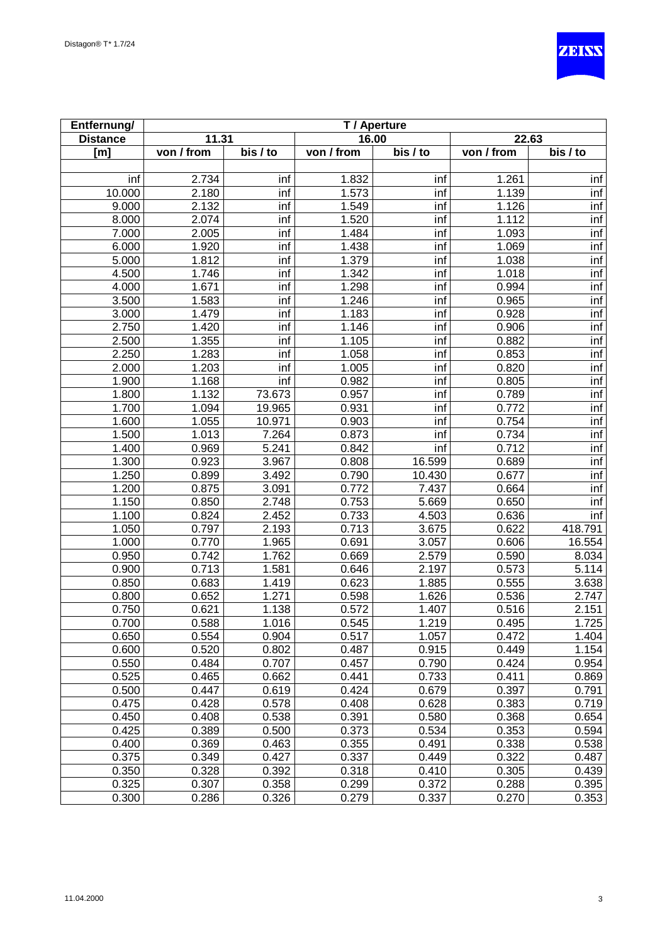

| Entfernung/     | T / Aperture |          |            |          |                    |                       |  |
|-----------------|--------------|----------|------------|----------|--------------------|-----------------------|--|
| <b>Distance</b> | 11.31        |          | 16.00      |          | 22.63              |                       |  |
| [m]             | von / from   | bis / to | von / from | bis / to | von / from         | $\overline{bis}$ / to |  |
|                 |              |          |            |          |                    |                       |  |
| inf             | 2.734        | inf      | 1.832      | inf      | 1.261              | inf                   |  |
| 10.000          | 2.180        | inf      | 1.573      | inf      | 1.139              | inf                   |  |
| 9.000           | 2.132        | inf      | 1.549      | inf      | 1.126              | inf                   |  |
| 8.000           | 2.074        | inf      | 1.520      | inf      | 1.112              | inf                   |  |
| 7.000           | 2.005        | inf      | 1.484      | inf      | 1.093              | inf                   |  |
| 6.000           | 1.920        | inf      | 1.438      | inf      | 1.069              | inf                   |  |
| 5.000           | 1.812        | inf      | 1.379      | inf      | 1.038              | inf                   |  |
| 4.500           | 1.746        | inf      | 1.342      | inf      | 1.018              | inf                   |  |
| 4.000           | 1.671        | inf      | 1.298      | inf      | 0.994              | inf                   |  |
| 3.500           | 1.583        | inf      | 1.246      | inf      | 0.965              | inf                   |  |
| 3.000           | 1.479        | inf      | 1.183      | inf      | 0.928              | inf                   |  |
| 2.750           | 1.420        | inf      | 1.146      | inf      | 0.906              | inf                   |  |
| 2.500           | 1.355        | inf      | 1.105      | inf      | 0.882              | inf                   |  |
| 2.250           | 1.283        | inf      | 1.058      | inf      | 0.853              | inf                   |  |
| 2.000           | 1.203        | inf      | 1.005      | inf      | 0.820              | inf                   |  |
| 1.900           | 1.168        | inf      | 0.982      | inf      | 0.805              | inf                   |  |
| 1.800           | 1.132        | 73.673   | 0.957      | inf      | 0.789              | inf                   |  |
| 1.700           | 1.094        | 19.965   | 0.931      | inf      | 0.772              | inf                   |  |
| 1.600           | 1.055        | 10.971   | 0.903      | inf      | 0.754              | inf                   |  |
| 1.500           | 1.013        | 7.264    | 0.873      | inf      | 0.734              | inf                   |  |
| 1.400           | 0.969        | 5.241    | 0.842      | inf      | 0.712              | inf                   |  |
| 1.300           | 0.923        | 3.967    | 0.808      | 16.599   | 0.689              | inf                   |  |
| 1.250           | 0.899        | 3.492    | 0.790      | 10.430   | 0.677              | inf                   |  |
| 1.200           | 0.875        | 3.091    | 0.772      | 7.437    | 0.664              | inf                   |  |
| 1.150           | 0.850        | 2.748    | 0.753      | 5.669    | 0.650              | inf                   |  |
| 1.100           | 0.824        | 2.452    | 0.733      | 4.503    | 0.636              | inf                   |  |
| 1.050           | 0.797        | 2.193    | 0.713      | 3.675    | 0.622              | 418.791               |  |
| 1.000           | 0.770        | 1.965    | 0.691      | 3.057    | 0.606              | 16.554                |  |
| 0.950           | 0.742        | 1.762    | 0.669      | 2.579    | 0.590              | 8.034                 |  |
| 0.900           | 0.713        | 1.581    | 0.646      | 2.197    | 0.573              | 5.114                 |  |
| 0.850           | 0.683        | 1.419    | 0.623      | 1.885    | 0.555              | 3.638                 |  |
| 0.800           | 0.652        | 1.271    | 0.598      | 1.626    | 0.536              | 2.747                 |  |
| 0.750           | 0.621        | 1.138    | 0.572      | 1.407    | 0.516              | 2.151                 |  |
| 0.700           | 0.588        | 1.016    | 0.545      | 1.219    | 0.495              | 1.725                 |  |
| 0.650           | 0.554        | 0.904    | 0.517      | 1.057    | 0.472              | 1.404                 |  |
| 0.600           | 0.520        | 0.802    | 0.487      | 0.915    | 0.449              | 1.154                 |  |
| 0.550           | 0.484        | 0.707    | 0.457      | 0.790    | $\overline{0.424}$ | 0.954                 |  |
| 0.525           | 0.465        | 0.662    | 0.441      | 0.733    | 0.411              | 0.869                 |  |
| 0.500           | 0.447        | 0.619    | 0.424      | 0.679    | 0.397              | 0.791                 |  |
| 0.475           | 0.428        | 0.578    | 0.408      | 0.628    | 0.383              | 0.719                 |  |
| 0.450           | 0.408        | 0.538    | 0.391      | 0.580    | 0.368              | 0.654                 |  |
| 0.425           | 0.389        | 0.500    | 0.373      | 0.534    | 0.353              | 0.594                 |  |
| 0.400           | 0.369        | 0.463    | 0.355      | 0.491    | 0.338              | 0.538                 |  |
| 0.375           | 0.349        | 0.427    | 0.337      | 0.449    | 0.322              | 0.487                 |  |
| 0.350           | 0.328        | 0.392    | 0.318      | 0.410    | 0.305              | 0.439                 |  |
| 0.325           | 0.307        | 0.358    | 0.299      | 0.372    | 0.288              | 0.395                 |  |
| 0.300           | 0.286        | 0.326    | 0.279      | 0.337    | 0.270              | 0.353                 |  |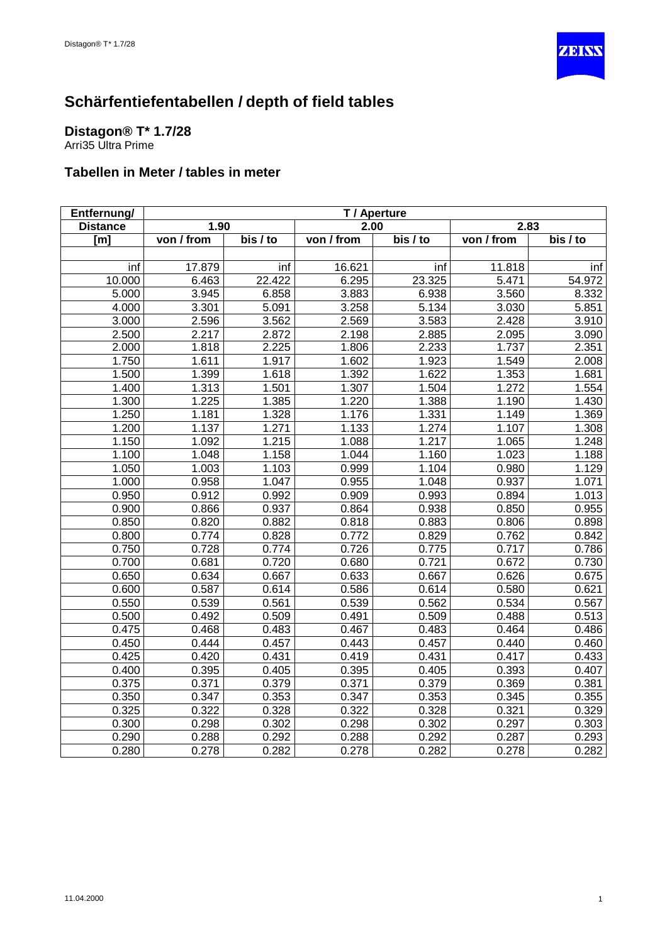

#### <span id="page-20-0"></span>**Distagon® T\* 1.7/28** Arri35 Ultra Prime

| Entfernung/     | T / Aperture |          |            |          |            |          |
|-----------------|--------------|----------|------------|----------|------------|----------|
| <b>Distance</b> | 1.90         |          | 2.00       |          | 2.83       |          |
| [m]             | von / from   | bis / to | von / from | bis / to | von / from | bis / to |
|                 |              |          |            |          |            |          |
| inf             | 17.879       | inf      | 16.621     | inf      | 11.818     | inf      |
| 10.000          | 6.463        | 22.422   | 6.295      | 23.325   | 5.471      | 54.972   |
| 5.000           | 3.945        | 6.858    | 3.883      | 6.938    | 3.560      | 8.332    |
| 4.000           | 3.301        | 5.091    | 3.258      | 5.134    | 3.030      | 5.851    |
| 3.000           | 2.596        | 3.562    | 2.569      | 3.583    | 2.428      | 3.910    |
| 2.500           | 2.217        | 2.872    | 2.198      | 2.885    | 2.095      | 3.090    |
| 2.000           | 1.818        | 2.225    | 1.806      | 2.233    | 1.737      | 2.351    |
| 1.750           | 1.611        | 1.917    | 1.602      | 1.923    | 1.549      | 2.008    |
| 1.500           | 1.399        | 1.618    | 1.392      | 1.622    | 1.353      | 1.681    |
| 1.400           | 1.313        | 1.501    | 1.307      | 1.504    | 1.272      | 1.554    |
| 1.300           | 1.225        | 1.385    | 1.220      | 1.388    | 1.190      | 1.430    |
| 1.250           | 1.181        | 1.328    | 1.176      | 1.331    | 1.149      | 1.369    |
| 1.200           | 1.137        | 1.271    | 1.133      | 1.274    | 1.107      | 1.308    |
| 1.150           | 1.092        | 1.215    | 1.088      | 1.217    | 1.065      | 1.248    |
| 1.100           | 1.048        | 1.158    | 1.044      | 1.160    | 1.023      | 1.188    |
| 1.050           | 1.003        | 1.103    | 0.999      | 1.104    | 0.980      | 1.129    |
| 1.000           | 0.958        | 1.047    | 0.955      | 1.048    | 0.937      | 1.071    |
| 0.950           | 0.912        | 0.992    | 0.909      | 0.993    | 0.894      | 1.013    |
| 0.900           | 0.866        | 0.937    | 0.864      | 0.938    | 0.850      | 0.955    |
| 0.850           | 0.820        | 0.882    | 0.818      | 0.883    | 0.806      | 0.898    |
| 0.800           | 0.774        | 0.828    | 0.772      | 0.829    | 0.762      | 0.842    |
| 0.750           | 0.728        | 0.774    | 0.726      | 0.775    | 0.717      | 0.786    |
| 0.700           | 0.681        | 0.720    | 0.680      | 0.721    | 0.672      | 0.730    |
| 0.650           | 0.634        | 0.667    | 0.633      | 0.667    | 0.626      | 0.675    |
| 0.600           | 0.587        | 0.614    | 0.586      | 0.614    | 0.580      | 0.621    |
| 0.550           | 0.539        | 0.561    | 0.539      | 0.562    | 0.534      | 0.567    |
| 0.500           | 0.492        | 0.509    | 0.491      | 0.509    | 0.488      | 0.513    |
| 0.475           | 0.468        | 0.483    | 0.467      | 0.483    | 0.464      | 0.486    |
| 0.450           | 0.444        | 0.457    | 0.443      | 0.457    | 0.440      | 0.460    |
| 0.425           | 0.420        | 0.431    | 0.419      | 0.431    | 0.417      | 0.433    |
| 0.400           | 0.395        | 0.405    | 0.395      | 0.405    | 0.393      | 0.407    |
| 0.375           | 0.371        | 0.379    | 0.371      | 0.379    | 0.369      | 0.381    |
| 0.350           | 0.347        | 0.353    | 0.347      | 0.353    | 0.345      | 0.355    |
| 0.325           | 0.322        | 0.328    | 0.322      | 0.328    | 0.321      | 0.329    |
| 0.300           | 0.298        | 0.302    | 0.298      | 0.302    | 0.297      | 0.303    |
| 0.290           | 0.288        | 0.292    | 0.288      | 0.292    | 0.287      | 0.293    |
| 0.280           | 0.278        | 0.282    | 0.278      | 0.282    | 0.278      | 0.282    |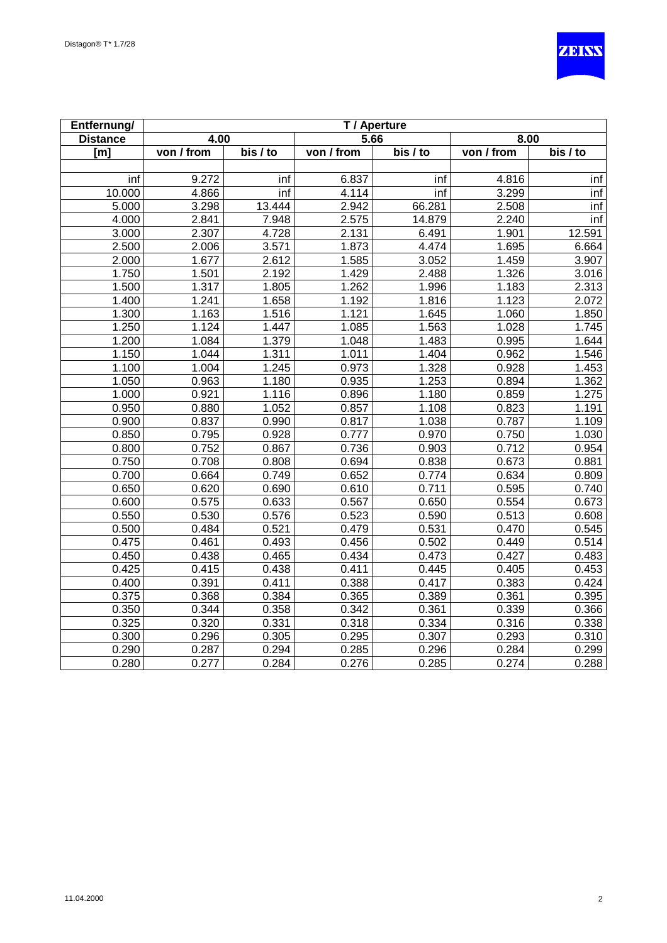

| Entfernung/     | T/Aperture |                   |            |          |            |          |
|-----------------|------------|-------------------|------------|----------|------------|----------|
| <b>Distance</b> | 4.00       |                   | 5.66       |          | 8.00       |          |
| [m]             | von / from | bis / to          | von / from | bis / to | von / from | bis / to |
|                 |            |                   |            |          |            |          |
| inf             | 9.272      | inf               | 6.837      | inf      | 4.816      | inf      |
| 10.000          | 4.866      | inf               | 4.114      | inf      | 3.299      | inf      |
| 5.000           | 3.298      | 13.444            | 2.942      | 66.281   | 2.508      | inf      |
| 4.000           | 2.841      | 7.948             | 2.575      | 14.879   | 2.240      | inf      |
| 3.000           | 2.307      | 4.728             | 2.131      | 6.491    | 1.901      | 12.591   |
| 2.500           | 2.006      | 3.571             | 1.873      | 4.474    | 1.695      | 6.664    |
| 2.000           | 1.677      | 2.612             | 1.585      | 3.052    | 1.459      | 3.907    |
| 1.750           | 1.501      | 2.192             | 1.429      | 2.488    | 1.326      | 3.016    |
| 1.500           | 1.317      | 1.805             | 1.262      | 1.996    | 1.183      | 2.313    |
| 1.400           | 1.241      | 1.658             | 1.192      | 1.816    | 1.123      | 2.072    |
| 1.300           | 1.163      | 1.516             | 1.121      | 1.645    | 1.060      | 1.850    |
| 1.250           | 1.124      | $\frac{1}{1.447}$ | 1.085      | 1.563    | 1.028      | 1.745    |
| 1.200           | 1.084      | 1.379             | 1.048      | 1.483    | 0.995      | 1.644    |
| 1.150           | 1.044      | 1.311             | 1.011      | 1.404    | 0.962      | 1.546    |
| 1.100           | 1.004      | 1.245             | 0.973      | 1.328    | 0.928      | 1.453    |
| 1.050           | 0.963      | 1.180             | 0.935      | 1.253    | 0.894      | 1.362    |
| 1.000           | 0.921      | 1.116             | 0.896      | 1.180    | 0.859      | 1.275    |
| 0.950           | 0.880      | 1.052             | 0.857      | 1.108    | 0.823      | 1.191    |
| 0.900           | 0.837      | 0.990             | 0.817      | 1.038    | 0.787      | 1.109    |
| 0.850           | 0.795      | 0.928             | 0.777      | 0.970    | 0.750      | 1.030    |
| 0.800           | 0.752      | 0.867             | 0.736      | 0.903    | 0.712      | 0.954    |
| 0.750           | 0.708      | 0.808             | 0.694      | 0.838    | 0.673      | 0.881    |
| 0.700           | 0.664      | 0.749             | 0.652      | 0.774    | 0.634      | 0.809    |
| 0.650           | 0.620      | 0.690             | 0.610      | 0.711    | 0.595      | 0.740    |
| 0.600           | 0.575      | 0.633             | 0.567      | 0.650    | 0.554      | 0.673    |
| 0.550           | 0.530      | 0.576             | 0.523      | 0.590    | 0.513      | 0.608    |
| 0.500           | 0.484      | 0.521             | 0.479      | 0.531    | 0.470      | 0.545    |
| 0.475           | 0.461      | 0.493             | 0.456      | 0.502    | 0.449      | 0.514    |
| 0.450           | 0.438      | 0.465             | 0.434      | 0.473    | 0.427      | 0.483    |
| 0.425           | 0.415      | 0.438             | 0.411      | 0.445    | 0.405      | 0.453    |
| 0.400           | 0.391      | 0.411             | 0.388      | 0.417    | 0.383      | 0.424    |
| 0.375           | 0.368      | 0.384             | 0.365      | 0.389    | 0.361      | 0.395    |
| 0.350           | 0.344      | 0.358             | 0.342      | 0.361    | 0.339      | 0.366    |
| 0.325           | 0.320      | 0.331             | 0.318      | 0.334    | 0.316      | 0.338    |
| 0.300           | 0.296      | 0.305             | 0.295      | 0.307    | 0.293      | 0.310    |
| 0.290           | 0.287      | 0.294             | 0.285      | 0.296    | 0.284      | 0.299    |
| 0.280           | 0.277      | 0.284             | 0.276      | 0.285    | 0.274      | 0.288    |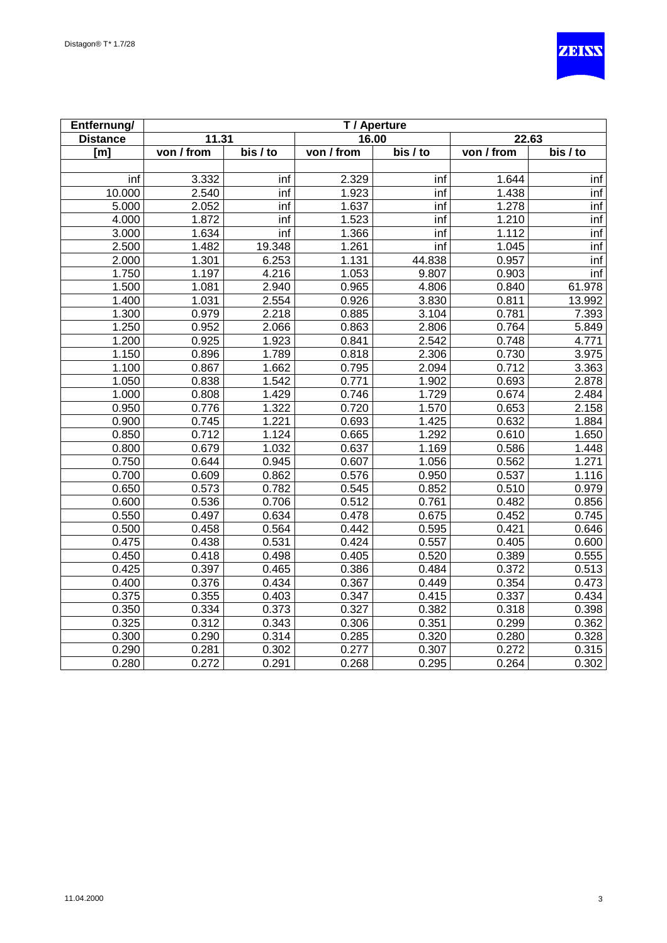

| Entfernung/     | T / Aperture |          |            |                       |            |          |
|-----------------|--------------|----------|------------|-----------------------|------------|----------|
| <b>Distance</b> | 11.31        |          | 16.00      |                       | 22.63      |          |
| [m]             | von / from   | bis / to | von / from | $\overline{bis}$ / to | von / from | bis / to |
|                 |              |          |            |                       |            |          |
| inf             | 3.332        | inf      | 2.329      | inf                   | 1.644      | inf      |
| 10.000          | 2.540        | inf      | 1.923      | inf                   | 1.438      | inf      |
| 5.000           | 2.052        | inf      | 1.637      | inf                   | 1.278      | inf      |
| 4.000           | 1.872        | inf      | 1.523      | inf                   | 1.210      | inf      |
| 3.000           | 1.634        | inf      | 1.366      | inf                   | 1.112      | inf      |
| 2.500           | 1.482        | 19.348   | 1.261      | inf                   | 1.045      | inf      |
| 2.000           | 1.301        | 6.253    | 1.131      | 44.838                | 0.957      | inf      |
| 1.750           | 1.197        | 4.216    | 1.053      | 9.807                 | 0.903      | inf      |
| 1.500           | 1.081        | 2.940    | 0.965      | 4.806                 | 0.840      | 61.978   |
| 1.400           | 1.031        | 2.554    | 0.926      | 3.830                 | 0.811      | 13.992   |
| 1.300           | 0.979        | 2.218    | 0.885      | 3.104                 | 0.781      | 7.393    |
| 1.250           | 0.952        | 2.066    | 0.863      | 2.806                 | 0.764      | 5.849    |
| 1.200           | 0.925        | 1.923    | 0.841      | 2.542                 | 0.748      | 4.771    |
| 1.150           | 0.896        | 1.789    | 0.818      | 2.306                 | 0.730      | 3.975    |
| 1.100           | 0.867        | 1.662    | 0.795      | 2.094                 | 0.712      | 3.363    |
| 1.050           | 0.838        | 1.542    | 0.771      | 1.902                 | 0.693      | 2.878    |
| 1.000           | 0.808        | 1.429    | 0.746      | 1.729                 | 0.674      | 2.484    |
| 0.950           | 0.776        | 1.322    | 0.720      | 1.570                 | 0.653      | 2.158    |
| 0.900           | 0.745        | 1.221    | 0.693      | 1.425                 | 0.632      | 1.884    |
| 0.850           | 0.712        | 1.124    | 0.665      | 1.292                 | 0.610      | 1.650    |
| 0.800           | 0.679        | 1.032    | 0.637      | 1.169                 | 0.586      | 1.448    |
| 0.750           | 0.644        | 0.945    | 0.607      | 1.056                 | 0.562      | 1.271    |
| 0.700           | 0.609        | 0.862    | 0.576      | 0.950                 | 0.537      | 1.116    |
| 0.650           | 0.573        | 0.782    | 0.545      | 0.852                 | 0.510      | 0.979    |
| 0.600           | 0.536        | 0.706    | 0.512      | 0.761                 | 0.482      | 0.856    |
| 0.550           | 0.497        | 0.634    | 0.478      | 0.675                 | 0.452      | 0.745    |
| 0.500           | 0.458        | 0.564    | 0.442      | 0.595                 | 0.421      | 0.646    |
| 0.475           | 0.438        | 0.531    | 0.424      | 0.557                 | 0.405      | 0.600    |
| 0.450           | 0.418        | 0.498    | 0.405      | 0.520                 | 0.389      | 0.555    |
| 0.425           | 0.397        | 0.465    | 0.386      | 0.484                 | 0.372      | 0.513    |
| 0.400           | 0.376        | 0.434    | 0.367      | 0.449                 | 0.354      | 0.473    |
| 0.375           | 0.355        | 0.403    | 0.347      | 0.415                 | 0.337      | 0.434    |
| 0.350           | 0.334        | 0.373    | 0.327      | 0.382                 | 0.318      | 0.398    |
| 0.325           | 0.312        | 0.343    | 0.306      | 0.351                 | 0.299      | 0.362    |
| 0.300           | 0.290        | 0.314    | 0.285      | 0.320                 | 0.280      | 0.328    |
| 0.290           | 0.281        | 0.302    | 0.277      | 0.307                 | 0.272      | 0.315    |
| 0.280           | 0.272        | 0.291    | 0.268      | 0.295                 | 0.264      | 0.302    |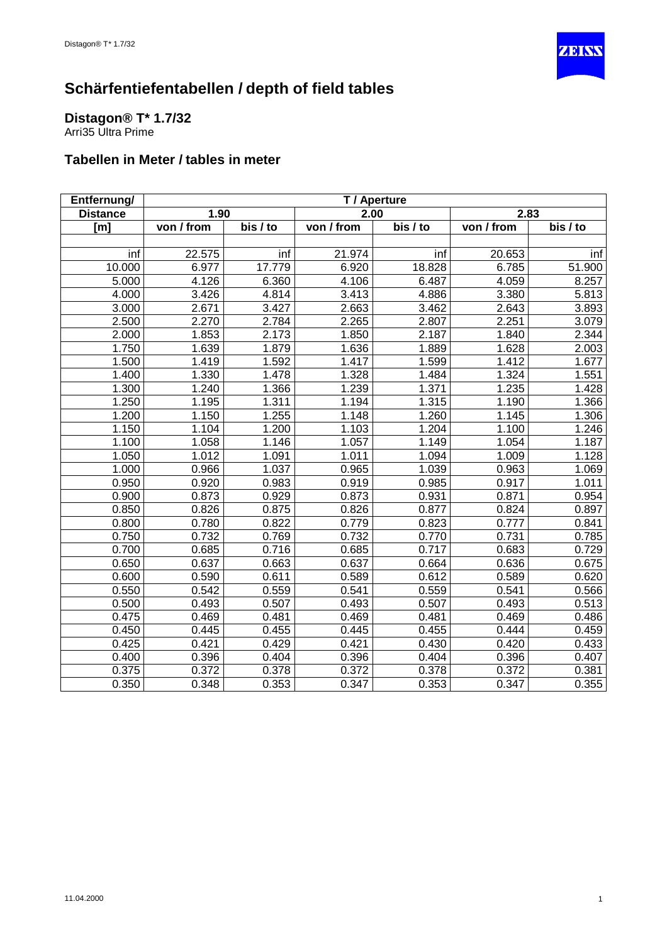

### <span id="page-23-0"></span>**Distagon® T\* 1.7/32**

Arri35 Ultra Prime

| Entfernung/     | T / Aperture |          |            |          |            |          |
|-----------------|--------------|----------|------------|----------|------------|----------|
| <b>Distance</b> | 1.90         |          | 2.00       |          | 2.83       |          |
| [m]             | von / from   | bis / to | von / from | bis / to | von / from | bis / to |
|                 |              |          |            |          |            |          |
| inf             | 22.575       | inf      | 21.974     | inf      | 20.653     | inf      |
| 10.000          | 6.977        | 17.779   | 6.920      | 18.828   | 6.785      | 51.900   |
| 5.000           | 4.126        | 6.360    | 4.106      | 6.487    | 4.059      | 8.257    |
| 4.000           | 3.426        | 4.814    | 3.413      | 4.886    | 3.380      | 5.813    |
| 3.000           | 2.671        | 3.427    | 2.663      | 3.462    | 2.643      | 3.893    |
| 2.500           | 2.270        | 2.784    | 2.265      | 2.807    | 2.251      | 3.079    |
| 2.000           | 1.853        | 2.173    | 1.850      | 2.187    | 1.840      | 2.344    |
| 1.750           | 1.639        | 1.879    | 1.636      | 1.889    | 1.628      | 2.003    |
| 1.500           | 1.419        | 1.592    | 1.417      | 1.599    | 1.412      | 1.677    |
| 1.400           | 1.330        | 1.478    | 1.328      | 1.484    | 1.324      | 1.551    |
| 1.300           | 1.240        | 1.366    | 1.239      | 1.371    | 1.235      | 1.428    |
| 1.250           | 1.195        | 1.311    | 1.194      | 1.315    | 1.190      | 1.366    |
| 1.200           | 1.150        | 1.255    | 1.148      | 1.260    | 1.145      | 1.306    |
| 1.150           | 1.104        | 1.200    | 1.103      | 1.204    | 1.100      | 1.246    |
| 1.100           | 1.058        | 1.146    | 1.057      | 1.149    | 1.054      | 1.187    |
| 1.050           | 1.012        | 1.091    | 1.011      | 1.094    | 1.009      | 1.128    |
| 1.000           | 0.966        | 1.037    | 0.965      | 1.039    | 0.963      | 1.069    |
| 0.950           | 0.920        | 0.983    | 0.919      | 0.985    | 0.917      | 1.011    |
| 0.900           | 0.873        | 0.929    | 0.873      | 0.931    | 0.871      | 0.954    |
| 0.850           | 0.826        | 0.875    | 0.826      | 0.877    | 0.824      | 0.897    |
| 0.800           | 0.780        | 0.822    | 0.779      | 0.823    | 0.777      | 0.841    |
| 0.750           | 0.732        | 0.769    | 0.732      | 0.770    | 0.731      | 0.785    |
| 0.700           | 0.685        | 0.716    | 0.685      | 0.717    | 0.683      | 0.729    |
| 0.650           | 0.637        | 0.663    | 0.637      | 0.664    | 0.636      | 0.675    |
| 0.600           | 0.590        | 0.611    | 0.589      | 0.612    | 0.589      | 0.620    |
| 0.550           | 0.542        | 0.559    | 0.541      | 0.559    | 0.541      | 0.566    |
| 0.500           | 0.493        | 0.507    | 0.493      | 0.507    | 0.493      | 0.513    |
| 0.475           | 0.469        | 0.481    | 0.469      | 0.481    | 0.469      | 0.486    |
| 0.450           | 0.445        | 0.455    | 0.445      | 0.455    | 0.444      | 0.459    |
| 0.425           | 0.421        | 0.429    | 0.421      | 0.430    | 0.420      | 0.433    |
| 0.400           | 0.396        | 0.404    | 0.396      | 0.404    | 0.396      | 0.407    |
| 0.375           | 0.372        | 0.378    | 0.372      | 0.378    | 0.372      | 0.381    |
| 0.350           | 0.348        | 0.353    | 0.347      | 0.353    | 0.347      | 0.355    |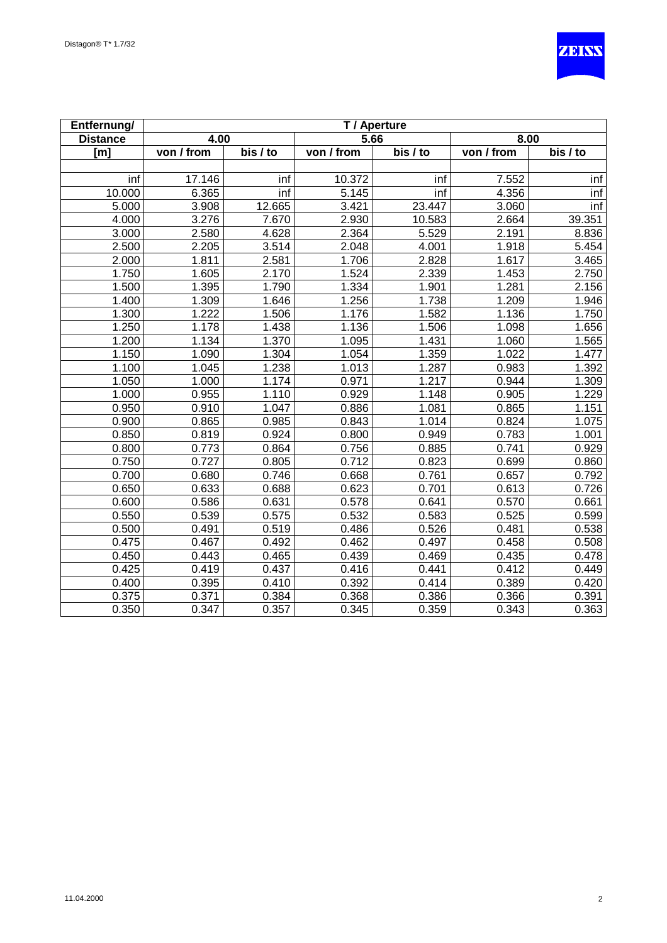

| Entfernung/     | T / Aperture |                       |            |          |                         |          |  |
|-----------------|--------------|-----------------------|------------|----------|-------------------------|----------|--|
| <b>Distance</b> | 4.00         |                       | 5.66       |          | 8.00                    |          |  |
| [m]             | von / from   | $\overline{bis}$ / to | von / from | bis / to | $\overline{von / from}$ | bis / to |  |
|                 |              |                       |            |          |                         |          |  |
| inf             | 17.146       | inf                   | 10.372     | inf      | 7.552                   | inf      |  |
| 10.000          | 6.365        | inf                   | 5.145      | inf      | 4.356                   | inf      |  |
| 5.000           | 3.908        | 12.665                | 3.421      | 23.447   | 3.060                   | inf      |  |
| 4.000           | 3.276        | 7.670                 | 2.930      | 10.583   | 2.664                   | 39.351   |  |
| 3.000           | 2.580        | 4.628                 | 2.364      | 5.529    | 2.191                   | 8.836    |  |
| 2.500           | 2.205        | 3.514                 | 2.048      | 4.001    | 1.918                   | 5.454    |  |
| 2.000           | 1.811        | 2.581                 | 1.706      | 2.828    | 1.617                   | 3.465    |  |
| 1.750           | 1.605        | 2.170                 | 1.524      | 2.339    | 1.453                   | 2.750    |  |
| 1.500           | 1.395        | 1.790                 | 1.334      | 1.901    | 1.281                   | 2.156    |  |
| 1.400           | 1.309        | 1.646                 | 1.256      | 1.738    | 1.209                   | 1.946    |  |
| 1.300           | 1.222        | 1.506                 | 1.176      | 1.582    | 1.136                   | 1.750    |  |
| 1.250           | 1.178        | 1.438                 | 1.136      | 1.506    | 1.098                   | 1.656    |  |
| 1.200           | 1.134        | 1.370                 | 1.095      | 1.431    | 1.060                   | 1.565    |  |
| 1.150           | 1.090        | 1.304                 | 1.054      | 1.359    | 1.022                   | 1.477    |  |
| 1.100           | 1.045        | 1.238                 | 1.013      | 1.287    | 0.983                   | 1.392    |  |
| 1.050           | 1.000        | 1.174                 | 0.971      | 1.217    | 0.944                   | 1.309    |  |
| 1.000           | 0.955        | 1.110                 | 0.929      | 1.148    | 0.905                   | 1.229    |  |
| 0.950           | 0.910        | 1.047                 | 0.886      | 1.081    | 0.865                   | 1.151    |  |
| 0.900           | 0.865        | 0.985                 | 0.843      | 1.014    | 0.824                   | 1.075    |  |
| 0.850           | 0.819        | 0.924                 | 0.800      | 0.949    | 0.783                   | 1.001    |  |
| 0.800           | 0.773        | 0.864                 | 0.756      | 0.885    | 0.741                   | 0.929    |  |
| 0.750           | 0.727        | 0.805                 | 0.712      | 0.823    | 0.699                   | 0.860    |  |
| 0.700           | 0.680        | 0.746                 | 0.668      | 0.761    | 0.657                   | 0.792    |  |
| 0.650           | 0.633        | 0.688                 | 0.623      | 0.701    | 0.613                   | 0.726    |  |
| 0.600           | 0.586        | 0.631                 | 0.578      | 0.641    | 0.570                   | 0.661    |  |
| 0.550           | 0.539        | 0.575                 | 0.532      | 0.583    | 0.525                   | 0.599    |  |
| 0.500           | 0.491        | 0.519                 | 0.486      | 0.526    | 0.481                   | 0.538    |  |
| 0.475           | 0.467        | 0.492                 | 0.462      | 0.497    | 0.458                   | 0.508    |  |
| 0.450           | 0.443        | 0.465                 | 0.439      | 0.469    | 0.435                   | 0.478    |  |
| 0.425           | 0.419        | 0.437                 | 0.416      | 0.441    | 0.412                   | 0.449    |  |
| 0.400           | 0.395        | 0.410                 | 0.392      | 0.414    | 0.389                   | 0.420    |  |
| 0.375           | 0.371        | 0.384                 | 0.368      | 0.386    | 0.366                   | 0.391    |  |
| 0.350           | 0.347        | 0.357                 | 0.345      | 0.359    | 0.343                   | 0.363    |  |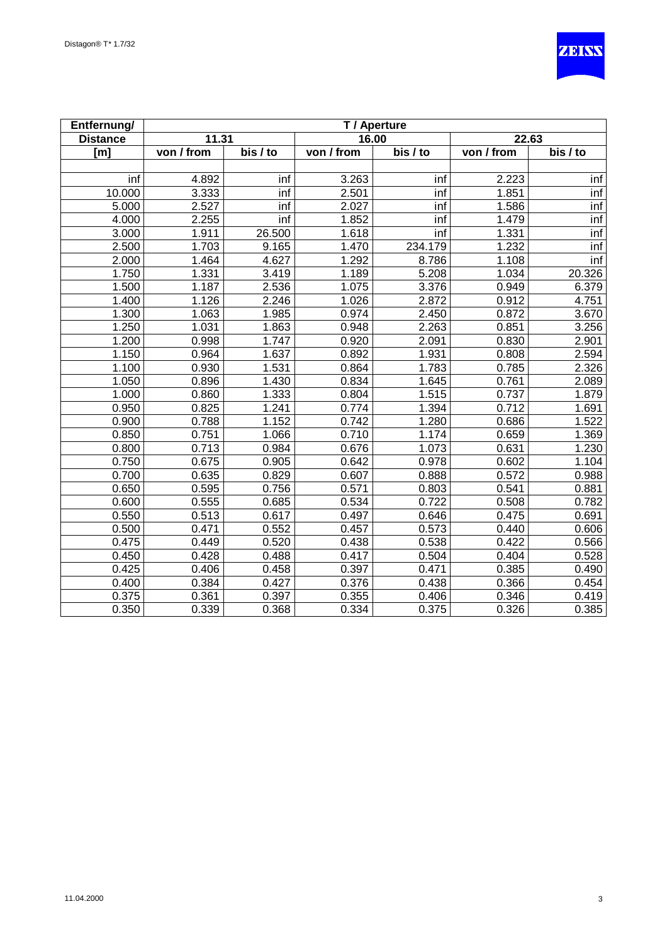

| Entfernung/     | T / Aperture |          |            |          |            |          |  |
|-----------------|--------------|----------|------------|----------|------------|----------|--|
| <b>Distance</b> | 11.31        |          | 16.00      |          | 22.63      |          |  |
| [m]             | von / from   | bis / to | von / from | bis / to | von / from | bis / to |  |
|                 |              |          |            |          |            |          |  |
| inf             | 4.892        | inf      | 3.263      | inf      | 2.223      | inf      |  |
| 10.000          | 3.333        | inf      | 2.501      | inf      | 1.851      | inf      |  |
| 5.000           | 2.527        | inf      | 2.027      | inf      | 1.586      | inf      |  |
| 4.000           | 2.255        | inf      | 1.852      | inf      | 1.479      | inf      |  |
| 3.000           | 1.911        | 26.500   | 1.618      | inf      | 1.331      | inf      |  |
| 2.500           | 1.703        | 9.165    | 1.470      | 234.179  | 1.232      | inf      |  |
| 2.000           | 1.464        | 4.627    | 1.292      | 8.786    | 1.108      | inf      |  |
| 1.750           | 1.331        | 3.419    | 1.189      | 5.208    | 1.034      | 20.326   |  |
| 1.500           | 1.187        | 2.536    | 1.075      | 3.376    | 0.949      | 6.379    |  |
| 1.400           | 1.126        | 2.246    | 1.026      | 2.872    | 0.912      | 4.751    |  |
| 1.300           | 1.063        | 1.985    | 0.974      | 2.450    | 0.872      | 3.670    |  |
| 1.250           | 1.031        | 1.863    | 0.948      | 2.263    | 0.851      | 3.256    |  |
| 1.200           | 0.998        | 1.747    | 0.920      | 2.091    | 0.830      | 2.901    |  |
| 1.150           | 0.964        | 1.637    | 0.892      | 1.931    | 0.808      | 2.594    |  |
| 1.100           | 0.930        | 1.531    | 0.864      | 1.783    | 0.785      | 2.326    |  |
| 1.050           | 0.896        | 1.430    | 0.834      | 1.645    | 0.761      | 2.089    |  |
| 1.000           | 0.860        | 1.333    | 0.804      | 1.515    | 0.737      | 1.879    |  |
| 0.950           | 0.825        | 1.241    | 0.774      | 1.394    | 0.712      | 1.691    |  |
| 0.900           | 0.788        | 1.152    | 0.742      | 1.280    | 0.686      | 1.522    |  |
| 0.850           | 0.751        | 1.066    | 0.710      | 1.174    | 0.659      | 1.369    |  |
| 0.800           | 0.713        | 0.984    | 0.676      | 1.073    | 0.631      | 1.230    |  |
| 0.750           | 0.675        | 0.905    | 0.642      | 0.978    | 0.602      | 1.104    |  |
| 0.700           | 0.635        | 0.829    | 0.607      | 0.888    | 0.572      | 0.988    |  |
| 0.650           | 0.595        | 0.756    | 0.571      | 0.803    | 0.541      | 0.881    |  |
| 0.600           | 0.555        | 0.685    | 0.534      | 0.722    | 0.508      | 0.782    |  |
| 0.550           | 0.513        | 0.617    | 0.497      | 0.646    | 0.475      | 0.691    |  |
| 0.500           | 0.471        | 0.552    | 0.457      | 0.573    | 0.440      | 0.606    |  |
| 0.475           | 0.449        | 0.520    | 0.438      | 0.538    | 0.422      | 0.566    |  |
| 0.450           | 0.428        | 0.488    | 0.417      | 0.504    | 0.404      | 0.528    |  |
| 0.425           | 0.406        | 0.458    | 0.397      | 0.471    | 0.385      | 0.490    |  |
| 0.400           | 0.384        | 0.427    | 0.376      | 0.438    | 0.366      | 0.454    |  |
| 0.375           | 0.361        | 0.397    | 0.355      | 0.406    | 0.346      | 0.419    |  |
| 0.350           | 0.339        | 0.368    | 0.334      | 0.375    | 0.326      | 0.385    |  |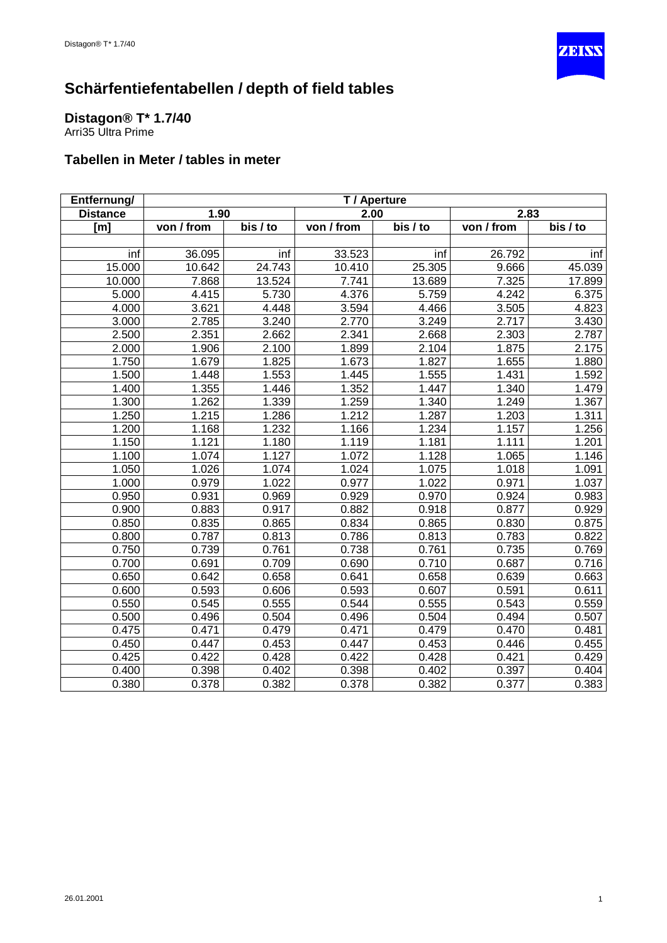

#### <span id="page-26-0"></span>**Distagon® T\* 1.7/40**

Arri35 Ultra Prime

| Entfernung/     | T / Aperture |          |            |          |            |          |
|-----------------|--------------|----------|------------|----------|------------|----------|
| <b>Distance</b> | 1.90         |          | 2.00       |          | 2.83       |          |
| [m]             | von / from   | bis / to | von / from | bis / to | von / from | bis / to |
|                 |              |          |            |          |            |          |
| inf             | 36.095       | inf      | 33.523     | inf      | 26.792     | inf      |
| 15.000          | 10.642       | 24.743   | 10.410     | 25.305   | 9.666      | 45.039   |
| 10.000          | 7.868        | 13.524   | 7.741      | 13.689   | 7.325      | 17.899   |
| 5.000           | 4.415        | 5.730    | 4.376      | 5.759    | 4.242      | 6.375    |
| 4.000           | 3.621        | 4.448    | 3.594      | 4.466    | 3.505      | 4.823    |
| 3.000           | 2.785        | 3.240    | 2.770      | 3.249    | 2.717      | 3.430    |
| 2.500           | 2.351        | 2.662    | 2.341      | 2.668    | 2.303      | 2.787    |
| 2.000           | 1.906        | 2.100    | 1.899      | 2.104    | 1.875      | 2.175    |
| 1.750           | 1.679        | 1.825    | 1.673      | 1.827    | 1.655      | 1.880    |
| 1.500           | 1.448        | 1.553    | 1.445      | 1.555    | 1.431      | 1.592    |
| 1.400           | 1.355        | 1.446    | 1.352      | 1.447    | 1.340      | 1.479    |
| 1.300           | 1.262        | 1.339    | 1.259      | 1.340    | 1.249      | 1.367    |
| 1.250           | 1.215        | 1.286    | 1.212      | 1.287    | 1.203      | 1.311    |
| 1.200           | 1.168        | 1.232    | 1.166      | 1.234    | 1.157      | 1.256    |
| 1.150           | 1.121        | 1.180    | 1.119      | 1.181    | 1.111      | 1.201    |
| 1.100           | 1.074        | 1.127    | 1.072      | 1.128    | 1.065      | 1.146    |
| 1.050           | 1.026        | 1.074    | 1.024      | 1.075    | 1.018      | 1.091    |
| 1.000           | 0.979        | 1.022    | 0.977      | 1.022    | 0.971      | 1.037    |
| 0.950           | 0.931        | 0.969    | 0.929      | 0.970    | 0.924      | 0.983    |
| 0.900           | 0.883        | 0.917    | 0.882      | 0.918    | 0.877      | 0.929    |
| 0.850           | 0.835        | 0.865    | 0.834      | 0.865    | 0.830      | 0.875    |
| 0.800           | 0.787        | 0.813    | 0.786      | 0.813    | 0.783      | 0.822    |
| 0.750           | 0.739        | 0.761    | 0.738      | 0.761    | 0.735      | 0.769    |
| 0.700           | 0.691        | 0.709    | 0.690      | 0.710    | 0.687      | 0.716    |
| 0.650           | 0.642        | 0.658    | 0.641      | 0.658    | 0.639      | 0.663    |
| 0.600           | 0.593        | 0.606    | 0.593      | 0.607    | 0.591      | 0.611    |
| 0.550           | 0.545        | 0.555    | 0.544      | 0.555    | 0.543      | 0.559    |
| 0.500           | 0.496        | 0.504    | 0.496      | 0.504    | 0.494      | 0.507    |
| 0.475           | 0.471        | 0.479    | 0.471      | 0.479    | 0.470      | 0.481    |
| 0.450           | 0.447        | 0.453    | 0.447      | 0.453    | 0.446      | 0.455    |
| 0.425           | 0.422        | 0.428    | 0.422      | 0.428    | 0.421      | 0.429    |
| 0.400           | 0.398        | 0.402    | 0.398      | 0.402    | 0.397      | 0.404    |
| 0.380           | 0.378        | 0.382    | 0.378      | 0.382    | 0.377      | 0.383    |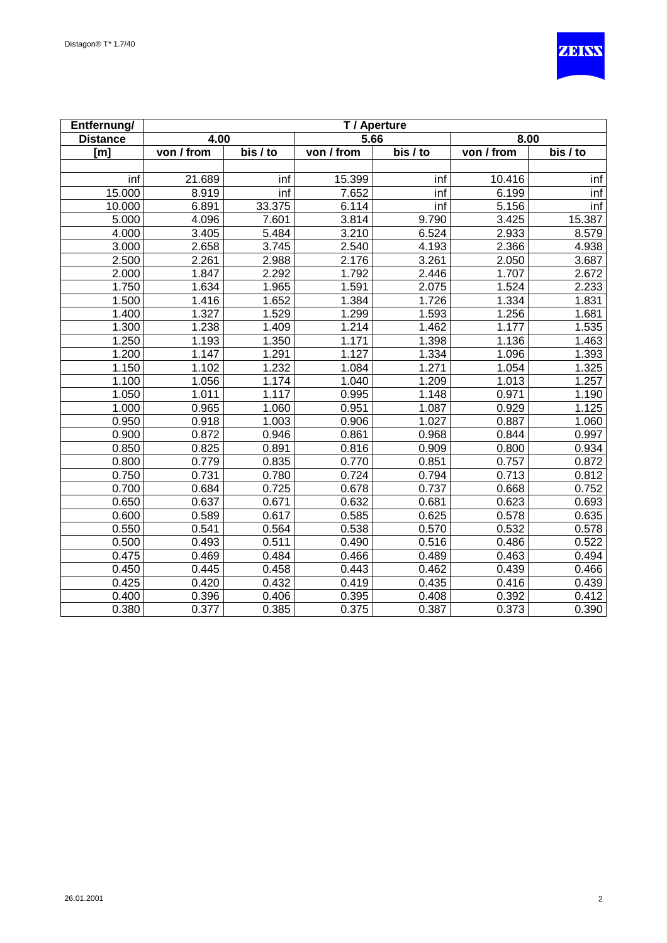

| Entfernung/     | T / Aperture |                       |            |          |            |          |  |
|-----------------|--------------|-----------------------|------------|----------|------------|----------|--|
| <b>Distance</b> | 4.00         |                       | 5.66       |          | 8.00       |          |  |
| [m]             | von / from   | $\overline{bis}$ / to | von / from | bis / to | von / from | bis / to |  |
|                 |              |                       |            |          |            |          |  |
| inf             | 21.689       | inf                   | 15.399     | inf      | 10.416     | inf      |  |
| 15.000          | 8.919        | inf                   | 7.652      | inf      | 6.199      | inf      |  |
| 10.000          | 6.891        | 33.375                | 6.114      | inf      | 5.156      | inf      |  |
| 5.000           | 4.096        | 7.601                 | 3.814      | 9.790    | 3.425      | 15.387   |  |
| 4.000           | 3.405        | 5.484                 | 3.210      | 6.524    | 2.933      | 8.579    |  |
| 3.000           | 2.658        | 3.745                 | 2.540      | 4.193    | 2.366      | 4.938    |  |
| 2.500           | 2.261        | 2.988                 | 2.176      | 3.261    | 2.050      | 3.687    |  |
| 2.000           | 1.847        | 2.292                 | 1.792      | 2.446    | 1.707      | 2.672    |  |
| 1.750           | 1.634        | 1.965                 | 1.591      | 2.075    | 1.524      | 2.233    |  |
| 1.500           | 1.416        | 1.652                 | 1.384      | 1.726    | 1.334      | 1.831    |  |
| 1.400           | 1.327        | 1.529                 | 1.299      | 1.593    | 1.256      | 1.681    |  |
| 1.300           | 1.238        | 1.409                 | 1.214      | 1.462    | 1.177      | 1.535    |  |
| 1.250           | 1.193        | 1.350                 | 1.171      | 1.398    | 1.136      | 1.463    |  |
| 1.200           | 1.147        | 1.291                 | 1.127      | 1.334    | 1.096      | 1.393    |  |
| 1.150           | 1.102        | 1.232                 | 1.084      | 1.271    | 1.054      | 1.325    |  |
| 1.100           | 1.056        | 1.174                 | 1.040      | 1.209    | 1.013      | 1.257    |  |
| 1.050           | 1.011        | 1.117                 | 0.995      | 1.148    | 0.971      | 1.190    |  |
| 1.000           | 0.965        | 1.060                 | 0.951      | 1.087    | 0.929      | 1.125    |  |
| 0.950           | 0.918        | 1.003                 | 0.906      | 1.027    | 0.887      | 1.060    |  |
| 0.900           | 0.872        | 0.946                 | 0.861      | 0.968    | 0.844      | 0.997    |  |
| 0.850           | 0.825        | 0.891                 | 0.816      | 0.909    | 0.800      | 0.934    |  |
| 0.800           | 0.779        | 0.835                 | 0.770      | 0.851    | 0.757      | 0.872    |  |
| 0.750           | 0.731        | 0.780                 | 0.724      | 0.794    | 0.713      | 0.812    |  |
| 0.700           | 0.684        | 0.725                 | 0.678      | 0.737    | 0.668      | 0.752    |  |
| 0.650           | 0.637        | 0.671                 | 0.632      | 0.681    | 0.623      | 0.693    |  |
| 0.600           | 0.589        | 0.617                 | 0.585      | 0.625    | 0.578      | 0.635    |  |
| 0.550           | 0.541        | 0.564                 | 0.538      | 0.570    | 0.532      | 0.578    |  |
| 0.500           | 0.493        | 0.511                 | 0.490      | 0.516    | 0.486      | 0.522    |  |
| 0.475           | 0.469        | 0.484                 | 0.466      | 0.489    | 0.463      | 0.494    |  |
| 0.450           | 0.445        | 0.458                 | 0.443      | 0.462    | 0.439      | 0.466    |  |
| 0.425           | 0.420        | 0.432                 | 0.419      | 0.435    | 0.416      | 0.439    |  |
| 0.400           | 0.396        | 0.406                 | 0.395      | 0.408    | 0.392      | 0.412    |  |
| 0.380           | 0.377        | 0.385                 | 0.375      | 0.387    | 0.373      | 0.390    |  |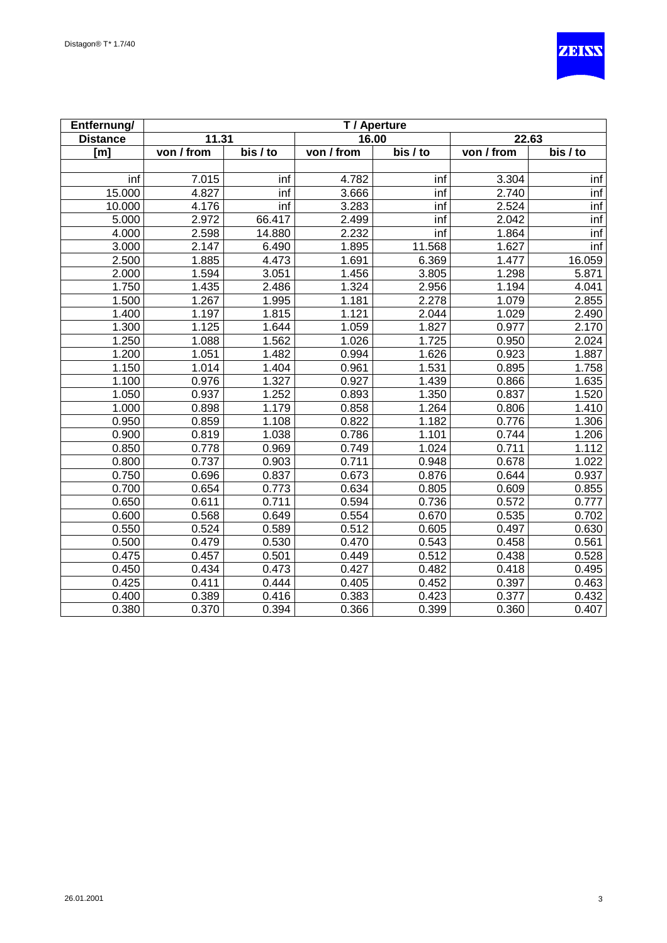

| Entfernung/     | T / Aperture |          |            |                    |            |          |  |
|-----------------|--------------|----------|------------|--------------------|------------|----------|--|
| <b>Distance</b> | 11.31        |          | 16.00      |                    | 22.63      |          |  |
| [m]             | von / from   | bis / to | von / from | $\overline{bis/t}$ | von / from | bis / to |  |
|                 |              |          |            |                    |            |          |  |
| inf             | 7.015        | inf      | 4.782      | inf                | 3.304      | inf      |  |
| 15.000          | 4.827        | inf      | 3.666      | inf                | 2.740      | inf      |  |
| 10.000          | 4.176        | inf      | 3.283      | inf                | 2.524      | inf      |  |
| 5.000           | 2.972        | 66.417   | 2.499      | inf                | 2.042      | inf      |  |
| 4.000           | 2.598        | 14.880   | 2.232      | inf                | 1.864      | inf      |  |
| 3.000           | 2.147        | 6.490    | 1.895      | 11.568             | 1.627      | inf      |  |
| 2.500           | 1.885        | 4.473    | 1.691      | 6.369              | 1.477      | 16.059   |  |
| 2.000           | 1.594        | 3.051    | 1.456      | 3.805              | 1.298      | 5.871    |  |
| 1.750           | 1.435        | 2.486    | 1.324      | 2.956              | 1.194      | 4.041    |  |
| 1.500           | 1.267        | 1.995    | 1.181      | 2.278              | 1.079      | 2.855    |  |
| 1.400           | 1.197        | 1.815    | 1.121      | 2.044              | 1.029      | 2.490    |  |
| 1.300           | 1.125        | 1.644    | 1.059      | 1.827              | 0.977      | 2.170    |  |
| 1.250           | 1.088        | 1.562    | 1.026      | 1.725              | 0.950      | 2.024    |  |
| 1.200           | 1.051        | 1.482    | 0.994      | 1.626              | 0.923      | 1.887    |  |
| 1.150           | 1.014        | 1.404    | 0.961      | 1.531              | 0.895      | 1.758    |  |
| 1.100           | 0.976        | 1.327    | 0.927      | 1.439              | 0.866      | 1.635    |  |
| 1.050           | 0.937        | 1.252    | 0.893      | 1.350              | 0.837      | 1.520    |  |
| 1.000           | 0.898        | 1.179    | 0.858      | 1.264              | 0.806      | 1.410    |  |
| 0.950           | 0.859        | 1.108    | 0.822      | 1.182              | 0.776      | 1.306    |  |
| 0.900           | 0.819        | 1.038    | 0.786      | 1.101              | 0.744      | 1.206    |  |
| 0.850           | 0.778        | 0.969    | 0.749      | 1.024              | 0.711      | 1.112    |  |
| 0.800           | 0.737        | 0.903    | 0.711      | 0.948              | 0.678      | 1.022    |  |
| 0.750           | 0.696        | 0.837    | 0.673      | 0.876              | 0.644      | 0.937    |  |
| 0.700           | 0.654        | 0.773    | 0.634      | 0.805              | 0.609      | 0.855    |  |
| 0.650           | 0.611        | 0.711    | 0.594      | 0.736              | 0.572      | 0.777    |  |
| 0.600           | 0.568        | 0.649    | 0.554      | 0.670              | 0.535      | 0.702    |  |
| 0.550           | 0.524        | 0.589    | 0.512      | 0.605              | 0.497      | 0.630    |  |
| 0.500           | 0.479        | 0.530    | 0.470      | 0.543              | 0.458      | 0.561    |  |
| 0.475           | 0.457        | 0.501    | 0.449      | 0.512              | 0.438      | 0.528    |  |
| 0.450           | 0.434        | 0.473    | 0.427      | 0.482              | 0.418      | 0.495    |  |
| 0.425           | 0.411        | 0.444    | 0.405      | 0.452              | 0.397      | 0.463    |  |
| 0.400           | 0.389        | 0.416    | 0.383      | 0.423              | 0.377      | 0.432    |  |
| 0.380           | 0.370        | 0.394    | 0.366      | 0.399              | 0.360      | 0.407    |  |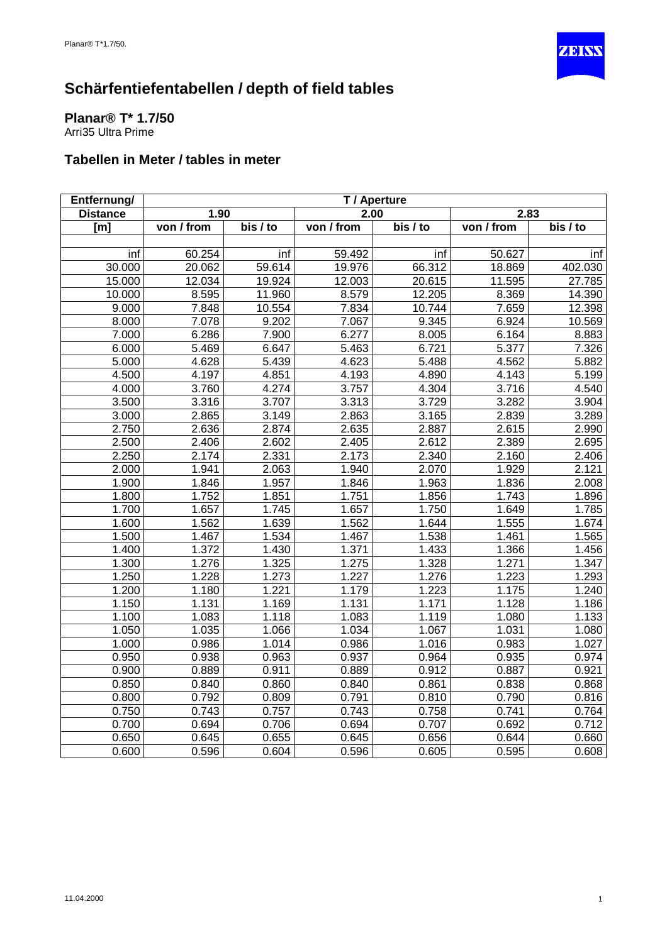

<span id="page-29-0"></span>**Planar® T\* 1.7/50** Arri35 Ultra Prime

| Entfernung/     | T / Aperture |                    |            |          |            |          |
|-----------------|--------------|--------------------|------------|----------|------------|----------|
| <b>Distance</b> | 1.90         |                    | 2.00       |          | 2.83       |          |
| [ml]            | von / from   | $\overline{bis/t}$ | von / from | bis / to | von / from | bis / to |
|                 |              |                    |            |          |            |          |
| inf             | 60.254       | inf                | 59.492     | inf      | 50.627     | inf      |
| 30.000          | 20.062       | 59.614             | 19.976     | 66.312   | 18.869     | 402.030  |
| 15.000          | 12.034       | 19.924             | 12.003     | 20.615   | 11.595     | 27.785   |
| 10.000          | 8.595        | 11.960             | 8.579      | 12.205   | 8.369      | 14.390   |
| 9.000           | 7.848        | 10.554             | 7.834      | 10.744   | 7.659      | 12.398   |
| 8.000           | 7.078        | 9.202              | 7.067      | 9.345    | 6.924      | 10.569   |
| 7.000           | 6.286        | 7.900              | 6.277      | 8.005    | 6.164      | 8.883    |
| 6.000           | 5.469        | 6.647              | 5.463      | 6.721    | 5.377      | 7.326    |
| 5.000           | 4.628        | 5.439              | 4.623      | 5.488    | 4.562      | 5.882    |
| 4.500           | 4.197        | 4.851              | 4.193      | 4.890    | 4.143      | 5.199    |
| 4.000           | 3.760        | 4.274              | 3.757      | 4.304    | 3.716      | 4.540    |
| 3.500           | 3.316        | 3.707              | 3.313      | 3.729    | 3.282      | 3.904    |
| 3.000           | 2.865        | 3.149              | 2.863      | 3.165    | 2.839      | 3.289    |
| 2.750           | 2.636        | 2.874              | 2.635      | 2.887    | 2.615      | 2.990    |
| 2.500           | 2.406        | 2.602              | 2.405      | 2.612    | 2.389      | 2.695    |
| 2.250           | 2.174        | 2.331              | 2.173      | 2.340    | 2.160      | 2.406    |
| 2.000           | 1.941        | 2.063              | 1.940      | 2.070    | 1.929      | 2.121    |
| 1.900           | 1.846        | 1.957              | 1.846      | 1.963    | 1.836      | 2.008    |
| 1.800           | 1.752        | 1.851              | 1.751      | 1.856    | 1.743      | 1.896    |
| 1.700           | 1.657        | 1.745              | 1.657      | 1.750    | 1.649      | 1.785    |
| 1.600           | 1.562        | 1.639              | 1.562      | 1.644    | 1.555      | 1.674    |
| 1.500           | 1.467        | 1.534              | 1.467      | 1.538    | 1.461      | 1.565    |
| 1.400           | 1.372        | 1.430              | 1.371      | 1.433    | 1.366      | 1.456    |
| 1.300           | 1.276        | 1.325              | 1.275      | 1.328    | 1.271      | 1.347    |
| 1.250           | 1.228        | 1.273              | 1.227      | 1.276    | 1.223      | 1.293    |
| 1.200           | 1.180        | 1.221              | 1.179      | 1.223    | 1.175      | 1.240    |
| 1.150           | 1.131        | 1.169              | 1.131      | 1.171    | 1.128      | 1.186    |
| 1.100           | 1.083        | 1.118              | 1.083      | 1.119    | 1.080      | 1.133    |
| 1.050           | 1.035        | 1.066              | 1.034      | 1.067    | 1.031      | 1.080    |
| 1.000           | 0.986        | 1.014              | 0.986      | 1.016    | 0.983      | 1.027    |
| 0.950           | 0.938        | 0.963              | 0.937      | 0.964    | 0.935      | 0.974    |
| 0.900           | 0.889        | 0.911              | 0.889      | 0.912    | 0.887      | 0.921    |
| 0.850           | 0.840        | 0.860              | 0.840      | 0.861    | 0.838      | 0.868    |
| 0.800           | 0.792        | 0.809              | 0.791      | 0.810    | 0.790      | 0.816    |
| 0.750           | 0.743        | 0.757              | 0.743      | 0.758    | 0.741      | 0.764    |
| 0.700           | 0.694        | 0.706              | 0.694      | 0.707    | 0.692      | 0.712    |
| 0.650           | 0.645        | 0.655              | 0.645      | 0.656    | 0.644      | 0.660    |
| 0.600           | 0.596        | 0.604              | 0.596      | 0.605    | 0.595      | 0.608    |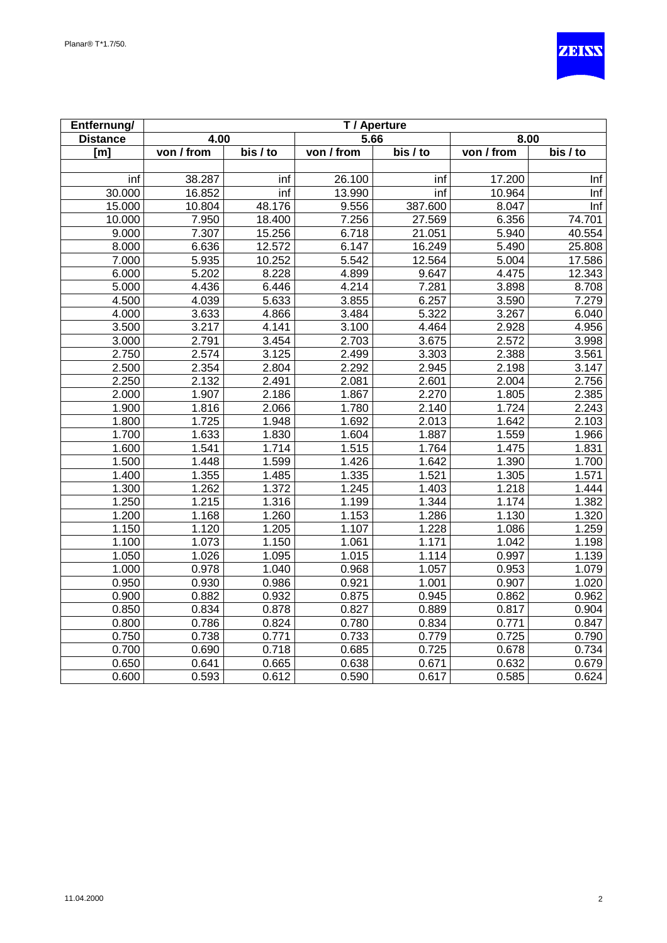

| Entfernung/     | T / Aperture |          |                    |                       |            |          |  |
|-----------------|--------------|----------|--------------------|-----------------------|------------|----------|--|
| <b>Distance</b> | 4.00         |          | 5.66               |                       | 8.00       |          |  |
| [m]             | von / from   | bis / to | von / from         | $\overline{bis}$ / to | von / from | bis / to |  |
|                 |              |          |                    |                       |            |          |  |
| inf             | 38.287       | inf      | 26.100             | inf                   | 17.200     | Inf      |  |
| 30.000          | 16.852       | inf      | 13.990             | inf                   | 10.964     | Inf      |  |
| 15.000          | 10.804       | 48.176   | 9.556              | 387.600               | 8.047      | Inf      |  |
| 10.000          | 7.950        | 18.400   | 7.256              | 27.569                | 6.356      | 74.701   |  |
| 9.000           | 7.307        | 15.256   | 6.718              | 21.051                | 5.940      | 40.554   |  |
| 8.000           | 6.636        | 12.572   | 6.147              | 16.249                | 5.490      | 25.808   |  |
| 7.000           | 5.935        | 10.252   | 5.542              | 12.564                | 5.004      | 17.586   |  |
| 6.000           | 5.202        | 8.228    | 4.899              | 9.647                 | 4.475      | 12.343   |  |
| 5.000           | 4.436        | 6.446    | 4.214              | 7.281                 | 3.898      | 8.708    |  |
| 4.500           | 4.039        | 5.633    | 3.855              | 6.257                 | 3.590      | 7.279    |  |
| 4.000           | 3.633        | 4.866    | 3.484              | 5.322                 | 3.267      | 6.040    |  |
| 3.500           | 3.217        | 4.141    | 3.100              | 4.464                 | 2.928      | 4.956    |  |
| 3.000           | 2.791        | 3.454    | 2.703              | 3.675                 | 2.572      | 3.998    |  |
| 2.750           | 2.574        | 3.125    | 2.499              | 3.303                 | 2.388      | 3.561    |  |
| 2.500           | 2.354        | 2.804    | 2.292              | 2.945                 | 2.198      | 3.147    |  |
| 2.250           | 2.132        | 2.491    | 2.081              | 2.601                 | 2.004      | 2.756    |  |
| 2.000           | 1.907        | 2.186    | 1.867              | 2.270                 | 1.805      | 2.385    |  |
| 1.900           | 1.816        | 2.066    | 1.780              | 2.140                 | 1.724      | 2.243    |  |
| 1.800           | 1.725        | 1.948    | 1.692              | 2.013                 | 1.642      | 2.103    |  |
| 1.700           | 1.633        | 1.830    | 1.604              | 1.887                 | 1.559      | 1.966    |  |
| 1.600           | 1.541        | 1.714    | 1.515              | 1.764                 | 1.475      | 1.831    |  |
| 1.500           | 1.448        | 1.599    | 1.426              | 1.642                 | 1.390      | 1.700    |  |
| 1.400           | 1.355        | 1.485    | 1.335              | 1.521                 | 1.305      | 1.571    |  |
| 1.300           | 1.262        | 1.372    | 1.245              | 1.403                 | 1.218      | 1.444    |  |
| 1.250           | 1.215        | 1.316    | 1.199              | 1.344                 | 1.174      | 1.382    |  |
| 1.200           | 1.168        | 1.260    | 1.153              | 1.286                 | 1.130      | 1.320    |  |
| 1.150           | 1.120        | 1.205    | $\overline{1.107}$ | 1.228                 | 1.086      | 1.259    |  |
| 1.100           | 1.073        | 1.150    | 1.061              | 1.171                 | 1.042      | 1.198    |  |
| 1.050           | 1.026        | 1.095    | 1.015              | 1.114                 | 0.997      | 1.139    |  |
| 1.000           | 0.978        | 1.040    | 0.968              | 1.057                 | 0.953      | 1.079    |  |
| 0.950           | 0.930        | 0.986    | 0.921              | 1.001                 | 0.907      | 1.020    |  |
| 0.900           | 0.882        | 0.932    | 0.875              | 0.945                 | 0.862      | 0.962    |  |
| 0.850           | 0.834        | 0.878    | 0.827              | 0.889                 | 0.817      | 0.904    |  |
| 0.800           | 0.786        | 0.824    | 0.780              | 0.834                 | 0.771      | 0.847    |  |
| 0.750           | 0.738        | 0.771    | 0.733              | 0.779                 | 0.725      | 0.790    |  |
| 0.700           | 0.690        | 0.718    | 0.685              | 0.725                 | 0.678      | 0.734    |  |
| 0.650           | 0.641        | 0.665    | 0.638              | 0.671                 | 0.632      | 0.679    |  |
| 0.600           | 0.593        | 0.612    | 0.590              | 0.617                 | 0.585      | 0.624    |  |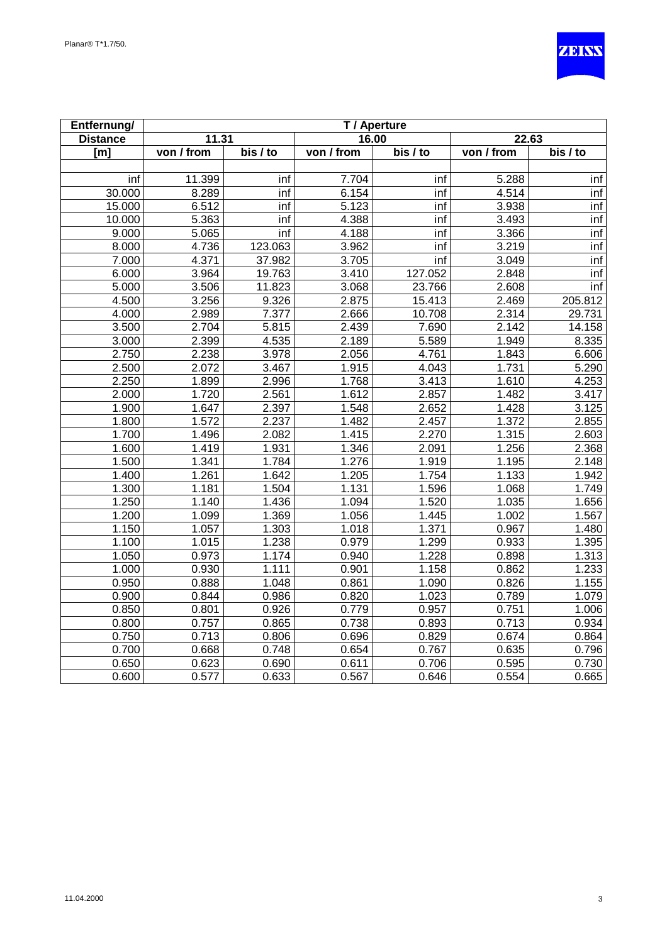

| Entfernung/     | T / Aperture      |                       |            |          |            |                       |  |
|-----------------|-------------------|-----------------------|------------|----------|------------|-----------------------|--|
| <b>Distance</b> | 11.31             |                       | 16.00      |          | 22.63      |                       |  |
| [m]             | von / from        | $\overline{bis}$ / to | von / from | bis / to | von / from | $\overline{bis}$ / to |  |
|                 |                   |                       |            |          |            |                       |  |
| inf             | 11.399            | inf                   | 7.704      | inf      | 5.288      | inf                   |  |
| 30.000          | 8.289             | inf                   | 6.154      | inf      | 4.514      | inf                   |  |
| 15.000          | 6.512             | inf                   | 5.123      | inf      | 3.938      | inf                   |  |
| 10.000          | $\frac{1}{5.363}$ | inf                   | 4.388      | inf      | 3.493      | inf                   |  |
| 9.000           | 5.065             | inf                   | 4.188      | inf      | 3.366      | inf                   |  |
| 8.000           | 4.736             | 123.063               | 3.962      | inf      | 3.219      | inf                   |  |
| 7.000           | 4.371             | 37.982                | 3.705      | inf      | 3.049      | inf                   |  |
| 6.000           | 3.964             | 19.763                | 3.410      | 127.052  | 2.848      | inf                   |  |
| 5.000           | 3.506             | 11.823                | 3.068      | 23.766   | 2.608      | inf                   |  |
| 4.500           | 3.256             | 9.326                 | 2.875      | 15.413   | 2.469      | 205.812               |  |
| 4.000           | 2.989             | 7.377                 | 2.666      | 10.708   | 2.314      | 29.731                |  |
| 3.500           | 2.704             | 5.815                 | 2.439      | 7.690    | 2.142      | 14.158                |  |
| 3.000           | 2.399             | 4.535                 | 2.189      | 5.589    | 1.949      | 8.335                 |  |
| 2.750           | 2.238             | 3.978                 | 2.056      | 4.761    | 1.843      | 6.606                 |  |
| 2.500           | 2.072             | 3.467                 | 1.915      | 4.043    | 1.731      | 5.290                 |  |
| 2.250           | 1.899             | 2.996                 | 1.768      | 3.413    | 1.610      | 4.253                 |  |
| 2.000           | 1.720             | 2.561                 | 1.612      | 2.857    | 1.482      | 3.417                 |  |
| 1.900           | 1.647             | 2.397                 | 1.548      | 2.652    | 1.428      | 3.125                 |  |
| 1.800           | 1.572             | 2.237                 | 1.482      | 2.457    | 1.372      | 2.855                 |  |
| 1.700           | 1.496             | 2.082                 | 1.415      | 2.270    | 1.315      | 2.603                 |  |
| 1.600           | 1.419             | 1.931                 | 1.346      | 2.091    | 1.256      | 2.368                 |  |
| 1.500           | 1.341             | 1.784                 | 1.276      | 1.919    | 1.195      | 2.148                 |  |
| 1.400           | 1.261             | 1.642                 | 1.205      | 1.754    | 1.133      | 1.942                 |  |
| 1.300           | 1.181             | 1.504                 | 1.131      | 1.596    | 1.068      | 1.749                 |  |
| 1.250           | 1.140             | 1.436                 | 1.094      | 1.520    | 1.035      | 1.656                 |  |
| 1.200           | 1.099             | 1.369                 | 1.056      | 1.445    | 1.002      | 1.567                 |  |
| 1.150           | 1.057             | 1.303                 | 1.018      | 1.371    | 0.967      | 1.480                 |  |
| 1.100           | 1.015             | 1.238                 | 0.979      | 1.299    | 0.933      | 1.395                 |  |
| 1.050           | 0.973             | 1.174                 | 0.940      | 1.228    | 0.898      | 1.313                 |  |
| 1.000           | 0.930             | 1.111                 | 0.901      | 1.158    | 0.862      | 1.233                 |  |
| 0.950           | 0.888             | 1.048                 | 0.861      | 1.090    | 0.826      | 1.155                 |  |
| 0.900           | 0.844             | 0.986                 | 0.820      | 1.023    | 0.789      | 1.079                 |  |
| 0.850           | 0.801             | 0.926                 | 0.779      | 0.957    | 0.751      | 1.006                 |  |
| 0.800           | 0.757             | 0.865                 | 0.738      | 0.893    | 0.713      | 0.934                 |  |
| 0.750           | 0.713             | 0.806                 | 0.696      | 0.829    | 0.674      | 0.864                 |  |
| 0.700           | 0.668             | 0.748                 | 0.654      | 0.767    | 0.635      | 0.796                 |  |
| 0.650           | 0.623             | 0.690                 | 0.611      | 0.706    | 0.595      | 0.730                 |  |
| 0.600           | 0.577             | 0.633                 | 0.567      | 0.646    | 0.554      | 0.665                 |  |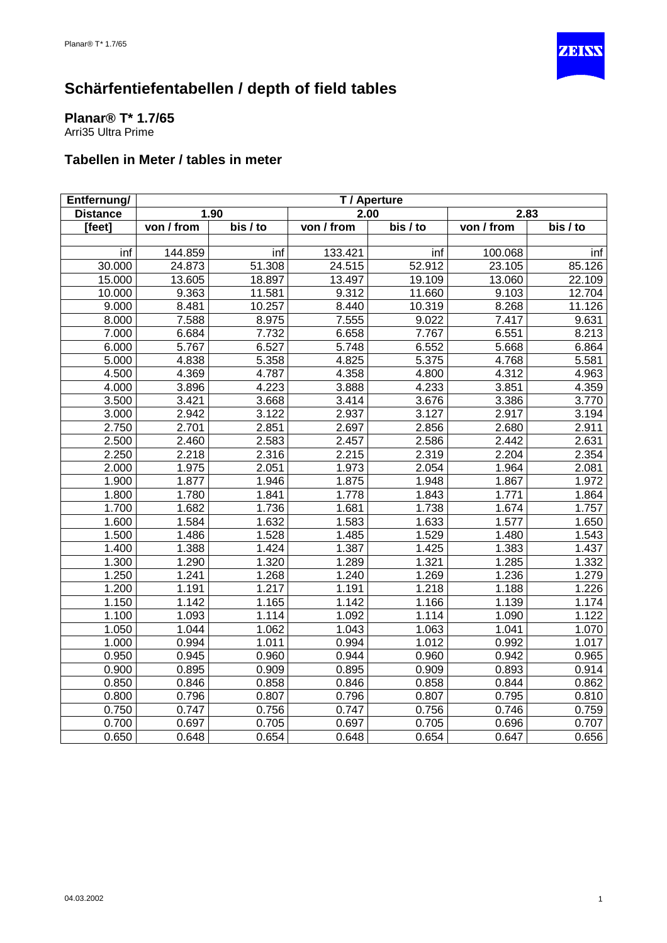

<span id="page-32-0"></span>**Planar® T\* 1.7/65** Arri35 Ultra Prime

| Entfernung/     | T / Aperture |                       |            |                       |            |          |
|-----------------|--------------|-----------------------|------------|-----------------------|------------|----------|
| <b>Distance</b> |              | 1.90                  | 2.00       |                       | 2.83       |          |
| [feet]          | von / from   | $\overline{bis}$ / to | von / from | $\overline{bis}$ / to | von / from | bis / to |
|                 |              |                       |            |                       |            |          |
| inf             | 144.859      | inf                   | 133.421    | inf                   | 100.068    | inf      |
| 30.000          | 24.873       | 51.308                | 24.515     | 52.912                | 23.105     | 85.126   |
| 15.000          | 13.605       | 18.897                | 13.497     | 19.109                | 13.060     | 22.109   |
| 10.000          | 9.363        | 11.581                | 9.312      | 11.660                | 9.103      | 12.704   |
| 9.000           | 8.481        | 10.257                | 8.440      | 10.319                | 8.268      | 11.126   |
| 8.000           | 7.588        | 8.975                 | 7.555      | 9.022                 | 7.417      | 9.631    |
| 7.000           | 6.684        | 7.732                 | 6.658      | 7.767                 | 6.551      | 8.213    |
| 6.000           | 5.767        | 6.527                 | 5.748      | 6.552                 | 5.668      | 6.864    |
| 5.000           | 4.838        | 5.358                 | 4.825      | 5.375                 | 4.768      | 5.581    |
| 4.500           | 4.369        | 4.787                 | 4.358      | 4.800                 | 4.312      | 4.963    |
| 4.000           | 3.896        | 4.223                 | 3.888      | 4.233                 | 3.851      | 4.359    |
| 3.500           | 3.421        | 3.668                 | 3.414      | 3.676                 | 3.386      | 3.770    |
| 3.000           | 2.942        | 3.122                 | 2.937      | 3.127                 | 2.917      | 3.194    |
| 2.750           | 2.701        | 2.851                 | 2.697      | 2.856                 | 2.680      | 2.911    |
| 2.500           | 2.460        | 2.583                 | 2.457      | 2.586                 | 2.442      | 2.631    |
| 2.250           | 2.218        | 2.316                 | 2.215      | 2.319                 | 2.204      | 2.354    |
| 2.000           | 1.975        | 2.051                 | 1.973      | 2.054                 | 1.964      | 2.081    |
| 1.900           | 1.877        | 1.946                 | 1.875      | 1.948                 | 1.867      | 1.972    |
| 1.800           | 1.780        | 1.841                 | 1.778      | 1.843                 | 1.771      | 1.864    |
| 1.700           | 1.682        | 1.736                 | 1.681      | 1.738                 | 1.674      | 1.757    |
| 1.600           | 1.584        | 1.632                 | 1.583      | 1.633                 | 1.577      | 1.650    |
| 1.500           | 1.486        | 1.528                 | 1.485      | 1.529                 | 1.480      | 1.543    |
| 1.400           | 1.388        | 1.424                 | 1.387      | 1.425                 | 1.383      | 1.437    |
| 1.300           | 1.290        | 1.320                 | 1.289      | 1.321                 | 1.285      | 1.332    |
| 1.250           | 1.241        | 1.268                 | 1.240      | 1.269                 | 1.236      | 1.279    |
| 1.200           | 1.191        | 1.217                 | 1.191      | 1.218                 | 1.188      | 1.226    |
| 1.150           | 1.142        | 1.165                 | 1.142      | 1.166                 | 1.139      | 1.174    |
| 1.100           | 1.093        | 1.114                 | 1.092      | 1.114                 | 1.090      | 1.122    |
| 1.050           | 1.044        | 1.062                 | 1.043      | 1.063                 | 1.041      | 1.070    |
| 1.000           | 0.994        | 1.011                 | 0.994      | 1.012                 | 0.992      | 1.017    |
| 0.950           | 0.945        | 0.960                 | 0.944      | 0.960                 | 0.942      | 0.965    |
| 0.900           | 0.895        | 0.909                 | 0.895      | 0.909                 | 0.893      | 0.914    |
| 0.850           | 0.846        | 0.858                 | 0.846      | 0.858                 | 0.844      | 0.862    |
| 0.800           | 0.796        | 0.807                 | 0.796      | 0.807                 | 0.795      | 0.810    |
| 0.750           | 0.747        | 0.756                 | 0.747      | 0.756                 | 0.746      | 0.759    |
| 0.700           | 0.697        | 0.705                 | 0.697      | 0.705                 | 0.696      | 0.707    |
| 0.650           | 0.648        | 0.654                 | 0.648      | 0.654                 | 0.647      | 0.656    |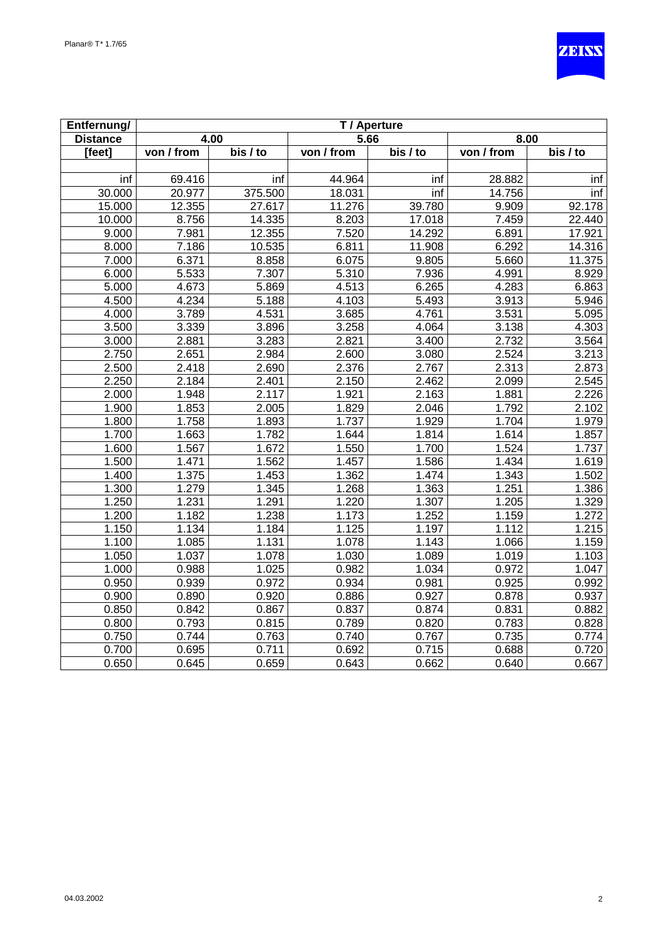

| Entfernung/          | T / Aperture |                       |            |                           |            |                       |
|----------------------|--------------|-----------------------|------------|---------------------------|------------|-----------------------|
| <b>Distance</b>      |              | 4.00                  | 5.66       |                           | 8.00       |                       |
| $\overline{[f}$ eet] | von / from   | $\overline{bis}$ / to | von / from | $\overline{bis}$ / to     | von / from | $\overline{bis}$ / to |
|                      |              |                       |            |                           |            |                       |
| inf                  | 69.416       | inf                   | 44.964     | inf                       | 28.882     | inf                   |
| 30.000               | 20.977       | 375.500               | 18.031     | $\overline{\mathsf{inf}}$ | 14.756     | inf                   |
| 15.000               | 12.355       | 27.617                | 11.276     | 39.780                    | 9.909      | 92.178                |
| 10.000               | 8.756        | 14.335                | 8.203      | 17.018                    | 7.459      | 22.440                |
| 9.000                | 7.981        | 12.355                | 7.520      | 14.292                    | 6.891      | 17.921                |
| 8.000                | 7.186        | 10.535                | 6.811      | 11.908                    | 6.292      | 14.316                |
| 7.000                | 6.371        | 8.858                 | 6.075      | 9.805                     | 5.660      | 11.375                |
| 6.000                | 5.533        | 7.307                 | 5.310      | 7.936                     | 4.991      | 8.929                 |
| 5.000                | 4.673        | 5.869                 | 4.513      | 6.265                     | 4.283      | 6.863                 |
| 4.500                | 4.234        | 5.188                 | 4.103      | 5.493                     | 3.913      | 5.946                 |
| 4.000                | 3.789        | 4.531                 | 3.685      | 4.761                     | 3.531      | 5.095                 |
| 3.500                | 3.339        | 3.896                 | 3.258      | 4.064                     | 3.138      | 4.303                 |
| 3.000                | 2.881        | 3.283                 | 2.821      | 3.400                     | 2.732      | 3.564                 |
| 2.750                | 2.651        | 2.984                 | 2.600      | 3.080                     | 2.524      | 3.213                 |
| 2.500                | 2.418        | 2.690                 | 2.376      | 2.767                     | 2.313      | 2.873                 |
| 2.250                | 2.184        | 2.401                 | 2.150      | 2.462                     | 2.099      | 2.545                 |
| 2.000                | 1.948        | 2.117                 | 1.921      | 2.163                     | 1.881      | 2.226                 |
| 1.900                | 1.853        | 2.005                 | 1.829      | 2.046                     | 1.792      | 2.102                 |
| 1.800                | 1.758        | 1.893                 | 1.737      | 1.929                     | 1.704      | 1.979                 |
| 1.700                | 1.663        | 1.782                 | 1.644      | 1.814                     | 1.614      | 1.857                 |
| 1.600                | 1.567        | 1.672                 | 1.550      | 1.700                     | 1.524      | 1.737                 |
| 1.500                | 1.471        | 1.562                 | 1.457      | 1.586                     | 1.434      | 1.619                 |
| 1.400                | 1.375        | 1.453                 | 1.362      | 1.474                     | 1.343      | 1.502                 |
| 1.300                | 1.279        | 1.345                 | 1.268      | 1.363                     | 1.251      | 1.386                 |
| 1.250                | 1.231        | 1.291                 | 1.220      | 1.307                     | 1.205      | 1.329                 |
| 1.200                | 1.182        | 1.238                 | 1.173      | 1.252                     | 1.159      | 1.272                 |
| 1.150                | 1.134        | 1.184                 | 1.125      | 1.197                     | 1.112      | 1.215                 |
| 1.100                | 1.085        | 1.131                 | 1.078      | 1.143                     | 1.066      | 1.159                 |
| 1.050                | 1.037        | 1.078                 | 1.030      | 1.089                     | 1.019      | 1.103                 |
| 1.000                | 0.988        | 1.025                 | 0.982      | 1.034                     | 0.972      | 1.047                 |
| 0.950                | 0.939        | 0.972                 | 0.934      | 0.981                     | 0.925      | 0.992                 |
| 0.900                | 0.890        | 0.920                 | 0.886      | 0.927                     | 0.878      | 0.937                 |
| 0.850                | 0.842        | 0.867                 | 0.837      | 0.874                     | 0.831      | 0.882                 |
| 0.800                | 0.793        | 0.815                 | 0.789      | 0.820                     | 0.783      | 0.828                 |
| 0.750                | 0.744        | 0.763                 | 0.740      | 0.767                     | 0.735      | 0.774                 |
| 0.700                | 0.695        | 0.711                 | 0.692      | 0.715                     | 0.688      | 0.720                 |
| 0.650                | 0.645        | 0.659                 | 0.643      | 0.662                     | 0.640      | 0.667                 |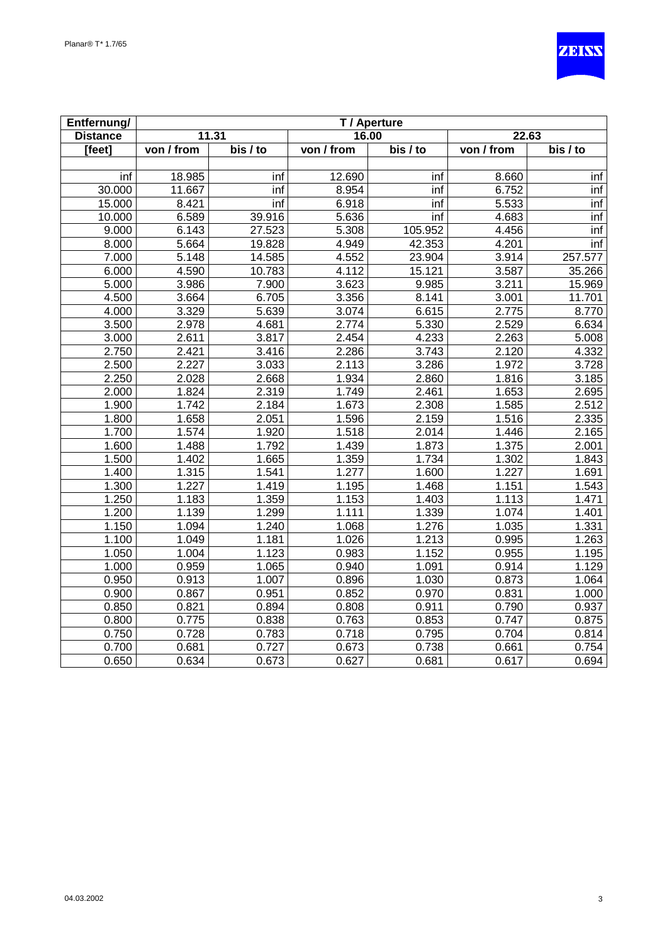

| Entfernung/     | T / Aperture |                       |            |                              |            |          |
|-----------------|--------------|-----------------------|------------|------------------------------|------------|----------|
| <b>Distance</b> |              | 11.31                 | 16.00      |                              | 22.63      |          |
| [feet]          | von / from   | $\overline{bis}$ / to | von / from | $\overline{\text{bis}}$ / to | von / from | bis / to |
|                 |              |                       |            |                              |            |          |
| inf             | 18.985       | inf                   | 12.690     | inf                          | 8.660      | inf      |
| 30.000          | 11.667       | inf                   | 8.954      | int                          | 6.752      | inf      |
| 15.000          | 8.421        | inf                   | 6.918      | inf                          | 5.533      | inf      |
| 10.000          | 6.589        | 39.916                | 5.636      | int                          | 4.683      | inf      |
| 9.000           | 6.143        | 27.523                | 5.308      | 105.952                      | 4.456      | inf      |
| 8.000           | 5.664        | 19.828                | 4.949      | 42.353                       | 4.201      | inf      |
| 7.000           | 5.148        | 14.585                | 4.552      | 23.904                       | 3.914      | 257.577  |
| 6.000           | 4.590        | 10.783                | 4.112      | 15.121                       | 3.587      | 35.266   |
| 5.000           | 3.986        | 7.900                 | 3.623      | 9.985                        | 3.211      | 15.969   |
| 4.500           | 3.664        | 6.705                 | 3.356      | 8.141                        | 3.001      | 11.701   |
| 4.000           | 3.329        | 5.639                 | 3.074      | 6.615                        | 2.775      | 8.770    |
| 3.500           | 2.978        | 4.681                 | 2.774      | 5.330                        | 2.529      | 6.634    |
| 3.000           | 2.611        | 3.817                 | 2.454      | 4.233                        | 2.263      | 5.008    |
| 2.750           | 2.421        | 3.416                 | 2.286      | 3.743                        | 2.120      | 4.332    |
| 2.500           | 2.227        | 3.033                 | 2.113      | 3.286                        | 1.972      | 3.728    |
| 2.250           | 2.028        | 2.668                 | 1.934      | 2.860                        | 1.816      | 3.185    |
| 2.000           | 1.824        | 2.319                 | 1.749      | 2.461                        | 1.653      | 2.695    |
| 1.900           | 1.742        | 2.184                 | 1.673      | 2.308                        | 1.585      | 2.512    |
| 1.800           | 1.658        | 2.051                 | 1.596      | 2.159                        | 1.516      | 2.335    |
| 1.700           | 1.574        | 1.920                 | 1.518      | 2.014                        | 1.446      | 2.165    |
| 1.600           | 1.488        | 1.792                 | 1.439      | 1.873                        | 1.375      | 2.001    |
| 1.500           | 1.402        | 1.665                 | 1.359      | 1.734                        | 1.302      | 1.843    |
| 1.400           | 1.315        | 1.541                 | 1.277      | 1.600                        | 1.227      | 1.691    |
| 1.300           | 1.227        | 1.419                 | 1.195      | 1.468                        | 1.151      | 1.543    |
| 1.250           | 1.183        | 1.359                 | 1.153      | 1.403                        | 1.113      | 1.471    |
| 1.200           | 1.139        | 1.299                 | 1.111      | 1.339                        | 1.074      | 1.401    |
| 1.150           | 1.094        | 1.240                 | 1.068      | 1.276                        | 1.035      | 1.331    |
| 1.100           | 1.049        | 1.181                 | 1.026      | 1.213                        | 0.995      | 1.263    |
| 1.050           | 1.004        | 1.123                 | 0.983      | 1.152                        | 0.955      | 1.195    |
| 1.000           | 0.959        | 1.065                 | 0.940      | 1.091                        | 0.914      | 1.129    |
| 0.950           | 0.913        | 1.007                 | 0.896      | 1.030                        | 0.873      | 1.064    |
| 0.900           | 0.867        | 0.951                 | 0.852      | 0.970                        | 0.831      | 1.000    |
| 0.850           | 0.821        | 0.894                 | 0.808      | 0.911                        | 0.790      | 0.937    |
| 0.800           | 0.775        | 0.838                 | 0.763      | 0.853                        | 0.747      | 0.875    |
| 0.750           | 0.728        | 0.783                 | 0.718      | 0.795                        | 0.704      | 0.814    |
| 0.700           | 0.681        | 0.727                 | 0.673      | 0.738                        | 0.661      | 0.754    |
| 0.650           | 0.634        | 0.673                 | 0.627      | 0.681                        | 0.617      | 0.694    |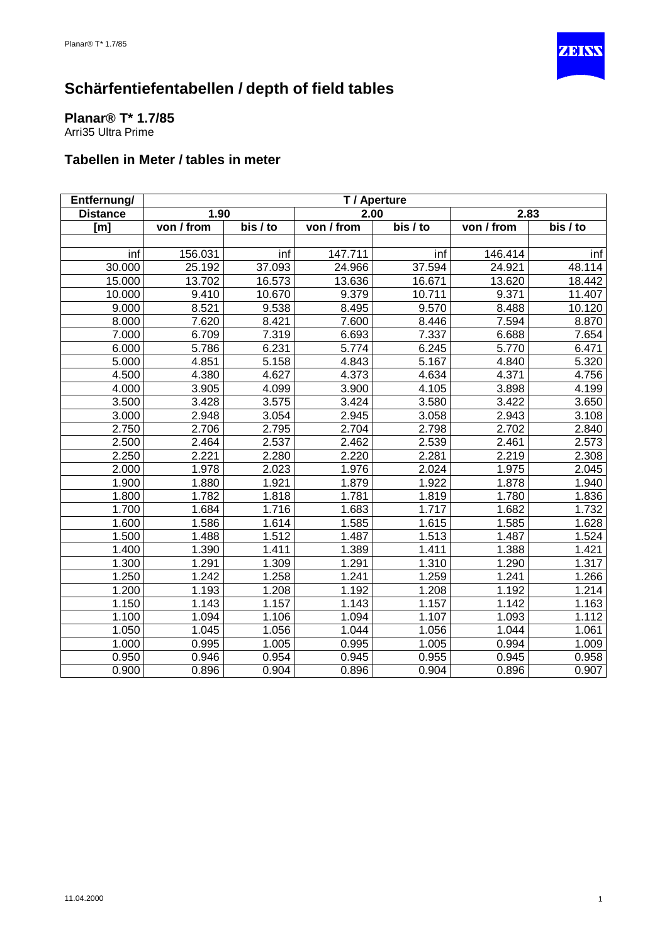

<span id="page-35-0"></span>**Planar® T\* 1.7/85** Arri35 Ultra Prime

| Entfernung/     | T / Aperture |          |                    |                       |            |          |  |
|-----------------|--------------|----------|--------------------|-----------------------|------------|----------|--|
| <b>Distance</b> | 1.90         |          | 2.00               |                       |            | 2.83     |  |
| [m]             | von / from   | bis / to | von / from         | $\overline{bis}$ / to | von / from | bis / to |  |
|                 |              |          |                    |                       |            |          |  |
| inf             | 156.031      | inf      | 147.711            | inf                   | 146.414    | inf      |  |
| 30.000          | 25.192       | 37.093   | 24.966             | 37.594                | 24.921     | 48.114   |  |
| 15.000          | 13.702       | 16.573   | 13.636             | 16.671                | 13.620     | 18.442   |  |
| 10.000          | 9.410        | 10.670   | 9.379              | 10.711                | 9.371      | 11.407   |  |
| 9.000           | 8.521        | 9.538    | 8.495              | 9.570                 | 8.488      | 10.120   |  |
| 8.000           | 7.620        | 8.421    | 7.600              | 8.446                 | 7.594      | 8.870    |  |
| 7.000           | 6.709        | 7.319    | 6.693              | 7.337                 | 6.688      | 7.654    |  |
| 6.000           | 5.786        | 6.231    | 5.774              | 6.245                 | 5.770      | 6.471    |  |
| 5.000           | 4.851        | 5.158    | 4.843              | 5.167                 | 4.840      | 5.320    |  |
| 4.500           | 4.380        | 4.627    | 4.373              | 4.634                 | 4.371      | 4.756    |  |
| 4.000           | 3.905        | 4.099    | 3.900              | 4.105                 | 3.898      | 4.199    |  |
| 3.500           | 3.428        | 3.575    | 3.424              | 3.580                 | 3.422      | 3.650    |  |
| 3.000           | 2.948        | 3.054    | 2.945              | 3.058                 | 2.943      | 3.108    |  |
| 2.750           | 2.706        | 2.795    | $\overline{2.704}$ | 2.798                 | 2.702      | 2.840    |  |
| 2.500           | 2.464        | 2.537    | 2.462              | 2.539                 | 2.461      | 2.573    |  |
| 2.250           | 2.221        | 2.280    | 2.220              | 2.281                 | 2.219      | 2.308    |  |
| 2.000           | 1.978        | 2.023    | 1.976              | 2.024                 | 1.975      | 2.045    |  |
| 1.900           | 1.880        | 1.921    | 1.879              | 1.922                 | 1.878      | 1.940    |  |
| 1.800           | 1.782        | 1.818    | 1.781              | 1.819                 | 1.780      | 1.836    |  |
| 1.700           | 1.684        | 1.716    | 1.683              | 1.717                 | 1.682      | 1.732    |  |
| 1.600           | 1.586        | 1.614    | 1.585              | 1.615                 | 1.585      | 1.628    |  |
| 1.500           | 1.488        | 1.512    | 1.487              | 1.513                 | 1.487      | 1.524    |  |
| 1.400           | 1.390        | 1.411    | 1.389              | 1.411                 | 1.388      | 1.421    |  |
| 1.300           | 1.291        | 1.309    | 1.291              | 1.310                 | 1.290      | 1.317    |  |
| 1.250           | 1.242        | 1.258    | 1.241              | 1.259                 | 1.241      | 1.266    |  |
| 1.200           | 1.193        | 1.208    | 1.192              | 1.208                 | 1.192      | 1.214    |  |
| 1.150           | 1.143        | 1.157    | 1.143              | 1.157                 | 1.142      | 1.163    |  |
| 1.100           | 1.094        | 1.106    | 1.094              | 1.107                 | 1.093      | 1.112    |  |
| 1.050           | 1.045        | 1.056    | 1.044              | 1.056                 | 1.044      | 1.061    |  |
| 1.000           | 0.995        | 1.005    | 0.995              | 1.005                 | 0.994      | 1.009    |  |
| 0.950           | 0.946        | 0.954    | 0.945              | 0.955                 | 0.945      | 0.958    |  |
| 0.900           | 0.896        | 0.904    | 0.896              | 0.904                 | 0.896      | 0.907    |  |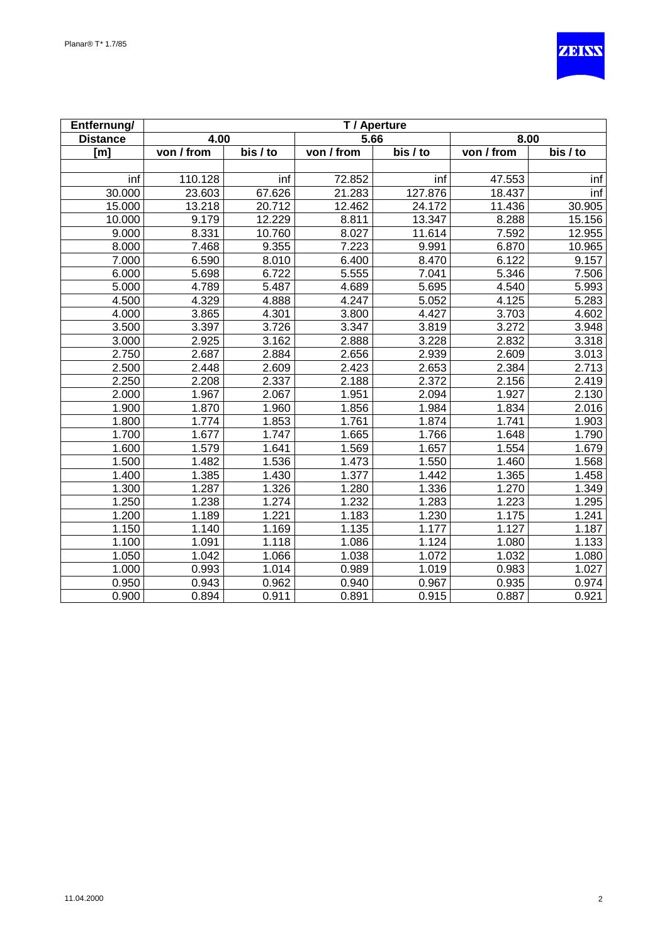

| Entfernung/     |            |          |            | T / Aperture |            |          |
|-----------------|------------|----------|------------|--------------|------------|----------|
| <b>Distance</b> | 4.00       |          | 5.66       |              | 8.00       |          |
| [m]             | von / from | bis / to | von / from | bis / to     | von / from | bis / to |
|                 |            |          |            |              |            |          |
| inf             | 110.128    | inf      | 72.852     | inf          | 47.553     | inf      |
| 30.000          | 23.603     | 67.626   | 21.283     | 127.876      | 18.437     | inf      |
| 15.000          | 13.218     | 20.712   | 12.462     | 24.172       | 11.436     | 30.905   |
| 10.000          | 9.179      | 12.229   | 8.811      | 13.347       | 8.288      | 15.156   |
| 9.000           | 8.331      | 10.760   | 8.027      | 11.614       | 7.592      | 12.955   |
| 8.000           | 7.468      | 9.355    | 7.223      | 9.991        | 6.870      | 10.965   |
| 7.000           | 6.590      | 8.010    | 6.400      | 8.470        | 6.122      | 9.157    |
| 6.000           | 5.698      | 6.722    | 5.555      | 7.041        | 5.346      | 7.506    |
| 5.000           | 4.789      | 5.487    | 4.689      | 5.695        | 4.540      | 5.993    |
| 4.500           | 4.329      | 4.888    | 4.247      | 5.052        | 4.125      | 5.283    |
| 4.000           | 3.865      | 4.301    | 3.800      | 4.427        | 3.703      | 4.602    |
| 3.500           | 3.397      | 3.726    | 3.347      | 3.819        | 3.272      | 3.948    |
| 3.000           | 2.925      | 3.162    | 2.888      | 3.228        | 2.832      | 3.318    |
| 2.750           | 2.687      | 2.884    | 2.656      | 2.939        | 2.609      | 3.013    |
| 2.500           | 2.448      | 2.609    | 2.423      | 2.653        | 2.384      | 2.713    |
| 2.250           | 2.208      | 2.337    | 2.188      | 2.372        | 2.156      | 2.419    |
| 2.000           | 1.967      | 2.067    | 1.951      | 2.094        | 1.927      | 2.130    |
| 1.900           | 1.870      | 1.960    | 1.856      | 1.984        | 1.834      | 2.016    |
| 1.800           | 1.774      | 1.853    | 1.761      | 1.874        | 1.741      | 1.903    |
| 1.700           | 1.677      | 1.747    | 1.665      | 1.766        | 1.648      | 1.790    |
| 1.600           | 1.579      | 1.641    | 1.569      | 1.657        | 1.554      | 1.679    |
| 1.500           | 1.482      | 1.536    | 1.473      | 1.550        | 1.460      | 1.568    |
| 1.400           | 1.385      | 1.430    | 1.377      | 1.442        | 1.365      | 1.458    |
| 1.300           | 1.287      | 1.326    | 1.280      | 1.336        | 1.270      | 1.349    |
| 1.250           | 1.238      | 1.274    | 1.232      | 1.283        | 1.223      | 1.295    |
| 1.200           | 1.189      | 1.221    | 1.183      | 1.230        | 1.175      | 1.241    |
| 1.150           | 1.140      | 1.169    | 1.135      | 1.177        | 1.127      | 1.187    |
| 1.100           | 1.091      | 1.118    | 1.086      | 1.124        | 1.080      | 1.133    |
| 1.050           | 1.042      | 1.066    | 1.038      | 1.072        | 1.032      | 1.080    |
| 1.000           | 0.993      | 1.014    | 0.989      | 1.019        | 0.983      | 1.027    |
| 0.950           | 0.943      | 0.962    | 0.940      | 0.967        | 0.935      | 0.974    |
| 0.900           | 0.894      | 0.911    | 0.891      | 0.915        | 0.887      | 0.921    |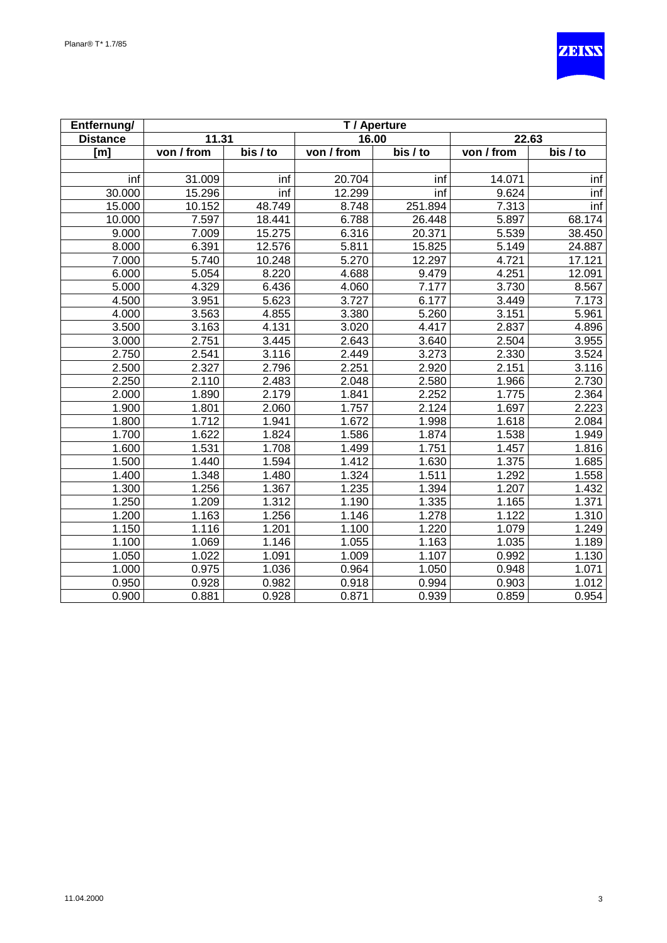

| Entfernung/     | T / Aperture |          |            |          |                    |          |
|-----------------|--------------|----------|------------|----------|--------------------|----------|
| <b>Distance</b> | 11.31        |          | 16.00      |          | 22.63              |          |
| [m]             | von / from   | bis / to | von / from | bis / to | von / from         | bis / to |
|                 |              |          |            |          |                    |          |
| inf             | 31.009       | inf      | 20.704     | inf      | 14.071             | inf      |
| 30.000          | 15.296       | inf      | 12.299     | inf      | 9.624              | inf      |
| 15.000          | 10.152       | 48.749   | 8.748      | 251.894  | 7.313              | inf      |
| 10.000          | 7.597        | 18.441   | 6.788      | 26.448   | 5.897              | 68.174   |
| 9.000           | 7.009        | 15.275   | 6.316      | 20.371   | 5.539              | 38.450   |
| 8.000           | 6.391        | 12.576   | 5.811      | 15.825   | 5.149              | 24.887   |
| 7.000           | 5.740        | 10.248   | 5.270      | 12.297   | 4.721              | 17.121   |
| 6.000           | 5.054        | 8.220    | 4.688      | 9.479    | 4.251              | 12.091   |
| 5.000           | 4.329        | 6.436    | 4.060      | 7.177    | 3.730              | 8.567    |
| 4.500           | 3.951        | 5.623    | 3.727      | 6.177    | 3.449              | 7.173    |
| 4.000           | 3.563        | 4.855    | 3.380      | 5.260    | 3.151              | 5.961    |
| 3.500           | 3.163        | 4.131    | 3.020      | 4.417    | 2.837              | 4.896    |
| 3.000           | 2.751        | 3.445    | 2.643      | 3.640    | 2.504              | 3.955    |
| 2.750           | 2.541        | 3.116    | 2.449      | 3.273    | 2.330              | 3.524    |
| 2.500           | 2.327        | 2.796    | 2.251      | 2.920    | 2.151              | 3.116    |
| 2.250           | 2.110        | 2.483    | 2.048      | 2.580    | 1.966              | 2.730    |
| 2.000           | 1.890        | 2.179    | 1.841      | 2.252    | 1.775              | 2.364    |
| 1.900           | 1.801        | 2.060    | 1.757      | 2.124    | 1.697              | 2.223    |
| 1.800           | 1.712        | 1.941    | 1.672      | 1.998    | 1.618              | 2.084    |
| 1.700           | 1.622        | 1.824    | 1.586      | 1.874    | 1.538              | 1.949    |
| 1.600           | 1.531        | 1.708    | 1.499      | 1.751    | 1.457              | 1.816    |
| 1.500           | 1.440        | 1.594    | 1.412      | 1.630    | 1.375              | 1.685    |
| 1.400           | 1.348        | 1.480    | 1.324      | 1.511    | 1.292              | 1.558    |
| 1.300           | 1.256        | 1.367    | 1.235      | 1.394    | $\overline{1.207}$ | 1.432    |
| 1.250           | 1.209        | 1.312    | 1.190      | 1.335    | 1.165              | 1.371    |
| 1.200           | 1.163        | 1.256    | 1.146      | 1.278    | 1.122              | 1.310    |
| 1.150           | 1.116        | 1.201    | 1.100      | 1.220    | 1.079              | 1.249    |
| 1.100           | 1.069        | 1.146    | 1.055      | 1.163    | 1.035              | 1.189    |
| 1.050           | 1.022        | 1.091    | 1.009      | 1.107    | 0.992              | 1.130    |
| 1.000           | 0.975        | 1.036    | 0.964      | 1.050    | 0.948              | 1.071    |
| 0.950           | 0.928        | 0.982    | 0.918      | 0.994    | 0.903              | 1.012    |
| 0.900           | 0.881        | 0.928    | 0.871      | 0.939    | 0.859              | 0.954    |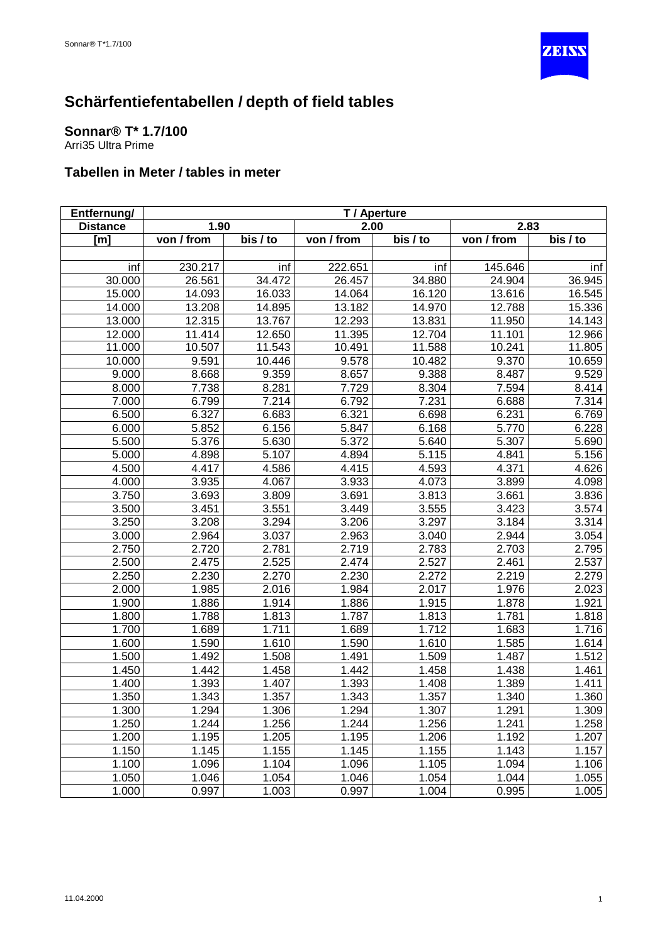

#### <span id="page-38-0"></span>**Sonnar® T\* 1.7/100** Arri35 Ultra Prime

| Entfernung/     |                    |          |            | T / Aperture       |            |          |
|-----------------|--------------------|----------|------------|--------------------|------------|----------|
| <b>Distance</b> | 1.90               |          | 2.00       |                    | 2.83       |          |
| [m]             | von / from         | bis / to | von / from | bis / to           | von / from | bis / to |
|                 |                    |          |            |                    |            |          |
| inf             | 230.217            | inf      | 222.651    | inf                | 145.646    | inf      |
| 30.000          | 26.561             | 34.472   | 26.457     | 34.880             | 24.904     | 36.945   |
| 15.000          | 14.093             | 16.033   | 14.064     | 16.120             | 13.616     | 16.545   |
| 14.000          | 13.208             | 14.895   | 13.182     | 14.970             | 12.788     | 15.336   |
| 13.000          | 12.315             | 13.767   | 12.293     | 13.831             | 11.950     | 14.143   |
| 12.000          | 11.414             | 12.650   | 11.395     | 12.704             | 11.101     | 12.966   |
| 11.000          | 10.507             | 11.543   | 10.491     | 11.588             | 10.241     | 11.805   |
| 10.000          | 9.591              | 10.446   | 9.578      | 10.482             | 9.370      | 10.659   |
| 9.000           | 8.668              | 9.359    | 8.657      | 9.388              | 8.487      | 9.529    |
| 8.000           | 7.738              | 8.281    | 7.729      | 8.304              | 7.594      | 8.414    |
| 7.000           | 6.799              | 7.214    | 6.792      | 7.231              | 6.688      | 7.314    |
| 6.500           | 6.327              | 6.683    | 6.321      | 6.698              | 6.231      | 6.769    |
| 6.000           | 5.852              | 6.156    | 5.847      | 6.168              | 5.770      | 6.228    |
| 5.500           | $\overline{5.376}$ | 5.630    | 5.372      | 5.640              | 5.307      | 5.690    |
| 5.000           | 4.898              | 5.107    | 4.894      | 5.115              | 4.841      | 5.156    |
| 4.500           | 4.417              | 4.586    | 4.415      | 4.593              | 4.371      | 4.626    |
| 4.000           | 3.935              | 4.067    | 3.933      | 4.073              | 3.899      | 4.098    |
| 3.750           | 3.693              | 3.809    | 3.691      | 3.813              | 3.661      | 3.836    |
| 3.500           | 3.451              | 3.551    | 3.449      | 3.555              | 3.423      | 3.574    |
| 3.250           | 3.208              | 3.294    | 3.206      | 3.297              | 3.184      | 3.314    |
| 3.000           | 2.964              | 3.037    | 2.963      | 3.040              | 2.944      | 3.054    |
| 2.750           | 2.720              | 2.781    | 2.719      | 2.783              | 2.703      | 2.795    |
| 2.500           | 2.475              | 2.525    | 2.474      | 2.527              | 2.461      | 2.537    |
| 2.250           | 2.230              | 2.270    | 2.230      | 2.272              | 2.219      | 2.279    |
| 2.000           | 1.985              | 2.016    | 1.984      | 2.017              | 1.976      | 2.023    |
| 1.900           | 1.886              | 1.914    | 1.886      | 1.915              | 1.878      | 1.921    |
| 1.800           | 1.788              | 1.813    | 1.787      | 1.813              | 1.781      | 1.818    |
| 1.700           | 1.689              | 1.711    | 1.689      | $\overline{1.712}$ | 1.683      | 1.716    |
| 1.600           | 1.590              | 1.610    | 1.590      | 1.610              | 1.585      | 1.614    |
| 1.500           | 1.492              | 1.508    | 1.491      | 1.509              | 1.487      | 1.512    |
| 1.450           | 1.442              | 1.458    | 1.442      | 1.458              | 1.438      | 1.461    |
| 1.400           | 1.393              | 1.407    | 1.393      | 1.408              | 1.389      | 1.411    |
| 1.350           | 1.343              | 1.357    | 1.343      | 1.357              | 1.340      | 1.360    |
| 1.300           | 1.294              | 1.306    | 1.294      | 1.307              | 1.291      | 1.309    |
| 1.250           | 1.244              | 1.256    | 1.244      | 1.256              | 1.241      | 1.258    |
| 1.200           | 1.195              | 1.205    | 1.195      | 1.206              | 1.192      | 1.207    |
| 1.150           | 1.145              | 1.155    | 1.145      | 1.155              | 1.143      | 1.157    |
| 1.100           | 1.096              | 1.104    | 1.096      | 1.105              | 1.094      | 1.106    |
| 1.050           | 1.046              | 1.054    | 1.046      | 1.054              | 1.044      | 1.055    |
| 1.000           | 0.997              | 1.003    | 0.997      | 1.004              | 0.995      | 1.005    |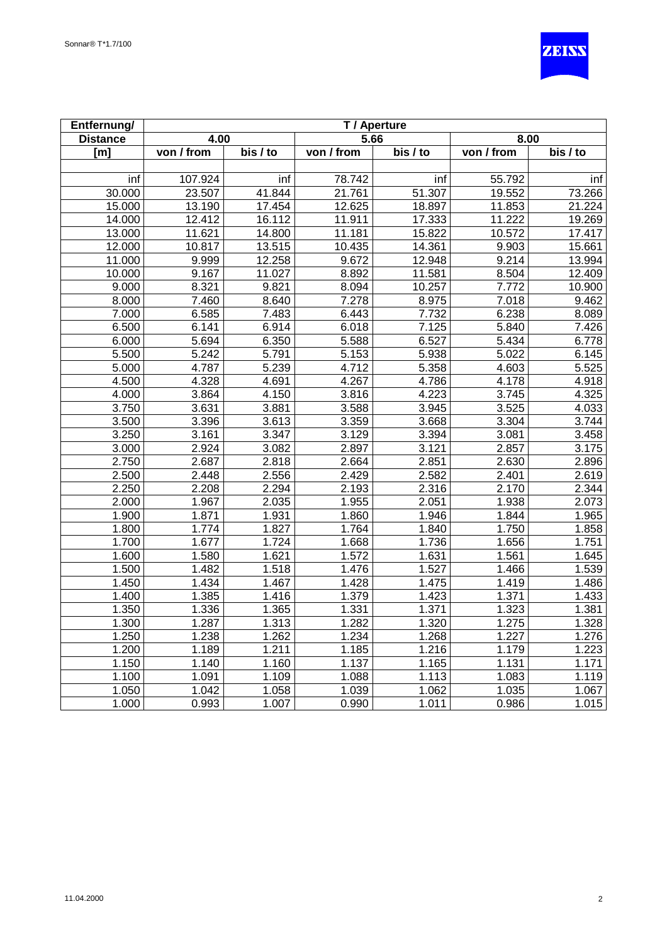

| Entfernung/     |            |          |            | T / Aperture |            |          |
|-----------------|------------|----------|------------|--------------|------------|----------|
| <b>Distance</b> | 4.00       |          | 5.66       |              | 8.00       |          |
| [m]             | von / from | bis / to | von / from | bis / to     | von / from | bis / to |
|                 |            |          |            |              |            |          |
| inf             | 107.924    | inf      | 78.742     | inf          | 55.792     | inf      |
| 30.000          | 23.507     | 41.844   | 21.761     | 51.307       | 19.552     | 73.266   |
| 15.000          | 13.190     | 17.454   | 12.625     | 18.897       | 11.853     | 21.224   |
| 14.000          | 12.412     | 16.112   | 11.911     | 17.333       | 11.222     | 19.269   |
| 13.000          | 11.621     | 14.800   | 11.181     | 15.822       | 10.572     | 17.417   |
| 12.000          | 10.817     | 13.515   | 10.435     | 14.361       | 9.903      | 15.661   |
| 11.000          | 9.999      | 12.258   | 9.672      | 12.948       | 9.214      | 13.994   |
| 10.000          | 9.167      | 11.027   | 8.892      | 11.581       | 8.504      | 12.409   |
| 9.000           | 8.321      | 9.821    | 8.094      | 10.257       | 7.772      | 10.900   |
| 8.000           | 7.460      | 8.640    | 7.278      | 8.975        | 7.018      | 9.462    |
| 7.000           | 6.585      | 7.483    | 6.443      | 7.732        | 6.238      | 8.089    |
| 6.500           | 6.141      | 6.914    | 6.018      | 7.125        | 5.840      | 7.426    |
| 6.000           | 5.694      | 6.350    | 5.588      | 6.527        | 5.434      | 6.778    |
| 5.500           | 5.242      | 5.791    | 5.153      | 5.938        | 5.022      | 6.145    |
| 5.000           | 4.787      | 5.239    | 4.712      | 5.358        | 4.603      | 5.525    |
| 4.500           | 4.328      | 4.691    | 4.267      | 4.786        | 4.178      | 4.918    |
| 4.000           | 3.864      | 4.150    | 3.816      | 4.223        | 3.745      | 4.325    |
| 3.750           | 3.631      | 3.881    | 3.588      | 3.945        | 3.525      | 4.033    |
| 3.500           | 3.396      | 3.613    | 3.359      | 3.668        | 3.304      | 3.744    |
| 3.250           | 3.161      | 3.347    | 3.129      | 3.394        | 3.081      | 3.458    |
| 3.000           | 2.924      | 3.082    | 2.897      | 3.121        | 2.857      | 3.175    |
| 2.750           | 2.687      | 2.818    | 2.664      | 2.851        | 2.630      | 2.896    |
| 2.500           | 2.448      | 2.556    | 2.429      | 2.582        | 2.401      | 2.619    |
| 2.250           | 2.208      | 2.294    | 2.193      | 2.316        | 2.170      | 2.344    |
| 2.000           | 1.967      | 2.035    | 1.955      | 2.051        | 1.938      | 2.073    |
| 1.900           | 1.871      | 1.931    | 1.860      | 1.946        | 1.844      | 1.965    |
| 1.800           | 1.774      | 1.827    | 1.764      | 1.840        | 1.750      | 1.858    |
| 1.700           | 1.677      | 1.724    | 1.668      | 1.736        | 1.656      | 1.751    |
| 1.600           | 1.580      | 1.621    | 1.572      | 1.631        | 1.561      | 1.645    |
| 1.500           | 1.482      | 1.518    | 1.476      | 1.527        | 1.466      | 1.539    |
| 1.450           | 1.434      | 1.467    | 1.428      | 1.475        | 1.419      | 1.486    |
| 1.400           | 1.385      | 1.416    | 1.379      | 1.423        | 1.371      | 1.433    |
| 1.350           | 1.336      | 1.365    | 1.331      | 1.371        | 1.323      | 1.381    |
| 1.300           | 1.287      | 1.313    | 1.282      | 1.320        | 1.275      | 1.328    |
| 1.250           | 1.238      | 1.262    | 1.234      | 1.268        | 1.227      | 1.276    |
| 1.200           | 1.189      | 1.211    | 1.185      | 1.216        | 1.179      | 1.223    |
| 1.150           | 1.140      | 1.160    | 1.137      | 1.165        | 1.131      | 1.171    |
| 1.100           | 1.091      | 1.109    | 1.088      | 1.113        | 1.083      | 1.119    |
| 1.050           | 1.042      | 1.058    | 1.039      | 1.062        | 1.035      | 1.067    |
| 1.000           | 0.993      | 1.007    | 0.990      | 1.011        | 0.986      | 1.015    |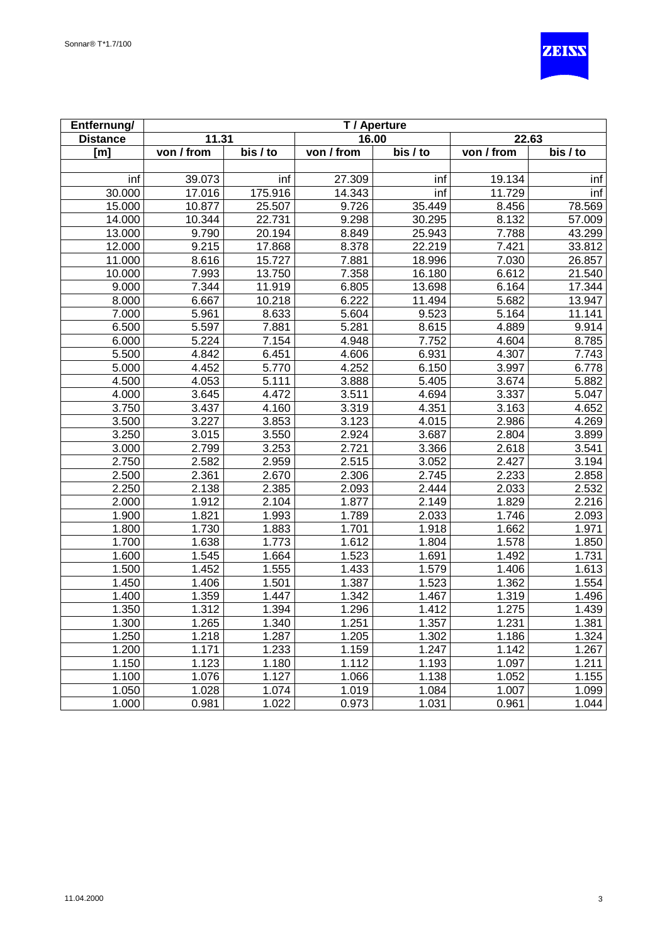

| Entfernung/     |            |          |            | T / Aperture          |                         |          |
|-----------------|------------|----------|------------|-----------------------|-------------------------|----------|
| <b>Distance</b> | 11.31      |          | 16.00      |                       | 22.63                   |          |
| [m]             | von / from | bis / to | von / from | $\overline{bis}$ / to | $\overline{von / from}$ | bis / to |
|                 |            |          |            |                       |                         |          |
| inf             | 39.073     | inf      | 27.309     | inf                   | 19.134                  | inf      |
| 30.000          | 17.016     | 175.916  | 14.343     | inf                   | 11.729                  | inf      |
| 15.000          | 10.877     | 25.507   | 9.726      | 35.449                | 8.456                   | 78.569   |
| 14.000          | 10.344     | 22.731   | 9.298      | 30.295                | 8.132                   | 57.009   |
| 13.000          | 9.790      | 20.194   | 8.849      | 25.943                | 7.788                   | 43.299   |
| 12.000          | 9.215      | 17.868   | 8.378      | 22.219                | 7.421                   | 33.812   |
| 11.000          | 8.616      | 15.727   | 7.881      | 18.996                | 7.030                   | 26.857   |
| 10.000          | 7.993      | 13.750   | 7.358      | 16.180                | 6.612                   | 21.540   |
| 9.000           | 7.344      | 11.919   | 6.805      | 13.698                | 6.164                   | 17.344   |
| 8.000           | 6.667      | 10.218   | 6.222      | 11.494                | 5.682                   | 13.947   |
| 7.000           | 5.961      | 8.633    | 5.604      | 9.523                 | 5.164                   | 11.141   |
| 6.500           | 5.597      | 7.881    | 5.281      | 8.615                 | 4.889                   | 9.914    |
| 6.000           | 5.224      | 7.154    | 4.948      | 7.752                 | 4.604                   | 8.785    |
| 5.500           | 4.842      | 6.451    | 4.606      | 6.931                 | 4.307                   | 7.743    |
| 5.000           | 4.452      | 5.770    | 4.252      | 6.150                 | 3.997                   | 6.778    |
| 4.500           | 4.053      | 5.111    | 3.888      | 5.405                 | 3.674                   | 5.882    |
| 4.000           | 3.645      | 4.472    | 3.511      | 4.694                 | 3.337                   | 5.047    |
| 3.750           | 3.437      | 4.160    | 3.319      | 4.351                 | 3.163                   | 4.652    |
| 3.500           | 3.227      | 3.853    | 3.123      | 4.015                 | 2.986                   | 4.269    |
| 3.250           | 3.015      | 3.550    | 2.924      | 3.687                 | 2.804                   | 3.899    |
| 3.000           | 2.799      | 3.253    | 2.721      | 3.366                 | 2.618                   | 3.541    |
| 2.750           | 2.582      | 2.959    | 2.515      | 3.052                 | 2.427                   | 3.194    |
| 2.500           | 2.361      | 2.670    | 2.306      | 2.745                 | 2.233                   | 2.858    |
| 2.250           | 2.138      | 2.385    | 2.093      | 2.444                 | 2.033                   | 2.532    |
| 2.000           | 1.912      | 2.104    | 1.877      | 2.149                 | 1.829                   | 2.216    |
| 1.900           | 1.821      | 1.993    | 1.789      | 2.033                 | 1.746                   | 2.093    |
| 1.800           | 1.730      | 1.883    | 1.701      | 1.918                 | 1.662                   | 1.971    |
| 1.700           | 1.638      | 1.773    | 1.612      | 1.804                 | 1.578                   | 1.850    |
| 1.600           | 1.545      | 1.664    | 1.523      | 1.691                 | 1.492                   | 1.731    |
| 1.500           | 1.452      | 1.555    | 1.433      | 1.579                 | 1.406                   | 1.613    |
| 1.450           | 1.406      | 1.501    | 1.387      | 1.523                 | 1.362                   | 1.554    |
| 1.400           | 1.359      | 1.447    | 1.342      | 1.467                 | 1.319                   | 1.496    |
| 1.350           | 1.312      | 1.394    | 1.296      | 1.412                 | 1.275                   | 1.439    |
| 1.300           | 1.265      | 1.340    | 1.251      | 1.357                 | 1.231                   | 1.381    |
| 1.250           | 1.218      | 1.287    | 1.205      | 1.302                 | 1.186                   | 1.324    |
| 1.200           | 1.171      | 1.233    | 1.159      | 1.247                 | 1.142                   | 1.267    |
| 1.150           | 1.123      | 1.180    | 1.112      | 1.193                 | 1.097                   | 1.211    |
| 1.100           | 1.076      | 1.127    | 1.066      | 1.138                 | 1.052                   | 1.155    |
| 1.050           | 1.028      | 1.074    | 1.019      | 1.084                 | 1.007                   | 1.099    |
| 1.000           | 0.981      | 1.022    | 0.973      | 1.031                 | 0.961                   | 1.044    |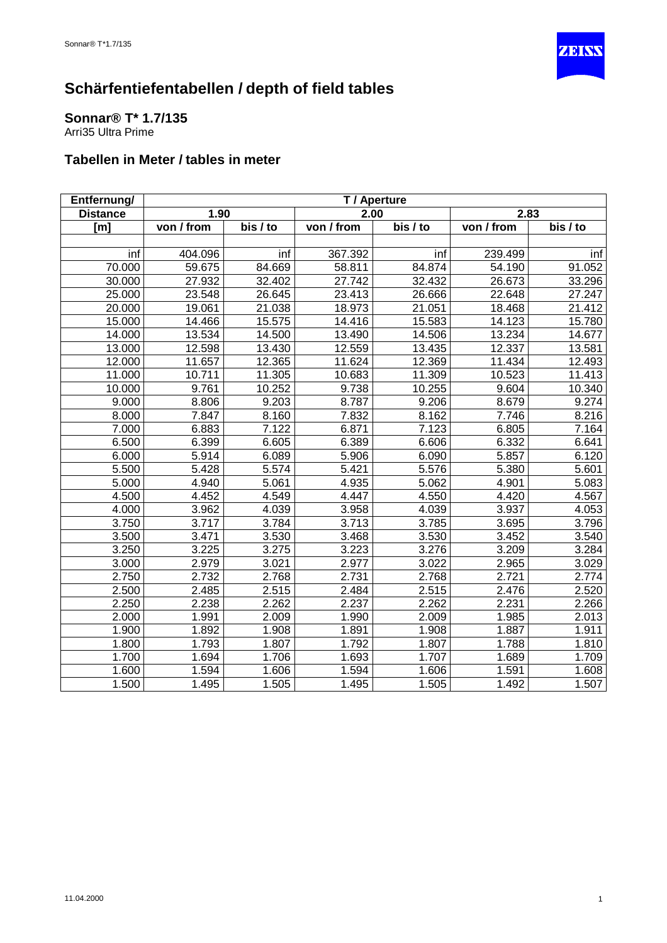

<span id="page-41-0"></span>**Sonnar® T\* 1.7/135** Arri35 Ultra Prime

| Entfernung/     |                    |          |            | T / Aperture |            |          |
|-----------------|--------------------|----------|------------|--------------|------------|----------|
| <b>Distance</b> | 1.90               |          | 2.00       |              | 2.83       |          |
| [m]             | von / from         | bis / to | von / from | bis / to     | von / from | bis / to |
|                 |                    |          |            |              |            |          |
| inf             | 404.096            | inf      | 367.392    | inf          | 239.499    | inf      |
| 70.000          | 59.675             | 84.669   | 58.811     | 84.874       | 54.190     | 91.052   |
| 30.000          | 27.932             | 32.402   | 27.742     | 32.432       | 26.673     | 33.296   |
| 25.000          | 23.548             | 26.645   | 23.413     | 26.666       | 22.648     | 27.247   |
| 20.000          | 19.061             | 21.038   | 18.973     | 21.051       | 18.468     | 21.412   |
| 15.000          | 14.466             | 15.575   | 14.416     | 15.583       | 14.123     | 15.780   |
| 14.000          | 13.534             | 14.500   | 13.490     | 14.506       | 13.234     | 14.677   |
| 13.000          | 12.598             | 13.430   | 12.559     | 13.435       | 12.337     | 13.581   |
| 12.000          | 11.657             | 12.365   | 11.624     | 12.369       | 11.434     | 12.493   |
| 11.000          | 10.711             | 11.305   | 10.683     | 11.309       | 10.523     | 11.413   |
| 10.000          | 9.761              | 10.252   | 9.738      | 10.255       | 9.604      | 10.340   |
| 9.000           | 8.806              | 9.203    | 8.787      | 9.206        | 8.679      | 9.274    |
| 8.000           | 7.847              | 8.160    | 7.832      | 8.162        | 7.746      | 8.216    |
| 7.000           | 6.883              | 7.122    | 6.871      | 7.123        | 6.805      | 7.164    |
| 6.500           | 6.399              | 6.605    | 6.389      | 6.606        | 6.332      | 6.641    |
| 6.000           | 5.914              | 6.089    | 5.906      | 6.090        | 5.857      | 6.120    |
| 5.500           | 5.428              | 5.574    | 5.421      | 5.576        | 5.380      | 5.601    |
| 5.000           | 4.940              | 5.061    | 4.935      | 5.062        | 4.901      | 5.083    |
| 4.500           | 4.452              | 4.549    | 4.447      | 4.550        | 4.420      | 4.567    |
| 4.000           | 3.962              | 4.039    | 3.958      | 4.039        | 3.937      | 4.053    |
| 3.750           | 3.717              | 3.784    | 3.713      | 3.785        | 3.695      | 3.796    |
| 3.500           | 3.471              | 3.530    | 3.468      | 3.530        | 3.452      | 3.540    |
| 3.250           | 3.225              | 3.275    | 3.223      | 3.276        | 3.209      | 3.284    |
| 3.000           | 2.979              | 3.021    | 2.977      | 3.022        | 2.965      | 3.029    |
| 2.750           | 2.732              | 2.768    | 2.731      | 2.768        | 2.721      | 2.774    |
| 2.500           | 2.485              | 2.515    | 2.484      | 2.515        | 2.476      | 2.520    |
| 2.250           | 2.238              | 2.262    | 2.237      | 2.262        | 2.231      | 2.266    |
| 2.000           | 1.991              | 2.009    | 1.990      | 2.009        | 1.985      | 2.013    |
| 1.900           | $\overline{1.892}$ | 1.908    | 1.891      | 1.908        | 1.887      | 1.911    |
| 1.800           | 1.793              | 1.807    | 1.792      | 1.807        | 1.788      | 1.810    |
| 1.700           | 1.694              | 1.706    | 1.693      | 1.707        | 1.689      | 1.709    |
| 1.600           | 1.594              | 1.606    | 1.594      | 1.606        | 1.591      | 1.608    |
| 1.500           | 1.495              | 1.505    | 1.495      | 1.505        | 1.492      | 1.507    |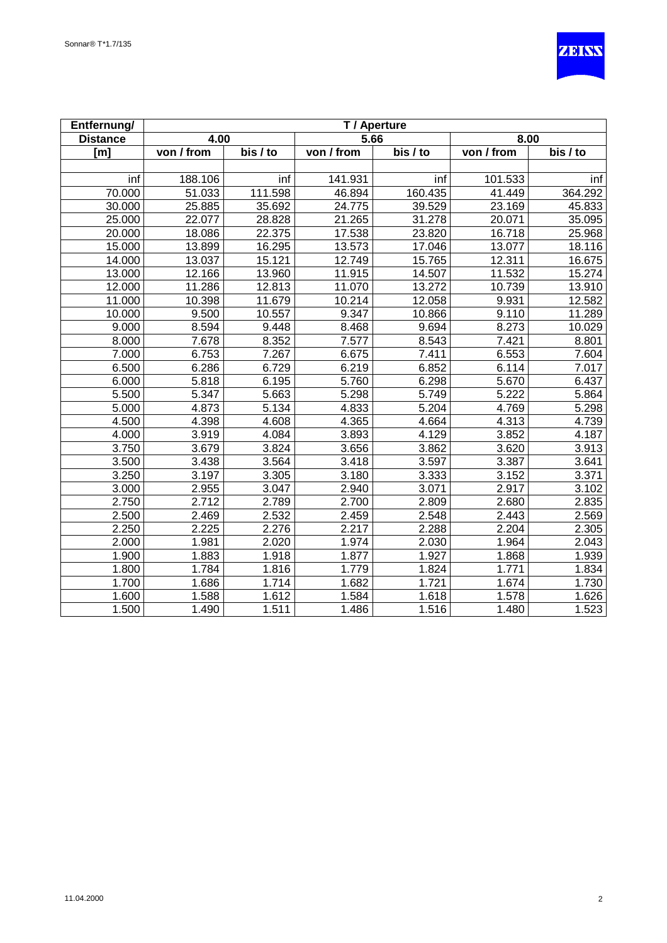

| Entfernung/     |            |                    |            | T / Aperture |                                 |          |
|-----------------|------------|--------------------|------------|--------------|---------------------------------|----------|
| <b>Distance</b> | 4.00       |                    | 5.66       |              | 8.00                            |          |
| [m]             | von / from | bis / to           | von / from | bis / to     | $\overline{\text{von } I}$ from | bis / to |
|                 |            |                    |            |              |                                 |          |
| inf             | 188.106    | inf                | 141.931    | inf          | 101.533                         | inf      |
| 70.000          | 51.033     | 111.598            | 46.894     | 160.435      | 41.449                          | 364.292  |
| 30.000          | 25.885     | 35.692             | 24.775     | 39.529       | 23.169                          | 45.833   |
| 25.000          | 22.077     | 28.828             | 21.265     | 31.278       | 20.071                          | 35.095   |
| 20.000          | 18.086     | 22.375             | 17.538     | 23.820       | 16.718                          | 25.968   |
| 15.000          | 13.899     | 16.295             | 13.573     | 17.046       | 13.077                          | 18.116   |
| 14.000          | 13.037     | 15.121             | 12.749     | 15.765       | 12.311                          | 16.675   |
| 13.000          | 12.166     | 13.960             | 11.915     | 14.507       | 11.532                          | 15.274   |
| 12.000          | 11.286     | 12.813             | 11.070     | 13.272       | 10.739                          | 13.910   |
| 11.000          | 10.398     | 11.679             | 10.214     | 12.058       | 9.931                           | 12.582   |
| 10.000          | 9.500      | 10.557             | 9.347      | 10.866       | 9.110                           | 11.289   |
| 9.000           | 8.594      | 9.448              | 8.468      | 9.694        | 8.273                           | 10.029   |
| 8.000           | 7.678      | 8.352              | 7.577      | 8.543        | 7.421                           | 8.801    |
| 7.000           | 6.753      | 7.267              | 6.675      | 7.411        | 6.553                           | 7.604    |
| 6.500           | 6.286      | 6.729              | 6.219      | 6.852        | 6.114                           | 7.017    |
| 6.000           | 5.818      | 6.195              | 5.760      | 6.298        | 5.670                           | 6.437    |
| 5.500           | 5.347      | 5.663              | 5.298      | 5.749        | 5.222                           | 5.864    |
| 5.000           | 4.873      | 5.134              | 4.833      | 5.204        | 4.769                           | 5.298    |
| 4.500           | 4.398      | 4.608              | 4.365      | 4.664        | 4.313                           | 4.739    |
| 4.000           | 3.919      | 4.084              | 3.893      | 4.129        | 3.852                           | 4.187    |
| 3.750           | 3.679      | 3.824              | 3.656      | 3.862        | 3.620                           | 3.913    |
| 3.500           | 3.438      | 3.564              | 3.418      | 3.597        | 3.387                           | 3.641    |
| 3.250           | 3.197      | 3.305              | 3.180      | 3.333        | 3.152                           | 3.371    |
| 3.000           | 2.955      | 3.047              | 2.940      | 3.071        | 2.917                           | 3.102    |
| 2.750           | 2.712      | 2.789              | 2.700      | 2.809        | 2.680                           | 2.835    |
| 2.500           | 2.469      | 2.532              | 2.459      | 2.548        | 2.443                           | 2.569    |
| 2.250           | 2.225      | 2.276              | 2.217      | 2.288        | 2.204                           | 2.305    |
| 2.000           | 1.981      | 2.020              | 1.974      | 2.030        | 1.964                           | 2.043    |
| 1.900           | 1.883      | $\overline{1.918}$ | 1.877      | 1.927        | 1.868                           | 1.939    |
| 1.800           | 1.784      | 1.816              | 1.779      | 1.824        | 1.771                           | 1.834    |
| 1.700           | 1.686      | 1.714              | 1.682      | 1.721        | 1.674                           | 1.730    |
| 1.600           | 1.588      | 1.612              | 1.584      | 1.618        | 1.578                           | 1.626    |
| 1.500           | 1.490      | 1.511              | 1.486      | 1.516        | 1.480                           | 1.523    |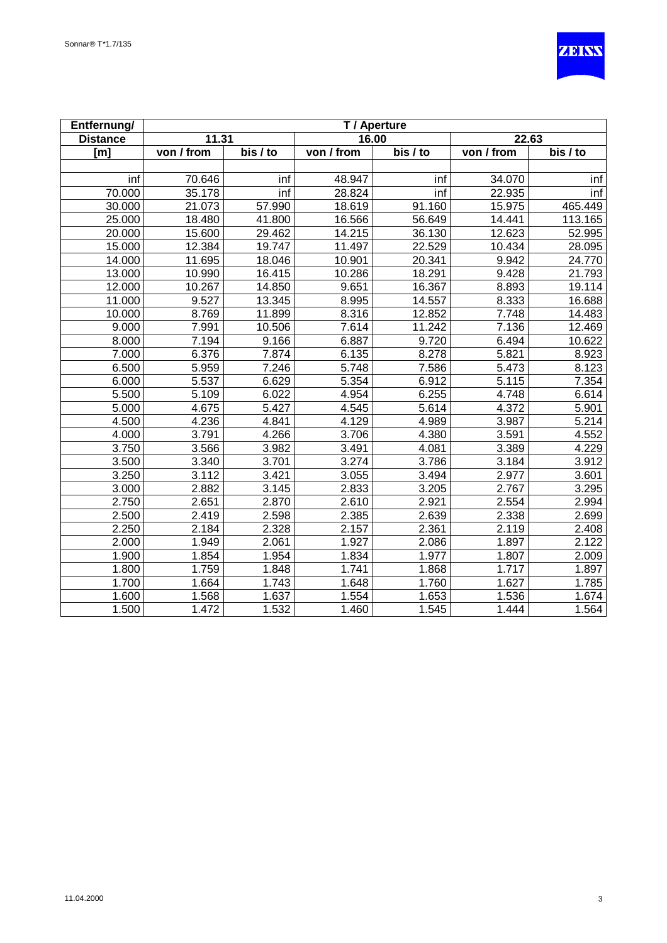

| Entfernung/     |            |                     |            | T / Aperture |            |                       |
|-----------------|------------|---------------------|------------|--------------|------------|-----------------------|
| <b>Distance</b> | 11.31      |                     | 16.00      |              | 22.63      |                       |
| [m]             | von / from | bis / to            | von / from | bis / to     | von / from | $\overline{bis}$ / to |
|                 |            |                     |            |              |            |                       |
| inf             | 70.646     | inf                 | 48.947     | inf          | 34.070     | inf                   |
| 70.000          | 35.178     | inf                 | 28.824     | inf          | 22.935     | inf                   |
| 30.000          | 21.073     | 57.990              | 18.619     | 91.160       | 15.975     | 465.449               |
| 25.000          | 18.480     | 41.800              | 16.566     | 56.649       | 14.441     | 113.165               |
| 20.000          | 15.600     | 29.462              | 14.215     | 36.130       | 12.623     | 52.995                |
| 15.000          | 12.384     | 19.747              | 11.497     | 22.529       | 10.434     | 28.095                |
| 14.000          | 11.695     | 18.046              | 10.901     | 20.341       | 9.942      | 24.770                |
| 13.000          | 10.990     | 16.415              | 10.286     | 18.291       | 9.428      | 21.793                |
| 12.000          | 10.267     | 14.850              | 9.651      | 16.367       | 8.893      | 19.114                |
| 11.000          | 9.527      | $\overline{13.345}$ | 8.995      | 14.557       | 8.333      | 16.688                |
| 10.000          | 8.769      | 11.899              | 8.316      | 12.852       | 7.748      | 14.483                |
| 9.000           | 7.991      | 10.506              | 7.614      | 11.242       | 7.136      | 12.469                |
| 8.000           | 7.194      | 9.166               | 6.887      | 9.720        | 6.494      | 10.622                |
| 7.000           | 6.376      | 7.874               | 6.135      | 8.278        | 5.821      | 8.923                 |
| 6.500           | 5.959      | 7.246               | 5.748      | 7.586        | 5.473      | 8.123                 |
| 6.000           | 5.537      | 6.629               | 5.354      | 6.912        | 5.115      | 7.354                 |
| 5.500           | 5.109      | 6.022               | 4.954      | 6.255        | 4.748      | 6.614                 |
| 5.000           | 4.675      | 5.427               | 4.545      | 5.614        | 4.372      | 5.901                 |
| 4.500           | 4.236      | 4.841               | 4.129      | 4.989        | 3.987      | 5.214                 |
| 4.000           | 3.791      | 4.266               | 3.706      | 4.380        | 3.591      | 4.552                 |
| 3.750           | 3.566      | 3.982               | 3.491      | 4.081        | 3.389      | 4.229                 |
| 3.500           | 3.340      | 3.701               | 3.274      | 3.786        | 3.184      | 3.912                 |
| 3.250           | 3.112      | 3.421               | 3.055      | 3.494        | 2.977      | 3.601                 |
| 3.000           | 2.882      | 3.145               | 2.833      | 3.205        | 2.767      | 3.295                 |
| 2.750           | 2.651      | 2.870               | 2.610      | 2.921        | 2.554      | 2.994                 |
| 2.500           | 2.419      | 2.598               | 2.385      | 2.639        | 2.338      | 2.699                 |
| 2.250           | 2.184      | 2.328               | 2.157      | 2.361        | 2.119      | 2.408                 |
| 2.000           | 1.949      | 2.061               | 1.927      | 2.086        | 1.897      | 2.122                 |
| 1.900           | 1.854      | 1.954               | 1.834      | 1.977        | 1.807      | 2.009                 |
| 1.800           | 1.759      | 1.848               | 1.741      | 1.868        | 1.717      | 1.897                 |
| 1.700           | 1.664      | 1.743               | 1.648      | 1.760        | 1.627      | 1.785                 |
| 1.600           | 1.568      | 1.637               | 1.554      | 1.653        | 1.536      | 1.674                 |
| 1.500           | 1.472      | 1.532               | 1.460      | 1.545        | 1.444      | 1.564                 |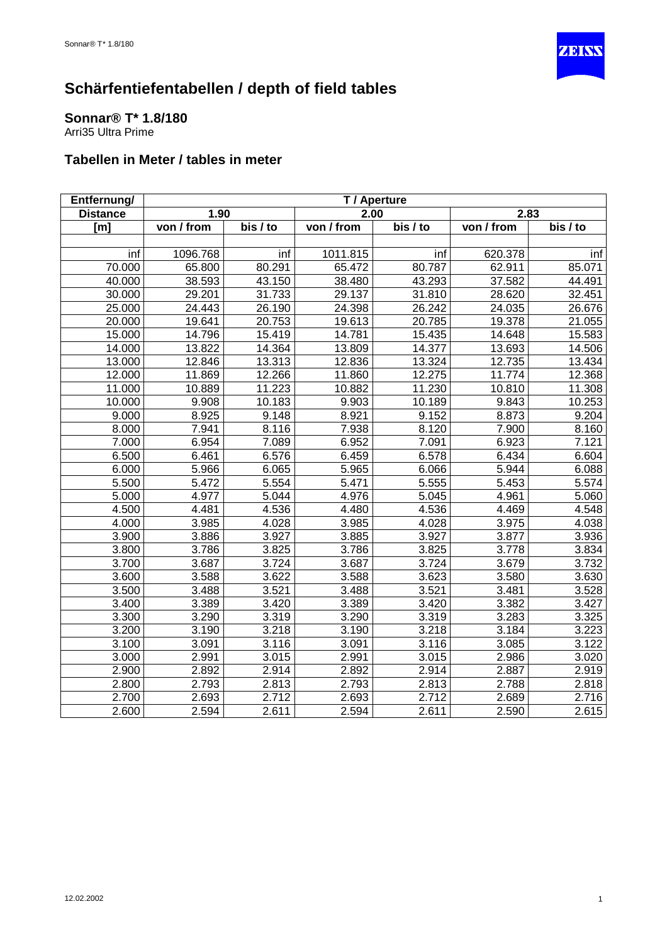

<span id="page-44-0"></span>**Sonnar® T\* 1.8/180** Arri35 Ultra Prime

| Entfernung/     |            |          |                                 | T / Aperture |            |                       |
|-----------------|------------|----------|---------------------------------|--------------|------------|-----------------------|
| <b>Distance</b> | 1.90       |          | 2.00                            |              | 2.83       |                       |
| [m]             | von / from | bis / to | $\overline{\text{von } I}$ from | bis / to     | von / from | $\overline{bis}$ / to |
|                 |            |          |                                 |              |            |                       |
| inf             | 1096.768   | inf      | 1011.815                        | inf          | 620.378    | inf                   |
| 70.000          | 65.800     | 80.291   | 65.472                          | 80.787       | 62.911     | 85.071                |
| 40.000          | 38.593     | 43.150   | 38.480                          | 43.293       | 37.582     | 44.491                |
| 30.000          | 29.201     | 31.733   | 29.137                          | 31.810       | 28.620     | 32.451                |
| 25.000          | 24.443     | 26.190   | 24.398                          | 26.242       | 24.035     | 26.676                |
| 20.000          | 19.641     | 20.753   | 19.613                          | 20.785       | 19.378     | 21.055                |
| 15.000          | 14.796     | 15.419   | 14.781                          | 15.435       | 14.648     | 15.583                |
| 14.000          | 13.822     | 14.364   | 13.809                          | 14.377       | 13.693     | 14.506                |
| 13.000          | 12.846     | 13.313   | 12.836                          | 13.324       | 12.735     | 13.434                |
| 12.000          | 11.869     | 12.266   | 11.860                          | 12.275       | 11.774     | 12.368                |
| 11.000          | 10.889     | 11.223   | 10.882                          | 11.230       | 10.810     | 11.308                |
| 10.000          | 9.908      | 10.183   | 9.903                           | 10.189       | 9.843      | 10.253                |
| 9.000           | 8.925      | 9.148    | 8.921                           | 9.152        | 8.873      | 9.204                 |
| 8.000           | 7.941      | 8.116    | 7.938                           | 8.120        | 7.900      | 8.160                 |
| 7.000           | 6.954      | 7.089    | 6.952                           | 7.091        | 6.923      | 7.121                 |
| 6.500           | 6.461      | 6.576    | 6.459                           | 6.578        | 6.434      | 6.604                 |
| 6.000           | 5.966      | 6.065    | 5.965                           | 6.066        | 5.944      | 6.088                 |
| 5.500           | 5.472      | 5.554    | 5.471                           | 5.555        | 5.453      | 5.574                 |
| 5.000           | 4.977      | 5.044    | 4.976                           | 5.045        | 4.961      | 5.060                 |
| 4.500           | 4.481      | 4.536    | 4.480                           | 4.536        | 4.469      | 4.548                 |
| 4.000           | 3.985      | 4.028    | 3.985                           | 4.028        | 3.975      | 4.038                 |
| 3.900           | 3.886      | 3.927    | 3.885                           | 3.927        | 3.877      | 3.936                 |
| 3.800           | 3.786      | 3.825    | 3.786                           | 3.825        | 3.778      | 3.834                 |
| 3.700           | 3.687      | 3.724    | 3.687                           | 3.724        | 3.679      | 3.732                 |
| 3.600           | 3.588      | 3.622    | 3.588                           | 3.623        | 3.580      | 3.630                 |
| 3.500           | 3.488      | 3.521    | 3.488                           | 3.521        | 3.481      | 3.528                 |
| 3.400           | 3.389      | 3.420    | 3.389                           | 3.420        | 3.382      | 3.427                 |
| 3.300           | 3.290      | 3.319    | 3.290                           | 3.319        | 3.283      | 3.325                 |
| 3.200           | 3.190      | 3.218    | 3.190                           | 3.218        | 3.184      | 3.223                 |
| 3.100           | 3.091      | 3.116    | 3.091                           | 3.116        | 3.085      | 3.122                 |
| 3.000           | 2.991      | 3.015    | 2.991                           | 3.015        | 2.986      | 3.020                 |
| 2.900           | 2.892      | 2.914    | 2.892                           | 2.914        | 2.887      | 2.919                 |
| 2.800           | 2.793      | 2.813    | 2.793                           | 2.813        | 2.788      | 2.818                 |
| 2.700           | 2.693      | 2.712    | 2.693                           | 2.712        | 2.689      | 2.716                 |
| 2.600           | 2.594      | 2.611    | 2.594                           | 2.611        | 2.590      | 2.615                 |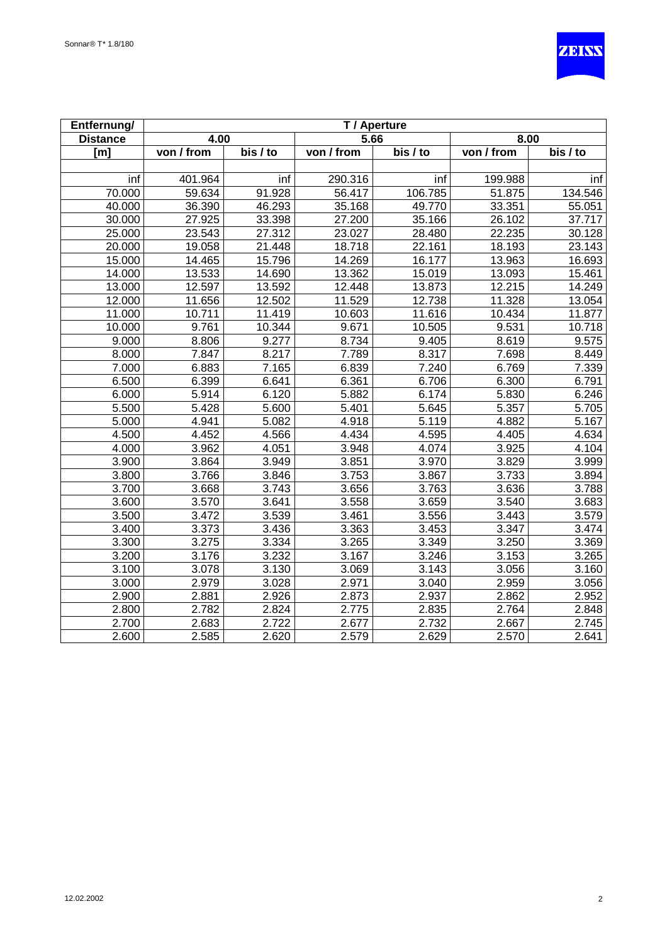

| Entfernung/      |            |                    |            | T / Aperture        |            |          |
|------------------|------------|--------------------|------------|---------------------|------------|----------|
| <b>Distance</b>  | 4.00       |                    | 5.66       |                     | 8.00       |          |
| [ <sub>m</sub> ] | von / from | bis / to           | von / from | $\overline{bis}$ to | von / from | bis / to |
|                  |            |                    |            |                     |            |          |
| inf              | 401.964    | inf                | 290.316    | inf                 | 199.988    | inf      |
| 70.000           | 59.634     | 91.928             | 56.417     | 106.785             | 51.875     | 134.546  |
| 40.000           | 36.390     | 46.293             | 35.168     | 49.770              | 33.351     | 55.051   |
| 30.000           | 27.925     | 33.398             | 27.200     | 35.166              | 26.102     | 37.717   |
| 25.000           | 23.543     | 27.312             | 23.027     | 28.480              | 22.235     | 30.128   |
| 20.000           | 19.058     | 21.448             | 18.718     | 22.161              | 18.193     | 23.143   |
| 15.000           | 14.465     | 15.796             | 14.269     | 16.177              | 13.963     | 16.693   |
| 14.000           | 13.533     | 14.690             | 13.362     | 15.019              | 13.093     | 15.461   |
| 13.000           | 12.597     | 13.592             | 12.448     | 13.873              | 12.215     | 14.249   |
| 12.000           | 11.656     | 12.502             | 11.529     | 12.738              | 11.328     | 13.054   |
| 11.000           | 10.711     | 11.419             | 10.603     | 11.616              | 10.434     | 11.877   |
| 10.000           | 9.761      | 10.344             | 9.671      | 10.505              | 9.531      | 10.718   |
| 9.000            | 8.806      | 9.277              | 8.734      | 9.405               | 8.619      | 9.575    |
| 8.000            | 7.847      | 8.217              | 7.789      | 8.317               | 7.698      | 8.449    |
| 7.000            | 6.883      | $\overline{7}.165$ | 6.839      | 7.240               | 6.769      | 7.339    |
| 6.500            | 6.399      | 6.641              | 6.361      | 6.706               | 6.300      | 6.791    |
| 6.000            | 5.914      | 6.120              | 5.882      | 6.174               | 5.830      | 6.246    |
| 5.500            | 5.428      | 5.600              | 5.401      | 5.645               | 5.357      | 5.705    |
| 5.000            | 4.941      | 5.082              | 4.918      | 5.119               | 4.882      | 5.167    |
| 4.500            | 4.452      | 4.566              | 4.434      | 4.595               | 4.405      | 4.634    |
| 4.000            | 3.962      | 4.051              | 3.948      | 4.074               | 3.925      | 4.104    |
| 3.900            | 3.864      | 3.949              | 3.851      | 3.970               | 3.829      | 3.999    |
| 3.800            | 3.766      | 3.846              | 3.753      | 3.867               | 3.733      | 3.894    |
| 3.700            | 3.668      | 3.743              | 3.656      | 3.763               | 3.636      | 3.788    |
| 3.600            | 3.570      | 3.641              | 3.558      | 3.659               | 3.540      | 3.683    |
| 3.500            | 3.472      | 3.539              | 3.461      | 3.556               | 3.443      | 3.579    |
| 3.400            | 3.373      | 3.436              | 3.363      | 3.453               | 3.347      | 3.474    |
| 3.300            | 3.275      | 3.334              | 3.265      | 3.349               | 3.250      | 3.369    |
| 3.200            | 3.176      | 3.232              | 3.167      | 3.246               | 3.153      | 3.265    |
| 3.100            | 3.078      | 3.130              | 3.069      | 3.143               | 3.056      | 3.160    |
| 3.000            | 2.979      | 3.028              | 2.971      | 3.040               | 2.959      | 3.056    |
| 2.900            | 2.881      | 2.926              | 2.873      | 2.937               | 2.862      | 2.952    |
| 2.800            | 2.782      | 2.824              | 2.775      | 2.835               | 2.764      | 2.848    |
| 2.700            | 2.683      | 2.722              | 2.677      | 2.732               | 2.667      | 2.745    |
| 2.600            | 2.585      | 2.620              | 2.579      | 2.629               | 2.570      | 2.641    |